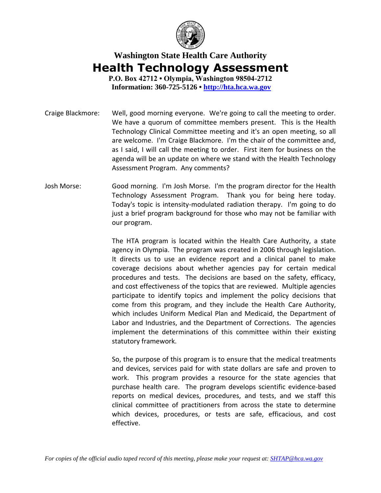

## **Washington State Health Care Authority Health Technology Assessment**

**P.O. Box 42712 • Olympia, Washington 98504-2712 Information: 360-725-5126 • [http://hta.hca.wa.gov](http://hta.hca.wa.gov/)**

Craige Blackmore: Well, good morning everyone. We're going to call the meeting to order. We have a quorum of committee members present. This is the Health Technology Clinical Committee meeting and it's an open meeting, so all are welcome. I'm Craige Blackmore. I'm the chair of the committee and, as I said, I will call the meeting to order. First item for business on the agenda will be an update on where we stand with the Health Technology Assessment Program. Any comments?

Josh Morse: Good morning. I'm Josh Morse. I'm the program director for the Health Technology Assessment Program. Thank you for being here today. Today's topic is intensity-modulated radiation therapy. I'm going to do just a brief program background for those who may not be familiar with our program.

> The HTA program is located within the Health Care Authority, a state agency in Olympia. The program was created in 2006 through legislation. It directs us to use an evidence report and a clinical panel to make coverage decisions about whether agencies pay for certain medical procedures and tests. The decisions are based on the safety, efficacy, and cost effectiveness of the topics that are reviewed. Multiple agencies participate to identify topics and implement the policy decisions that come from this program, and they include the Health Care Authority, which includes Uniform Medical Plan and Medicaid, the Department of Labor and Industries, and the Department of Corrections. The agencies implement the determinations of this committee within their existing statutory framework.

> So, the purpose of this program is to ensure that the medical treatments and devices, services paid for with state dollars are safe and proven to work. This program provides a resource for the state agencies that purchase health care. The program develops scientific evidence-based reports on medical devices, procedures, and tests, and we staff this clinical committee of practitioners from across the state to determine which devices, procedures, or tests are safe, efficacious, and cost effective.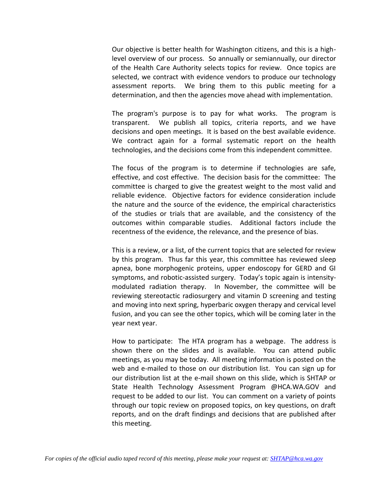Our objective is better health for Washington citizens, and this is a highlevel overview of our process. So annually or semiannually, our director of the Health Care Authority selects topics for review. Once topics are selected, we contract with evidence vendors to produce our technology assessment reports. We bring them to this public meeting for a determination, and then the agencies move ahead with implementation.

The program's purpose is to pay for what works. The program is transparent. We publish all topics, criteria reports, and we have decisions and open meetings. It is based on the best available evidence. We contract again for a formal systematic report on the health technologies, and the decisions come from this independent committee.

The focus of the program is to determine if technologies are safe, effective, and cost effective. The decision basis for the committee: The committee is charged to give the greatest weight to the most valid and reliable evidence. Objective factors for evidence consideration include the nature and the source of the evidence, the empirical characteristics of the studies or trials that are available, and the consistency of the outcomes within comparable studies. Additional factors include the recentness of the evidence, the relevance, and the presence of bias.

This is a review, or a list, of the current topics that are selected for review by this program. Thus far this year, this committee has reviewed sleep apnea, bone morphogenic proteins, upper endoscopy for GERD and GI symptoms, and robotic-assisted surgery. Today's topic again is intensitymodulated radiation therapy. In November, the committee will be reviewing stereotactic radiosurgery and vitamin D screening and testing and moving into next spring, hyperbaric oxygen therapy and cervical level fusion, and you can see the other topics, which will be coming later in the year next year.

How to participate: The HTA program has a webpage. The address is shown there on the slides and is available. You can attend public meetings, as you may be today. All meeting information is posted on the web and e-mailed to those on our distribution list. You can sign up for our distribution list at the e-mail shown on this slide, which is SHTAP or State Health Technology Assessment Program @HCA.WA.GOV and request to be added to our list. You can comment on a variety of points through our topic review on proposed topics, on key questions, on draft reports, and on the draft findings and decisions that are published after this meeting.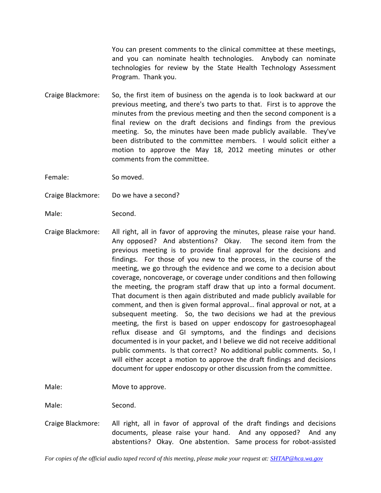You can present comments to the clinical committee at these meetings, and you can nominate health technologies. Anybody can nominate technologies for review by the State Health Technology Assessment Program. Thank you.

Craige Blackmore: So, the first item of business on the agenda is to look backward at our previous meeting, and there's two parts to that. First is to approve the minutes from the previous meeting and then the second component is a final review on the draft decisions and findings from the previous meeting. So, the minutes have been made publicly available. They've been distributed to the committee members. I would solicit either a motion to approve the May 18, 2012 meeting minutes or other comments from the committee.

Female: So moved.

Craige Blackmore: Do we have a second?

Male: Second.

Craige Blackmore: All right, all in favor of approving the minutes, please raise your hand. Any opposed? And abstentions? Okay. The second item from the previous meeting is to provide final approval for the decisions and findings. For those of you new to the process, in the course of the meeting, we go through the evidence and we come to a decision about coverage, noncoverage, or coverage under conditions and then following the meeting, the program staff draw that up into a formal document. That document is then again distributed and made publicly available for comment, and then is given formal approval… final approval or not, at a subsequent meeting. So, the two decisions we had at the previous meeting, the first is based on upper endoscopy for gastroesophageal reflux disease and GI symptoms, and the findings and decisions documented is in your packet, and I believe we did not receive additional public comments. Is that correct? No additional public comments. So, I will either accept a motion to approve the draft findings and decisions document for upper endoscopy or other discussion from the committee.

Male: Move to approve.

Male: Second.

Craige Blackmore: All right, all in favor of approval of the draft findings and decisions documents, please raise your hand. And any opposed? And any abstentions? Okay. One abstention. Same process for robot-assisted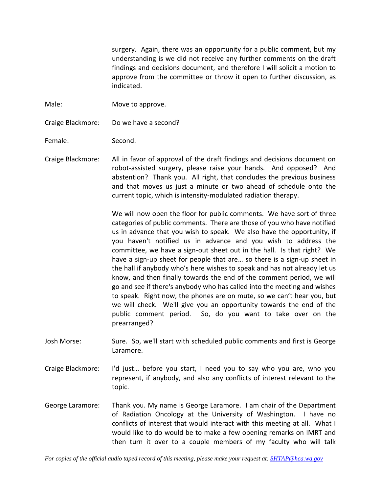surgery. Again, there was an opportunity for a public comment, but my understanding is we did not receive any further comments on the draft findings and decisions document, and therefore I will solicit a motion to approve from the committee or throw it open to further discussion, as indicated.

Male: Move to approve.

Craige Blackmore: Do we have a second?

Female: Second.

Craige Blackmore: All in favor of approval of the draft findings and decisions document on robot-assisted surgery, please raise your hands. And opposed? And abstention? Thank you. All right, that concludes the previous business and that moves us just a minute or two ahead of schedule onto the current topic, which is intensity-modulated radiation therapy.

> We will now open the floor for public comments. We have sort of three categories of public comments. There are those of you who have notified us in advance that you wish to speak. We also have the opportunity, if you haven't notified us in advance and you wish to address the committee, we have a sign-out sheet out in the hall. Is that right? We have a sign-up sheet for people that are… so there is a sign-up sheet in the hall if anybody who's here wishes to speak and has not already let us know, and then finally towards the end of the comment period, we will go and see if there's anybody who has called into the meeting and wishes to speak. Right now, the phones are on mute, so we can't hear you, but we will check. We'll give you an opportunity towards the end of the public comment period. So, do you want to take over on the prearranged?

- Josh Morse: Sure. So, we'll start with scheduled public comments and first is George Laramore.
- Craige Blackmore: I'd just… before you start, I need you to say who you are, who you represent, if anybody, and also any conflicts of interest relevant to the topic.
- George Laramore: Thank you. My name is George Laramore. I am chair of the Department of Radiation Oncology at the University of Washington. I have no conflicts of interest that would interact with this meeting at all. What I would like to do would be to make a few opening remarks on IMRT and then turn it over to a couple members of my faculty who will talk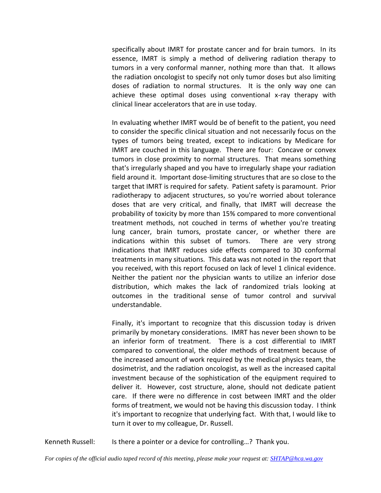specifically about IMRT for prostate cancer and for brain tumors. In its essence, IMRT is simply a method of delivering radiation therapy to tumors in a very conformal manner, nothing more than that. It allows the radiation oncologist to specify not only tumor doses but also limiting doses of radiation to normal structures. It is the only way one can achieve these optimal doses using conventional x-ray therapy with clinical linear accelerators that are in use today.

In evaluating whether IMRT would be of benefit to the patient, you need to consider the specific clinical situation and not necessarily focus on the types of tumors being treated, except to indications by Medicare for IMRT are couched in this language. There are four: Concave or convex tumors in close proximity to normal structures. That means something that's irregularly shaped and you have to irregularly shape your radiation field around it. Important dose-limiting structures that are so close to the target that IMRT is required for safety. Patient safety is paramount. Prior radiotherapy to adjacent structures, so you're worried about tolerance doses that are very critical, and finally, that IMRT will decrease the probability of toxicity by more than 15% compared to more conventional treatment methods, not couched in terms of whether you're treating lung cancer, brain tumors, prostate cancer, or whether there are indications within this subset of tumors. There are very strong indications that IMRT reduces side effects compared to 3D conformal treatments in many situations. This data was not noted in the report that you received, with this report focused on lack of level 1 clinical evidence. Neither the patient nor the physician wants to utilize an inferior dose distribution, which makes the lack of randomized trials looking at outcomes in the traditional sense of tumor control and survival understandable.

Finally, it's important to recognize that this discussion today is driven primarily by monetary considerations. IMRT has never been shown to be an inferior form of treatment. There is a cost differential to IMRT compared to conventional, the older methods of treatment because of the increased amount of work required by the medical physics team, the dosimetrist, and the radiation oncologist, as well as the increased capital investment because of the sophistication of the equipment required to deliver it. However, cost structure, alone, should not dedicate patient care. If there were no difference in cost between IMRT and the older forms of treatment, we would not be having this discussion today. I think it's important to recognize that underlying fact. With that, I would like to turn it over to my colleague, Dr. Russell.

Kenneth Russell: Is there a pointer or a device for controlling...? Thank you.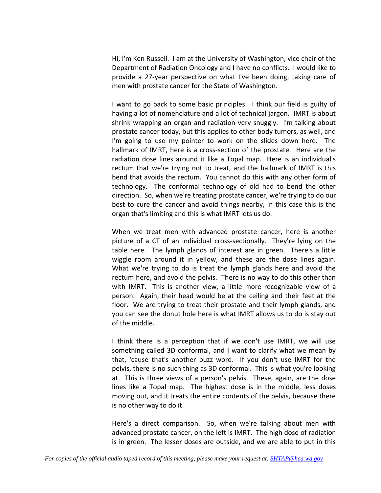Hi, I'm Ken Russell. I am at the University of Washington, vice chair of the Department of Radiation Oncology and I have no conflicts. I would like to provide a 27-year perspective on what I've been doing, taking care of men with prostate cancer for the State of Washington.

I want to go back to some basic principles. I think our field is guilty of having a lot of nomenclature and a lot of technical jargon. IMRT is about shrink wrapping an organ and radiation very snuggly. I'm talking about prostate cancer today, but this applies to other body tumors, as well, and I'm going to use my pointer to work on the slides down here. The hallmark of IMRT, here is a cross-section of the prostate. Here are the radiation dose lines around it like a Topal map. Here is an individual's rectum that we're trying not to treat, and the hallmark of IMRT is this bend that avoids the rectum. You cannot do this with any other form of technology. The conformal technology of old had to bend the other direction. So, when we're treating prostate cancer, we're trying to do our best to cure the cancer and avoid things nearby, in this case this is the organ that's limiting and this is what IMRT lets us do.

When we treat men with advanced prostate cancer, here is another picture of a CT of an individual cross-sectionally. They're lying on the table here. The lymph glands of interest are in green. There's a little wiggle room around it in yellow, and these are the dose lines again. What we're trying to do is treat the lymph glands here and avoid the rectum here, and avoid the pelvis. There is no way to do this other than with IMRT. This is another view, a little more recognizable view of a person. Again, their head would be at the ceiling and their feet at the floor. We are trying to treat their prostate and their lymph glands, and you can see the donut hole here is what IMRT allows us to do is stay out of the middle.

I think there is a perception that if we don't use IMRT, we will use something called 3D conformal, and I want to clarify what we mean by that, 'cause that's another buzz word. If you don't use IMRT for the pelvis, there is no such thing as 3D conformal. This is what you're looking at. This is three views of a person's pelvis. These, again, are the dose lines like a Topal map. The highest dose is in the middle, less doses moving out, and it treats the entire contents of the pelvis, because there is no other way to do it.

Here's a direct comparison. So, when we're talking about men with advanced prostate cancer, on the left is IMRT. The high dose of radiation is in green. The lesser doses are outside, and we are able to put in this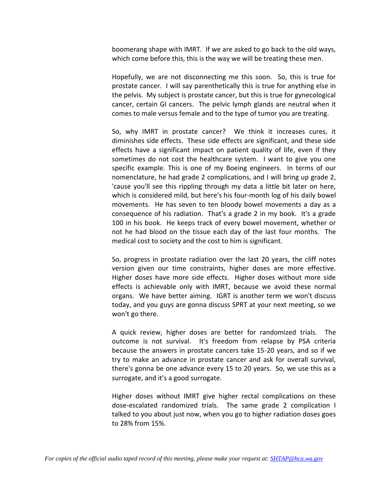boomerang shape with IMRT. If we are asked to go back to the old ways, which come before this, this is the way we will be treating these men.

Hopefully, we are not disconnecting me this soon. So, this is true for prostate cancer. I will say parenthetically this is true for anything else in the pelvis. My subject is prostate cancer, but this is true for gynecological cancer, certain GI cancers. The pelvic lymph glands are neutral when it comes to male versus female and to the type of tumor you are treating.

So, why IMRT in prostate cancer? We think it increases cures, it diminishes side effects. These side effects are significant, and these side effects have a significant impact on patient quality of life, even if they sometimes do not cost the healthcare system. I want to give you one specific example. This is one of my Boeing engineers. In terms of our nomenclature, he had grade 2 complications, and I will bring up grade 2, 'cause you'll see this rippling through my data a little bit later on here, which is considered mild, but here's his four-month log of his daily bowel movements. He has seven to ten bloody bowel movements a day as a consequence of his radiation. That's a grade 2 in my book. It's a grade 100 in his book. He keeps track of every bowel movement, whether or not he had blood on the tissue each day of the last four months. The medical cost to society and the cost to him is significant.

So, progress in prostate radiation over the last 20 years, the cliff notes version given our time constraints, higher doses are more effective. Higher doses have more side effects. Higher doses without more side effects is achievable only with IMRT, because we avoid these normal organs. We have better aiming. IGRT is another term we won't discuss today, and you guys are gonna discuss SPRT at your next meeting, so we won't go there.

A quick review, higher doses are better for randomized trials. The outcome is not survival. It's freedom from relapse by PSA criteria because the answers in prostate cancers take 15-20 years, and so if we try to make an advance in prostate cancer and ask for overall survival, there's gonna be one advance every 15 to 20 years. So, we use this as a surrogate, and it's a good surrogate.

Higher doses without IMRT give higher rectal complications on these dose-escalated randomized trials. The same grade 2 complication I talked to you about just now, when you go to higher radiation doses goes to 28% from 15%.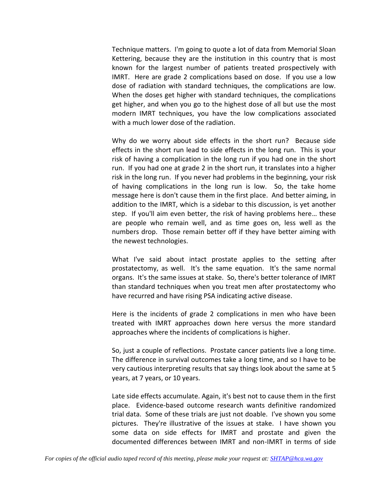Technique matters. I'm going to quote a lot of data from Memorial Sloan Kettering, because they are the institution in this country that is most known for the largest number of patients treated prospectively with IMRT. Here are grade 2 complications based on dose. If you use a low dose of radiation with standard techniques, the complications are low. When the doses get higher with standard techniques, the complications get higher, and when you go to the highest dose of all but use the most modern IMRT techniques, you have the low complications associated with a much lower dose of the radiation.

Why do we worry about side effects in the short run? Because side effects in the short run lead to side effects in the long run. This is your risk of having a complication in the long run if you had one in the short run. If you had one at grade 2 in the short run, it translates into a higher risk in the long run. If you never had problems in the beginning, your risk of having complications in the long run is low. So, the take home message here is don't cause them in the first place. And better aiming, in addition to the IMRT, which is a sidebar to this discussion, is yet another step. If you'll aim even better, the risk of having problems here… these are people who remain well, and as time goes on, less well as the numbers drop. Those remain better off if they have better aiming with the newest technologies.

What I've said about intact prostate applies to the setting after prostatectomy, as well. It's the same equation. It's the same normal organs. It's the same issues at stake. So, there's better tolerance of IMRT than standard techniques when you treat men after prostatectomy who have recurred and have rising PSA indicating active disease.

Here is the incidents of grade 2 complications in men who have been treated with IMRT approaches down here versus the more standard approaches where the incidents of complications is higher.

So, just a couple of reflections. Prostate cancer patients live a long time. The difference in survival outcomes take a long time, and so I have to be very cautious interpreting results that say things look about the same at 5 years, at 7 years, or 10 years.

Late side effects accumulate. Again, it's best not to cause them in the first place. Evidence-based outcome research wants definitive randomized trial data. Some of these trials are just not doable. I've shown you some pictures. They're illustrative of the issues at stake. I have shown you some data on side effects for IMRT and prostate and given the documented differences between IMRT and non-IMRT in terms of side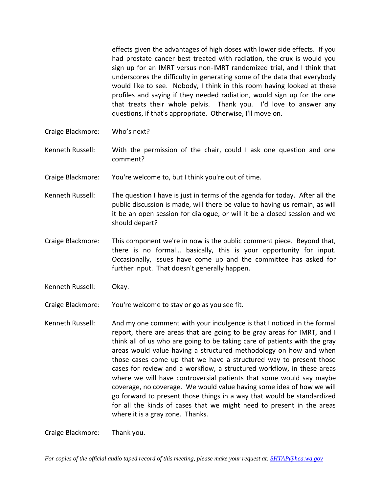effects given the advantages of high doses with lower side effects. If you had prostate cancer best treated with radiation, the crux is would you sign up for an IMRT versus non-IMRT randomized trial, and I think that underscores the difficulty in generating some of the data that everybody would like to see. Nobody, I think in this room having looked at these profiles and saying if they needed radiation, would sign up for the one that treats their whole pelvis. Thank you. I'd love to answer any questions, if that's appropriate. Otherwise, I'll move on.

Craige Blackmore: Who's next?

Kenneth Russell: With the permission of the chair, could I ask one question and one comment?

- Craige Blackmore: You're welcome to, but I think you're out of time.
- Kenneth Russell: The question I have is just in terms of the agenda for today. After all the public discussion is made, will there be value to having us remain, as will it be an open session for dialogue, or will it be a closed session and we should depart?
- Craige Blackmore: This component we're in now is the public comment piece. Beyond that, there is no formal… basically, this is your opportunity for input. Occasionally, issues have come up and the committee has asked for further input. That doesn't generally happen.
- Kenneth Russell: Okay.
- Craige Blackmore: You're welcome to stay or go as you see fit.
- Kenneth Russell: And my one comment with your indulgence is that I noticed in the formal report, there are areas that are going to be gray areas for IMRT, and I think all of us who are going to be taking care of patients with the gray areas would value having a structured methodology on how and when those cases come up that we have a structured way to present those cases for review and a workflow, a structured workflow, in these areas where we will have controversial patients that some would say maybe coverage, no coverage. We would value having some idea of how we will go forward to present those things in a way that would be standardized for all the kinds of cases that we might need to present in the areas where it is a gray zone. Thanks.

Craige Blackmore: Thank you.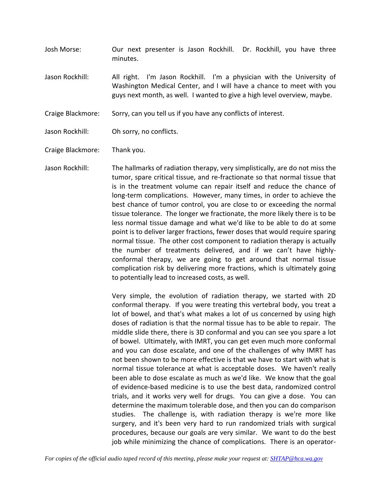- Josh Morse: Our next presenter is Jason Rockhill. Dr. Rockhill, you have three minutes.
- Jason Rockhill: All right. I'm Jason Rockhill. I'm a physician with the University of Washington Medical Center, and I will have a chance to meet with you guys next month, as well. I wanted to give a high level overview, maybe.
- Craige Blackmore: Sorry, can you tell us if you have any conflicts of interest.
- Jason Rockhill: Oh sorry, no conflicts.
- Craige Blackmore: Thank you.
- Jason Rockhill: The hallmarks of radiation therapy, very simplistically, are do not miss the tumor, spare critical tissue, and re-fractionate so that normal tissue that is in the treatment volume can repair itself and reduce the chance of long-term complications. However, many times, in order to achieve the best chance of tumor control, you are close to or exceeding the normal tissue tolerance. The longer we fractionate, the more likely there is to be less normal tissue damage and what we'd like to be able to do at some point is to deliver larger fractions, fewer doses that would require sparing normal tissue. The other cost component to radiation therapy is actually the number of treatments delivered, and if we can't have highlyconformal therapy, we are going to get around that normal tissue complication risk by delivering more fractions, which is ultimately going to potentially lead to increased costs, as well.

Very simple, the evolution of radiation therapy, we started with 2D conformal therapy. If you were treating this vertebral body, you treat a lot of bowel, and that's what makes a lot of us concerned by using high doses of radiation is that the normal tissue has to be able to repair. The middle slide there, there is 3D conformal and you can see you spare a lot of bowel. Ultimately, with IMRT, you can get even much more conformal and you can dose escalate, and one of the challenges of why IMRT has not been shown to be more effective is that we have to start with what is normal tissue tolerance at what is acceptable doses. We haven't really been able to dose escalate as much as we'd like. We know that the goal of evidence-based medicine is to use the best data, randomized control trials, and it works very well for drugs. You can give a dose. You can determine the maximum tolerable dose, and then you can do comparison studies. The challenge is, with radiation therapy is we're more like surgery, and it's been very hard to run randomized trials with surgical procedures, because our goals are very similar. We want to do the best job while minimizing the chance of complications. There is an operator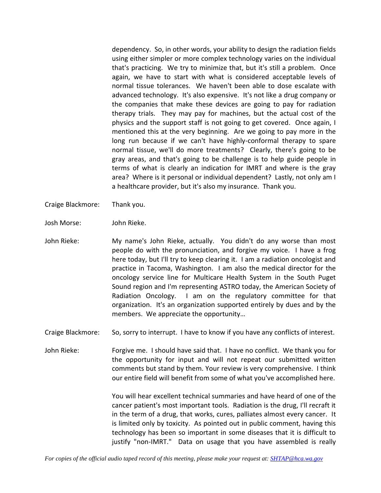dependency. So, in other words, your ability to design the radiation fields using either simpler or more complex technology varies on the individual that's practicing. We try to minimize that, but it's still a problem. Once again, we have to start with what is considered acceptable levels of normal tissue tolerances. We haven't been able to dose escalate with advanced technology. It's also expensive. It's not like a drug company or the companies that make these devices are going to pay for radiation therapy trials. They may pay for machines, but the actual cost of the physics and the support staff is not going to get covered. Once again, I mentioned this at the very beginning. Are we going to pay more in the long run because if we can't have highly-conformal therapy to spare normal tissue, we'll do more treatments? Clearly, there's going to be gray areas, and that's going to be challenge is to help guide people in terms of what is clearly an indication for IMRT and where is the gray area? Where is it personal or individual dependent? Lastly, not only am I a healthcare provider, but it's also my insurance. Thank you.

- Craige Blackmore: Thank you.
- Josh Morse: John Rieke.
- John Rieke: My name's John Rieke, actually. You didn't do any worse than most people do with the pronunciation, and forgive my voice. I have a frog here today, but I'll try to keep clearing it. I am a radiation oncologist and practice in Tacoma, Washington. I am also the medical director for the oncology service line for Multicare Health System in the South Puget Sound region and I'm representing ASTRO today, the American Society of Radiation Oncology. I am on the regulatory committee for that organization. It's an organization supported entirely by dues and by the members. We appreciate the opportunity…
- Craige Blackmore: So, sorry to interrupt. I have to know if you have any conflicts of interest.
- John Rieke: Forgive me. I should have said that. I have no conflict. We thank you for the opportunity for input and will not repeat our submitted written comments but stand by them. Your review is very comprehensive. I think our entire field will benefit from some of what you've accomplished here.

You will hear excellent technical summaries and have heard of one of the cancer patient's most important tools. Radiation is the drug, I'll recraft it in the term of a drug, that works, cures, palliates almost every cancer. It is limited only by toxicity. As pointed out in public comment, having this technology has been so important in some diseases that it is difficult to justify "non-IMRT." Data on usage that you have assembled is really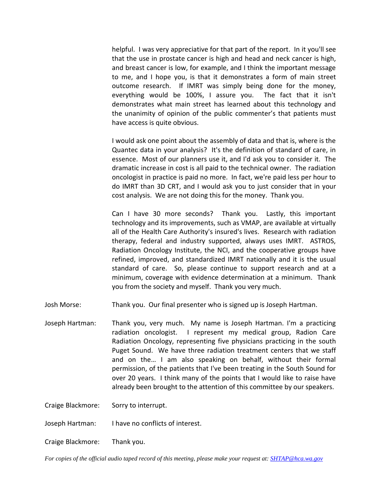helpful. I was very appreciative for that part of the report. In it you'll see that the use in prostate cancer is high and head and neck cancer is high, and breast cancer is low, for example, and I think the important message to me, and I hope you, is that it demonstrates a form of main street outcome research. If IMRT was simply being done for the money, everything would be 100%, I assure you. The fact that it isn't demonstrates what main street has learned about this technology and the unanimity of opinion of the public commenter's that patients must have access is quite obvious.

I would ask one point about the assembly of data and that is, where is the Quantec data in your analysis? It's the definition of standard of care, in essence. Most of our planners use it, and I'd ask you to consider it. The dramatic increase in cost is all paid to the technical owner. The radiation oncologist in practice is paid no more. In fact, we're paid less per hour to do IMRT than 3D CRT, and I would ask you to just consider that in your cost analysis. We are not doing this for the money. Thank you.

Can I have 30 more seconds? Thank you. Lastly, this important technology and its improvements, such as VMAP, are available at virtually all of the Health Care Authority's insured's lives. Research with radiation therapy, federal and industry supported, always uses IMRT. ASTROS, Radiation Oncology Institute, the NCI, and the cooperative groups have refined, improved, and standardized IMRT nationally and it is the usual standard of care. So, please continue to support research and at a minimum, coverage with evidence determination at a minimum. Thank you from the society and myself. Thank you very much.

- Josh Morse: Thank you. Our final presenter who is signed up is Joseph Hartman.
- Joseph Hartman: Thank you, very much. My name is Joseph Hartman. I'm a practicing radiation oncologist. I represent my medical group, Radion Care Radiation Oncology, representing five physicians practicing in the south Puget Sound. We have three radiation treatment centers that we staff and on the… I am also speaking on behalf, without their formal permission, of the patients that I've been treating in the South Sound for over 20 years. I think many of the points that I would like to raise have already been brought to the attention of this committee by our speakers.

Craige Blackmore: Sorry to interrupt.

Joseph Hartman: I have no conflicts of interest.

Craige Blackmore: Thank you.

*For copies of the official audio taped record of this meeting, please make your request at[: SHTAP@hca.wa.gov](mailto:SHTAP@hca.wa.gov)*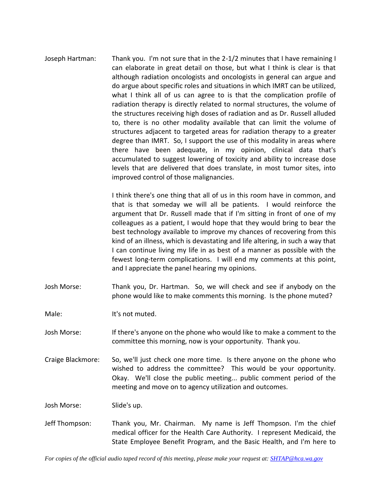Joseph Hartman: Thank you. I'm not sure that in the 2-1/2 minutes that I have remaining I can elaborate in great detail on those, but what I think is clear is that although radiation oncologists and oncologists in general can argue and do argue about specific roles and situations in which IMRT can be utilized, what I think all of us can agree to is that the complication profile of radiation therapy is directly related to normal structures, the volume of the structures receiving high doses of radiation and as Dr. Russell alluded to, there is no other modality available that can limit the volume of structures adjacent to targeted areas for radiation therapy to a greater degree than IMRT. So, I support the use of this modality in areas where there have been adequate, in my opinion, clinical data that's accumulated to suggest lowering of toxicity and ability to increase dose levels that are delivered that does translate, in most tumor sites, into improved control of those malignancies.

> I think there's one thing that all of us in this room have in common, and that is that someday we will all be patients. I would reinforce the argument that Dr. Russell made that if I'm sitting in front of one of my colleagues as a patient, I would hope that they would bring to bear the best technology available to improve my chances of recovering from this kind of an illness, which is devastating and life altering, in such a way that I can continue living my life in as best of a manner as possible with the fewest long-term complications. I will end my comments at this point, and I appreciate the panel hearing my opinions.

Josh Morse: Thank you, Dr. Hartman. So, we will check and see if anybody on the phone would like to make comments this morning. Is the phone muted?

Male: It's not muted.

Josh Morse: If there's anyone on the phone who would like to make a comment to the committee this morning, now is your opportunity. Thank you.

Craige Blackmore: So, we'll just check one more time. Is there anyone on the phone who wished to address the committee? This would be your opportunity. Okay. We'll close the public meeting... public comment period of the meeting and move on to agency utilization and outcomes.

Josh Morse: Slide's up.

Jeff Thompson: Thank you, Mr. Chairman. My name is Jeff Thompson. I'm the chief medical officer for the Health Care Authority. I represent Medicaid, the State Employee Benefit Program, and the Basic Health, and I'm here to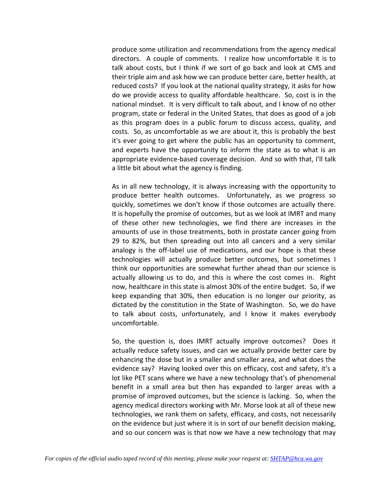produce some utilization and recommendations from the agency medical directors. A couple of comments. I realize how uncomfortable it is to talk about costs, but I think if we sort of go back and look at CMS and their triple aim and ask how we can produce better care, better health, at reduced costs? If you look at the national quality strategy, it asks for how do we provide access to quality affordable healthcare. So, cost is in the national mindset. It is very difficult to talk about, and I know of no other program, state or federal in the United States, that does as good of a job as this program does in a public forum to discuss access, quality, and costs. So, as uncomfortable as we are about it, this is probably the best it's ever going to get where the public has an opportunity to comment, and experts have the opportunity to inform the state as to what is an appropriate evidence-based coverage decision. And so with that, I'll talk a little bit about what the agency is finding.

As in all new technology, it is always increasing with the opportunity to produce better health outcomes. Unfortunately, as we progress so quickly, sometimes we don't know if those outcomes are actually there. It is hopefully the promise of outcomes, but as we look at IMRT and many of these other new technologies, we find there are increases in the amounts of use in those treatments, both in prostate cancer going from 29 to 82%, but then spreading out into all cancers and a very similar analogy is the off-label use of medications, and our hope is that these technologies will actually produce better outcomes, but sometimes I think our opportunities are somewhat further ahead than our science is actually allowing us to do, and this is where the cost comes in. Right now, healthcare in this state is almost 30% of the entire budget. So, if we keep expanding that 30%, then education is no longer our priority, as dictated by the constitution in the State of Washington. So, we do have to talk about costs, unfortunately, and I know it makes everybody uncomfortable.

So, the question is, does IMRT actually improve outcomes? Does it actually reduce safety issues, and can we actually provide better care by enhancing the dose but in a smaller and smaller area, and what does the evidence say? Having looked over this on efficacy, cost and safety, it's a lot like PET scans where we have a new technology that's of phenomenal benefit in a small area but then has expanded to larger areas with a promise of improved outcomes, but the science is lacking. So, when the agency medical directors working with Mr. Morse look at all of these new technologies, we rank them on safety, efficacy, and costs, not necessarily on the evidence but just where it is in sort of our benefit decision making, and so our concern was is that now we have a new technology that may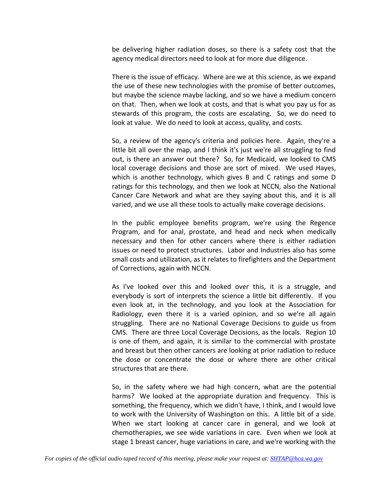be delivering higher radiation doses, so there is a safety cost that the agency medical directors need to look at for more due diligence.

There is the issue of efficacy. Where are we at this science, as we expand the use of these new technologies with the promise of better outcomes, but maybe the science maybe lacking, and so we have a medium concern on that. Then, when we look at costs, and that is what you pay us for as stewards of this program, the costs are escalating. So, we do need to look at value. We do need to look at access, quality, and costs.

So, a review of the agency's criteria and policies here. Again, they're a little bit all over the map, and I think it's just we're all struggling to find out, is there an answer out there? So, for Medicaid, we looked to CMS local coverage decisions and those are sort of mixed. We used Hayes, which is another technology, which gives B and C ratings and some D ratings for this technology, and then we look at NCCN, also the National Cancer Care Network and what are they saying about this, and it is all varied, and we use all these tools to actually make coverage decisions.

In the public employee benefits program, we're using the Regence Program, and for anal, prostate, and head and neck when medically necessary and then for other cancers where there is either radiation issues or need to protect structures. Labor and Industries also has some small costs and utilization, as it relates to firefighters and the Department of Corrections, again with NCCN.

As I've looked over this and looked over this, it is a struggle, and everybody is sort of interprets the science a little bit differently. If you even look at, in the technology, and you look at the Association for Radiology, even there it is a varied opinion, and so we're all again struggling. There are no National Coverage Decisions to guide us from CMS. There are three Local Coverage Decisions, as the locals. Region 10 is one of them, and again, it is similar to the commercial with prostate and breast but then other cancers are looking at prior radiation to reduce the dose or concentrate the dose or where there are other critical structures that are there.

So, in the safety where we had high concern, what are the potential harms? We looked at the appropriate duration and frequency. This is something, the frequency, which we didn't have, I think, and I would love to work with the University of Washington on this. A little bit of a side. When we start looking at cancer care in general, and we look at chemotherapies, we see wide variations in care. Even when we look at stage 1 breast cancer, huge variations in care, and we're working with the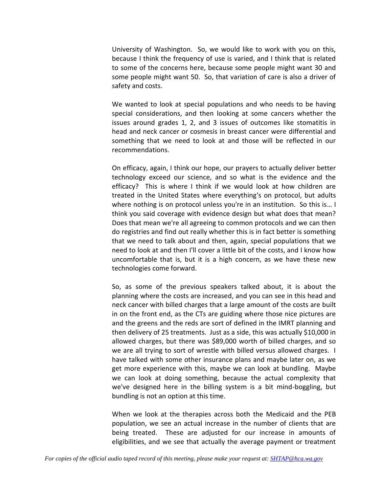University of Washington. So, we would like to work with you on this, because I think the frequency of use is varied, and I think that is related to some of the concerns here, because some people might want 30 and some people might want 50. So, that variation of care is also a driver of safety and costs.

We wanted to look at special populations and who needs to be having special considerations, and then looking at some cancers whether the issues around grades 1, 2, and 3 issues of outcomes like stomatitis in head and neck cancer or cosmesis in breast cancer were differential and something that we need to look at and those will be reflected in our recommendations.

On efficacy, again, I think our hope, our prayers to actually deliver better technology exceed our science, and so what is the evidence and the efficacy? This is where I think if we would look at how children are treated in the United States where everything's on protocol, but adults where nothing is on protocol unless you're in an institution. So this is… I think you said coverage with evidence design but what does that mean? Does that mean we're all agreeing to common protocols and we can then do registries and find out really whether this is in fact better is something that we need to talk about and then, again, special populations that we need to look at and then I'll cover a little bit of the costs, and I know how uncomfortable that is, but it is a high concern, as we have these new technologies come forward.

So, as some of the previous speakers talked about, it is about the planning where the costs are increased, and you can see in this head and neck cancer with billed charges that a large amount of the costs are built in on the front end, as the CTs are guiding where those nice pictures are and the greens and the reds are sort of defined in the IMRT planning and then delivery of 25 treatments. Just as a side, this was actually \$10,000 in allowed charges, but there was \$89,000 worth of billed charges, and so we are all trying to sort of wrestle with billed versus allowed charges. I have talked with some other insurance plans and maybe later on, as we get more experience with this, maybe we can look at bundling. Maybe we can look at doing something, because the actual complexity that we've designed here in the billing system is a bit mind-boggling, but bundling is not an option at this time.

When we look at the therapies across both the Medicaid and the PEB population, we see an actual increase in the number of clients that are being treated. These are adjusted for our increase in amounts of eligibilities, and we see that actually the average payment or treatment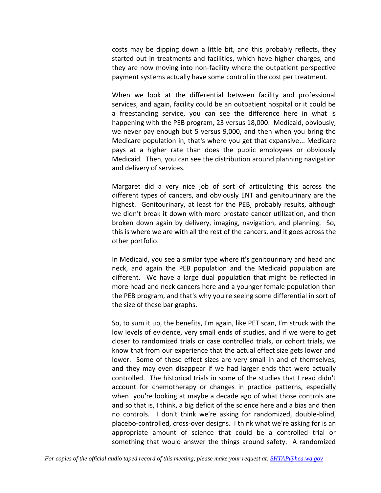costs may be dipping down a little bit, and this probably reflects, they started out in treatments and facilities, which have higher charges, and they are now moving into non-facility where the outpatient perspective payment systems actually have some control in the cost per treatment.

When we look at the differential between facility and professional services, and again, facility could be an outpatient hospital or it could be a freestanding service, you can see the difference here in what is happening with the PEB program, 23 versus 18,000. Medicaid, obviously, we never pay enough but 5 versus 9,000, and then when you bring the Medicare population in, that's where you get that expansive... Medicare pays at a higher rate than does the public employees or obviously Medicaid. Then, you can see the distribution around planning navigation and delivery of services.

Margaret did a very nice job of sort of articulating this across the different types of cancers, and obviously ENT and genitourinary are the highest. Genitourinary, at least for the PEB, probably results, although we didn't break it down with more prostate cancer utilization, and then broken down again by delivery, imaging, navigation, and planning. So, this is where we are with all the rest of the cancers, and it goes across the other portfolio.

In Medicaid, you see a similar type where it's genitourinary and head and neck, and again the PEB population and the Medicaid population are different. We have a large dual population that might be reflected in more head and neck cancers here and a younger female population than the PEB program, and that's why you're seeing some differential in sort of the size of these bar graphs.

So, to sum it up, the benefits, I'm again, like PET scan, I'm struck with the low levels of evidence, very small ends of studies, and if we were to get closer to randomized trials or case controlled trials, or cohort trials, we know that from our experience that the actual effect size gets lower and lower. Some of these effect sizes are very small in and of themselves, and they may even disappear if we had larger ends that were actually controlled. The historical trials in some of the studies that I read didn't account for chemotherapy or changes in practice patterns, especially when you're looking at maybe a decade ago of what those controls are and so that is, I think, a big deficit of the science here and a bias and then no controls. I don't think we're asking for randomized, double-blind, placebo-controlled, cross-over designs. I think what we're asking for is an appropriate amount of science that could be a controlled trial or something that would answer the things around safety. A randomized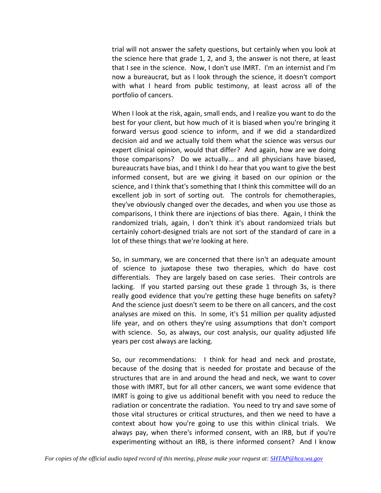trial will not answer the safety questions, but certainly when you look at the science here that grade 1, 2, and 3, the answer is not there, at least that I see in the science. Now, I don't use IMRT. I'm an internist and I'm now a bureaucrat, but as I look through the science, it doesn't comport with what I heard from public testimony, at least across all of the portfolio of cancers.

When I look at the risk, again, small ends, and I realize you want to do the best for your client, but how much of it is biased when you're bringing it forward versus good science to inform, and if we did a standardized decision aid and we actually told them what the science was versus our expert clinical opinion, would that differ? And again, how are we doing those comparisons? Do we actually... and all physicians have biased, bureaucrats have bias, and I think I do hear that you want to give the best informed consent, but are we giving it based on our opinion or the science, and I think that's something that I think this committee will do an excellent job in sort of sorting out. The controls for chemotherapies, they've obviously changed over the decades, and when you use those as comparisons, I think there are injections of bias there. Again, I think the randomized trials, again, I don't think it's about randomized trials but certainly cohort-designed trials are not sort of the standard of care in a lot of these things that we're looking at here.

So, in summary, we are concerned that there isn't an adequate amount of science to juxtapose these two therapies, which do have cost differentials. They are largely based on case series. Their controls are lacking. If you started parsing out these grade 1 through 3s, is there really good evidence that you're getting these huge benefits on safety? And the science just doesn't seem to be there on all cancers, and the cost analyses are mixed on this. In some, it's \$1 million per quality adjusted life year, and on others they're using assumptions that don't comport with science. So, as always, our cost analysis, our quality adjusted life years per cost always are lacking.

So, our recommendations: I think for head and neck and prostate, because of the dosing that is needed for prostate and because of the structures that are in and around the head and neck, we want to cover those with IMRT, but for all other cancers, we want some evidence that IMRT is going to give us additional benefit with you need to reduce the radiation or concentrate the radiation. You need to try and save some of those vital structures or critical structures, and then we need to have a context about how you're going to use this within clinical trials. We always pay, when there's informed consent, with an IRB, but if you're experimenting without an IRB, is there informed consent? And I know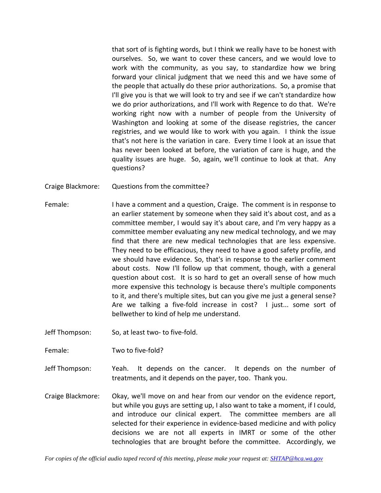that sort of is fighting words, but I think we really have to be honest with ourselves. So, we want to cover these cancers, and we would love to work with the community, as you say, to standardize how we bring forward your clinical judgment that we need this and we have some of the people that actually do these prior authorizations. So, a promise that I'll give you is that we will look to try and see if we can't standardize how we do prior authorizations, and I'll work with Regence to do that. We're working right now with a number of people from the University of Washington and looking at some of the disease registries, the cancer registries, and we would like to work with you again. I think the issue that's not here is the variation in care. Every time I look at an issue that has never been looked at before, the variation of care is huge, and the quality issues are huge. So, again, we'll continue to look at that. Any questions?

- Craige Blackmore: Questions from the committee?
- Female: I have a comment and a question, Craige. The comment is in response to an earlier statement by someone when they said it's about cost, and as a committee member, I would say it's about care, and I'm very happy as a committee member evaluating any new medical technology, and we may find that there are new medical technologies that are less expensive. They need to be efficacious, they need to have a good safety profile, and we should have evidence. So, that's in response to the earlier comment about costs. Now I'll follow up that comment, though, with a general question about cost. It is so hard to get an overall sense of how much more expensive this technology is because there's multiple components to it, and there's multiple sites, but can you give me just a general sense? Are we talking a five-fold increase in cost? I just... some sort of bellwether to kind of help me understand.
- Jeff Thompson: So, at least two- to five-fold.
- Female: Two to five-fold?
- Jeff Thompson: Yeah. It depends on the cancer. It depends on the number of treatments, and it depends on the payer, too. Thank you.
- Craige Blackmore: Okay, we'll move on and hear from our vendor on the evidence report, but while you guys are setting up, I also want to take a moment, if I could, and introduce our clinical expert. The committee members are all selected for their experience in evidence-based medicine and with policy decisions we are not all experts in IMRT or some of the other technologies that are brought before the committee. Accordingly, we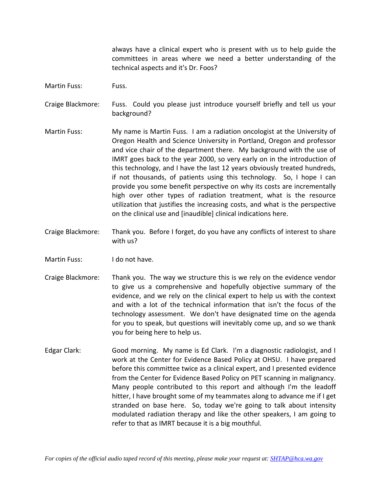always have a clinical expert who is present with us to help guide the committees in areas where we need a better understanding of the technical aspects and it's Dr. Foos?

Martin Fuss: Fuss.

Craige Blackmore: Fuss. Could you please just introduce yourself briefly and tell us your background?

- Martin Fuss: My name is Martin Fuss. I am a radiation oncologist at the University of Oregon Health and Science University in Portland, Oregon and professor and vice chair of the department there. My background with the use of IMRT goes back to the year 2000, so very early on in the introduction of this technology, and I have the last 12 years obviously treated hundreds, if not thousands, of patients using this technology. So, I hope I can provide you some benefit perspective on why its costs are incrementally high over other types of radiation treatment, what is the resource utilization that justifies the increasing costs, and what is the perspective on the clinical use and [inaudible] clinical indications here.
- Craige Blackmore: Thank you. Before I forget, do you have any conflicts of interest to share with us?
- Martin Fuss: I do not have.
- Craige Blackmore: Thank you. The way we structure this is we rely on the evidence vendor to give us a comprehensive and hopefully objective summary of the evidence, and we rely on the clinical expert to help us with the context and with a lot of the technical information that isn't the focus of the technology assessment. We don't have designated time on the agenda for you to speak, but questions will inevitably come up, and so we thank you for being here to help us.
- Edgar Clark: Good morning. My name is Ed Clark. I'm a diagnostic radiologist, and I work at the Center for Evidence Based Policy at OHSU. I have prepared before this committee twice as a clinical expert, and I presented evidence from the Center for Evidence Based Policy on PET scanning in malignancy. Many people contributed to this report and although I'm the leadoff hitter, I have brought some of my teammates along to advance me if I get stranded on base here. So, today we're going to talk about intensity modulated radiation therapy and like the other speakers, I am going to refer to that as IMRT because it is a big mouthful.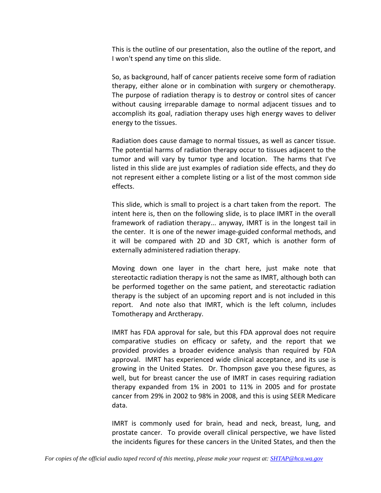This is the outline of our presentation, also the outline of the report, and I won't spend any time on this slide.

So, as background, half of cancer patients receive some form of radiation therapy, either alone or in combination with surgery or chemotherapy. The purpose of radiation therapy is to destroy or control sites of cancer without causing irreparable damage to normal adjacent tissues and to accomplish its goal, radiation therapy uses high energy waves to deliver energy to the tissues.

Radiation does cause damage to normal tissues, as well as cancer tissue. The potential harms of radiation therapy occur to tissues adjacent to the tumor and will vary by tumor type and location. The harms that I've listed in this slide are just examples of radiation side effects, and they do not represent either a complete listing or a list of the most common side effects.

This slide, which is small to project is a chart taken from the report. The intent here is, then on the following slide, is to place IMRT in the overall framework of radiation therapy... anyway, IMRT is in the longest tail in the center. It is one of the newer image-guided conformal methods, and it will be compared with 2D and 3D CRT, which is another form of externally administered radiation therapy.

Moving down one layer in the chart here, just make note that stereotactic radiation therapy is not the same as IMRT, although both can be performed together on the same patient, and stereotactic radiation therapy is the subject of an upcoming report and is not included in this report. And note also that IMRT, which is the left column, includes Tomotherapy and Arctherapy.

IMRT has FDA approval for sale, but this FDA approval does not require comparative studies on efficacy or safety, and the report that we provided provides a broader evidence analysis than required by FDA approval. IMRT has experienced wide clinical acceptance, and its use is growing in the United States. Dr. Thompson gave you these figures, as well, but for breast cancer the use of IMRT in cases requiring radiation therapy expanded from 1% in 2001 to 11% in 2005 and for prostate cancer from 29% in 2002 to 98% in 2008, and this is using SEER Medicare data.

IMRT is commonly used for brain, head and neck, breast, lung, and prostate cancer. To provide overall clinical perspective, we have listed the incidents figures for these cancers in the United States, and then the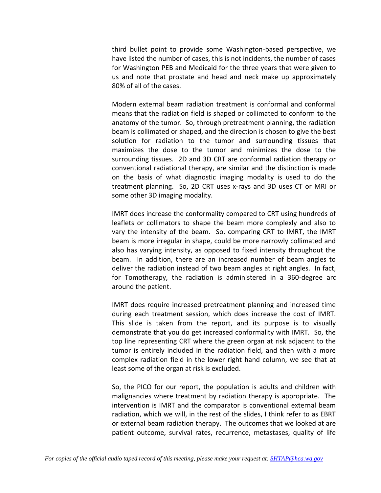third bullet point to provide some Washington-based perspective, we have listed the number of cases, this is not incidents, the number of cases for Washington PEB and Medicaid for the three years that were given to us and note that prostate and head and neck make up approximately 80% of all of the cases.

Modern external beam radiation treatment is conformal and conformal means that the radiation field is shaped or collimated to conform to the anatomy of the tumor. So, through pretreatment planning, the radiation beam is collimated or shaped, and the direction is chosen to give the best solution for radiation to the tumor and surrounding tissues that maximizes the dose to the tumor and minimizes the dose to the surrounding tissues. 2D and 3D CRT are conformal radiation therapy or conventional radiational therapy, are similar and the distinction is made on the basis of what diagnostic imaging modality is used to do the treatment planning. So, 2D CRT uses x-rays and 3D uses CT or MRI or some other 3D imaging modality.

IMRT does increase the conformality compared to CRT using hundreds of leaflets or collimators to shape the beam more complexly and also to vary the intensity of the beam. So, comparing CRT to IMRT, the IMRT beam is more irregular in shape, could be more narrowly collimated and also has varying intensity, as opposed to fixed intensity throughout the beam. In addition, there are an increased number of beam angles to deliver the radiation instead of two beam angles at right angles. In fact, for Tomotherapy, the radiation is administered in a 360-degree arc around the patient.

IMRT does require increased pretreatment planning and increased time during each treatment session, which does increase the cost of IMRT. This slide is taken from the report, and its purpose is to visually demonstrate that you do get increased conformality with IMRT. So, the top line representing CRT where the green organ at risk adjacent to the tumor is entirely included in the radiation field, and then with a more complex radiation field in the lower right hand column, we see that at least some of the organ at risk is excluded.

So, the PICO for our report, the population is adults and children with malignancies where treatment by radiation therapy is appropriate. The intervention is IMRT and the comparator is conventional external beam radiation, which we will, in the rest of the slides, I think refer to as EBRT or external beam radiation therapy. The outcomes that we looked at are patient outcome, survival rates, recurrence, metastases, quality of life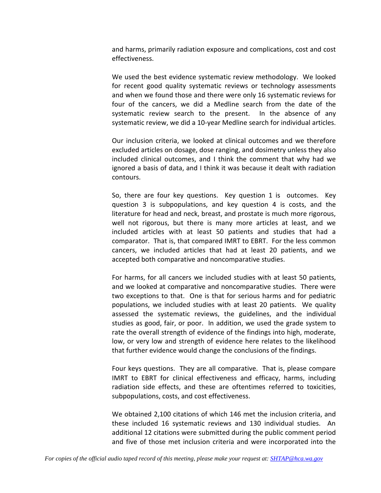and harms, primarily radiation exposure and complications, cost and cost effectiveness.

We used the best evidence systematic review methodology. We looked for recent good quality systematic reviews or technology assessments and when we found those and there were only 16 systematic reviews for four of the cancers, we did a Medline search from the date of the systematic review search to the present. In the absence of any systematic review, we did a 10-year Medline search for individual articles.

Our inclusion criteria, we looked at clinical outcomes and we therefore excluded articles on dosage, dose ranging, and dosimetry unless they also included clinical outcomes, and I think the comment that why had we ignored a basis of data, and I think it was because it dealt with radiation contours.

So, there are four key questions. Key question 1 is outcomes. Key question 3 is subpopulations, and key question 4 is costs, and the literature for head and neck, breast, and prostate is much more rigorous, well not rigorous, but there is many more articles at least, and we included articles with at least 50 patients and studies that had a comparator. That is, that compared IMRT to EBRT. For the less common cancers, we included articles that had at least 20 patients, and we accepted both comparative and noncomparative studies.

For harms, for all cancers we included studies with at least 50 patients, and we looked at comparative and noncomparative studies. There were two exceptions to that. One is that for serious harms and for pediatric populations, we included studies with at least 20 patients. We quality assessed the systematic reviews, the guidelines, and the individual studies as good, fair, or poor. In addition, we used the grade system to rate the overall strength of evidence of the findings into high, moderate, low, or very low and strength of evidence here relates to the likelihood that further evidence would change the conclusions of the findings.

Four keys questions. They are all comparative. That is, please compare IMRT to EBRT for clinical effectiveness and efficacy, harms, including radiation side effects, and these are oftentimes referred to toxicities, subpopulations, costs, and cost effectiveness.

We obtained 2,100 citations of which 146 met the inclusion criteria, and these included 16 systematic reviews and 130 individual studies. An additional 12 citations were submitted during the public comment period and five of those met inclusion criteria and were incorporated into the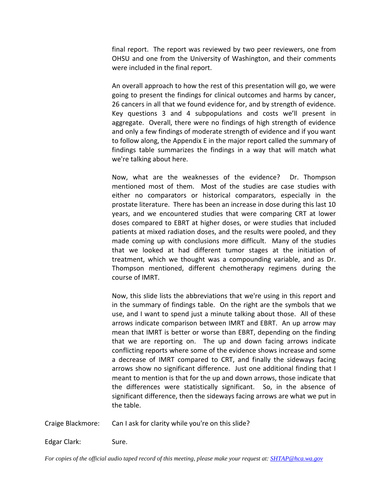final report. The report was reviewed by two peer reviewers, one from OHSU and one from the University of Washington, and their comments were included in the final report.

An overall approach to how the rest of this presentation will go, we were going to present the findings for clinical outcomes and harms by cancer, 26 cancers in all that we found evidence for, and by strength of evidence. Key questions 3 and 4 subpopulations and costs we'll present in aggregate. Overall, there were no findings of high strength of evidence and only a few findings of moderate strength of evidence and if you want to follow along, the Appendix E in the major report called the summary of findings table summarizes the findings in a way that will match what we're talking about here.

Now, what are the weaknesses of the evidence? Dr. Thompson mentioned most of them. Most of the studies are case studies with either no comparators or historical comparators, especially in the prostate literature. There has been an increase in dose during this last 10 years, and we encountered studies that were comparing CRT at lower doses compared to EBRT at higher doses, or were studies that included patients at mixed radiation doses, and the results were pooled, and they made coming up with conclusions more difficult. Many of the studies that we looked at had different tumor stages at the initiation of treatment, which we thought was a compounding variable, and as Dr. Thompson mentioned, different chemotherapy regimens during the course of IMRT.

Now, this slide lists the abbreviations that we're using in this report and in the summary of findings table. On the right are the symbols that we use, and I want to spend just a minute talking about those. All of these arrows indicate comparison between IMRT and EBRT. An up arrow may mean that IMRT is better or worse than EBRT, depending on the finding that we are reporting on. The up and down facing arrows indicate conflicting reports where some of the evidence shows increase and some a decrease of IMRT compared to CRT, and finally the sideways facing arrows show no significant difference. Just one additional finding that I meant to mention is that for the up and down arrows, those indicate that the differences were statistically significant. So, in the absence of significant difference, then the sideways facing arrows are what we put in the table.

Craige Blackmore: Can I ask for clarity while you're on this slide?

Edgar Clark: Sure.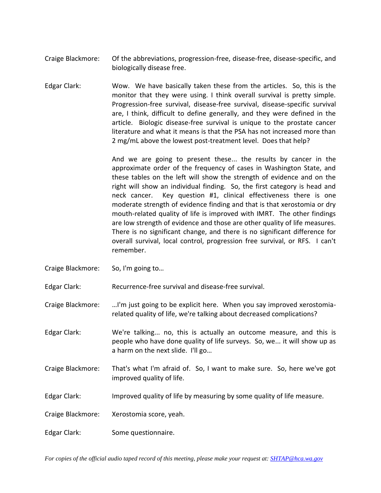- Craige Blackmore: Of the abbreviations, progression-free, disease-free, disease-specific, and biologically disease free.
- Edgar Clark: Wow. We have basically taken these from the articles. So, this is the monitor that they were using. I think overall survival is pretty simple. Progression-free survival, disease-free survival, disease-specific survival are, I think, difficult to define generally, and they were defined in the article. Biologic disease-free survival is unique to the prostate cancer literature and what it means is that the PSA has not increased more than 2 mg/mL above the lowest post-treatment level. Does that help?

And we are going to present these... the results by cancer in the approximate order of the frequency of cases in Washington State, and these tables on the left will show the strength of evidence and on the right will show an individual finding. So, the first category is head and neck cancer. Key question #1, clinical effectiveness there is one moderate strength of evidence finding and that is that xerostomia or dry mouth-related quality of life is improved with IMRT. The other findings are low strength of evidence and those are other quality of life measures. There is no significant change, and there is no significant difference for overall survival, local control, progression free survival, or RFS. I can't remember.

Craige Blackmore: So, I'm going to…

Edgar Clark: Recurrence-free survival and disease-free survival.

Craige Blackmore: …I'm just going to be explicit here. When you say improved xerostomiarelated quality of life, we're talking about decreased complications?

Edgar Clark: We're talking... no, this is actually an outcome measure, and this is people who have done quality of life surveys. So, we... it will show up as a harm on the next slide. I'll go…

- Craige Blackmore: That's what I'm afraid of. So, I want to make sure. So, here we've got improved quality of life.
- Edgar Clark: Improved quality of life by measuring by some quality of life measure.
- Craige Blackmore: Xerostomia score, yeah.
- Edgar Clark: Some questionnaire.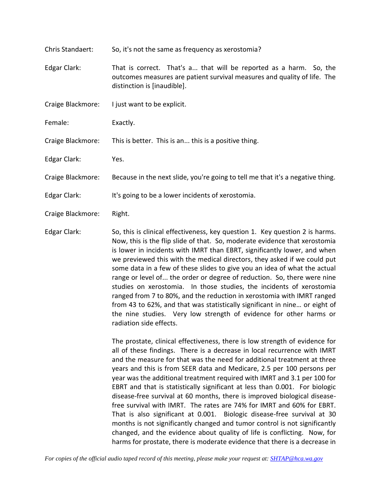| Chris Standaert:  | So, it's not the same as frequency as xerostomia?                                                                                                                             |
|-------------------|-------------------------------------------------------------------------------------------------------------------------------------------------------------------------------|
| Edgar Clark:      | That is correct. That's a that will be reported as a harm. So, the<br>outcomes measures are patient survival measures and quality of life. The<br>distinction is [inaudible]. |
| Craige Blackmore: | I just want to be explicit.                                                                                                                                                   |
| Female:           | Exactly.                                                                                                                                                                      |
| Craige Blackmore: | This is better. This is an this is a positive thing.                                                                                                                          |
| Edgar Clark:      | Yes.                                                                                                                                                                          |
| Craige Blackmore: | Because in the next slide, you're going to tell me that it's a negative thing.                                                                                                |
| Edgar Clark:      | It's going to be a lower incidents of xerostomia.                                                                                                                             |
| Craige Blackmore: | Right.                                                                                                                                                                        |

Edgar Clark: So, this is clinical effectiveness, key question 1. Key question 2 is harms. Now, this is the flip slide of that. So, moderate evidence that xerostomia is lower in incidents with IMRT than EBRT, significantly lower, and when we previewed this with the medical directors, they asked if we could put some data in a few of these slides to give you an idea of what the actual range or level of... the order or degree of reduction. So, there were nine studies on xerostomia. In those studies, the incidents of xerostomia ranged from 7 to 80%, and the reduction in xerostomia with IMRT ranged from 43 to 62%, and that was statistically significant in nine… or eight of the nine studies. Very low strength of evidence for other harms or radiation side effects.

> The prostate, clinical effectiveness, there is low strength of evidence for all of these findings. There is a decrease in local recurrence with IMRT and the measure for that was the need for additional treatment at three years and this is from SEER data and Medicare, 2.5 per 100 persons per year was the additional treatment required with IMRT and 3.1 per 100 for EBRT and that is statistically significant at less than 0.001. For biologic disease-free survival at 60 months, there is improved biological diseasefree survival with IMRT. The rates are 74% for IMRT and 60% for EBRT. That is also significant at 0.001. Biologic disease-free survival at 30 months is not significantly changed and tumor control is not significantly changed, and the evidence about quality of life is conflicting. Now, for harms for prostate, there is moderate evidence that there is a decrease in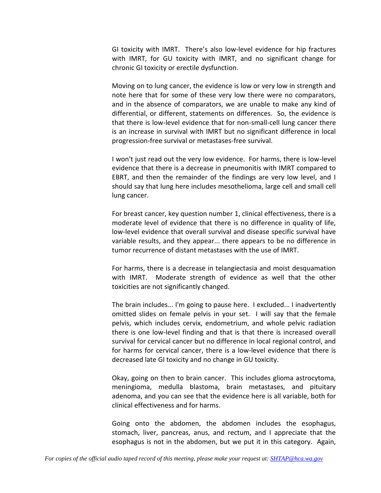GI toxicity with IMRT. There's also low-level evidence for hip fractures with IMRT, for GU toxicity with IMRT, and no significant change for chronic GI toxicity or erectile dysfunction.

Moving on to lung cancer, the evidence is low or very low in strength and note here that for some of these very low there were no comparators, and in the absence of comparators, we are unable to make any kind of differential, or different, statements on differences. So, the evidence is that there is low-level evidence that for non-small-cell lung cancer there is an increase in survival with IMRT but no significant difference in local progression-free survival or metastases-free survival.

I won't just read out the very low evidence. For harms, there is low-level evidence that there is a decrease in pneumonitis with IMRT compared to EBRT, and then the remainder of the findings are very low level, and I should say that lung here includes mesothelioma, large cell and small cell lung cancer.

For breast cancer, key question number 1, clinical effectiveness, there is a moderate level of evidence that there is no difference in quality of life, low-level evidence that overall survival and disease specific survival have variable results, and they appear... there appears to be no difference in tumor recurrence of distant metastases with the use of IMRT.

For harms, there is a decrease in telangiectasia and moist desquamation with IMRT. Moderate strength of evidence as well that the other toxicities are not significantly changed.

The brain includes... I'm going to pause here. I excluded... I inadvertently omitted slides on female pelvis in your set. I will say that the female pelvis, which includes cervix, endometrium, and whole pelvic radiation there is one low-level finding and that is that there is increased overall survival for cervical cancer but no difference in local regional control, and for harms for cervical cancer, there is a low-level evidence that there is decreased late GI toxicity and no change in GU toxicity.

Okay, going on then to brain cancer. This includes glioma astrocytoma, meningioma, medulla blastoma, brain metastases, and pituitary adenoma, and you can see that the evidence here is all variable, both for clinical effectiveness and for harms.

Going onto the abdomen, the abdomen includes the esophagus, stomach, liver, pancreas, anus, and rectum, and I appreciate that the esophagus is not in the abdomen, but we put it in this category. Again,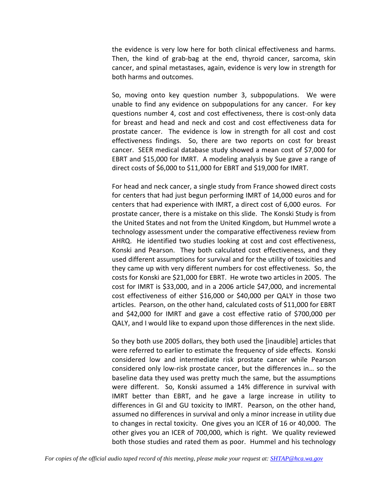the evidence is very low here for both clinical effectiveness and harms. Then, the kind of grab-bag at the end, thyroid cancer, sarcoma, skin cancer, and spinal metastases, again, evidence is very low in strength for both harms and outcomes.

So, moving onto key question number 3, subpopulations. We were unable to find any evidence on subpopulations for any cancer. For key questions number 4, cost and cost effectiveness, there is cost-only data for breast and head and neck and cost and cost effectiveness data for prostate cancer. The evidence is low in strength for all cost and cost effectiveness findings. So, there are two reports on cost for breast cancer. SEER medical database study showed a mean cost of \$7,000 for EBRT and \$15,000 for IMRT. A modeling analysis by Sue gave a range of direct costs of \$6,000 to \$11,000 for EBRT and \$19,000 for IMRT.

For head and neck cancer, a single study from France showed direct costs for centers that had just begun performing IMRT of 14,000 euros and for centers that had experience with IMRT, a direct cost of 6,000 euros. For prostate cancer, there is a mistake on this slide. The Konski Study is from the United States and not from the United Kingdom, but Hummel wrote a technology assessment under the comparative effectiveness review from AHRQ. He identified two studies looking at cost and cost effectiveness, Konski and Pearson. They both calculated cost effectiveness, and they used different assumptions for survival and for the utility of toxicities and they came up with very different numbers for cost effectiveness. So, the costs for Konski are \$21,000 for EBRT. He wrote two articles in 2005. The cost for IMRT is \$33,000, and in a 2006 article \$47,000, and incremental cost effectiveness of either \$16,000 or \$40,000 per QALY in those two articles. Pearson, on the other hand, calculated costs of \$11,000 for EBRT and \$42,000 for IMRT and gave a cost effective ratio of \$700,000 per QALY, and I would like to expand upon those differences in the next slide.

So they both use 2005 dollars, they both used the [inaudible] articles that were referred to earlier to estimate the frequency of side effects. Konski considered low and intermediate risk prostate cancer while Pearson considered only low-risk prostate cancer, but the differences in… so the baseline data they used was pretty much the same, but the assumptions were different. So, Konski assumed a 14% difference in survival with IMRT better than EBRT, and he gave a large increase in utility to differences in GI and GU toxicity to IMRT. Pearson, on the other hand, assumed no differences in survival and only a minor increase in utility due to changes in rectal toxicity. One gives you an ICER of 16 or 40,000. The other gives you an ICER of 700,000, which is right. We quality reviewed both those studies and rated them as poor. Hummel and his technology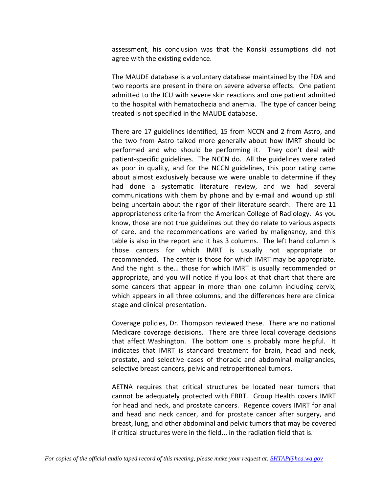assessment, his conclusion was that the Konski assumptions did not agree with the existing evidence.

The MAUDE database is a voluntary database maintained by the FDA and two reports are present in there on severe adverse effects. One patient admitted to the ICU with severe skin reactions and one patient admitted to the hospital with hematochezia and anemia. The type of cancer being treated is not specified in the MAUDE database.

There are 17 guidelines identified, 15 from NCCN and 2 from Astro, and the two from Astro talked more generally about how IMRT should be performed and who should be performing it. They don't deal with patient-specific guidelines. The NCCN do. All the guidelines were rated as poor in quality, and for the NCCN guidelines, this poor rating came about almost exclusively because we were unable to determine if they had done a systematic literature review, and we had several communications with them by phone and by e-mail and wound up still being uncertain about the rigor of their literature search. There are 11 appropriateness criteria from the American College of Radiology. As you know, those are not true guidelines but they do relate to various aspects of care, and the recommendations are varied by malignancy, and this table is also in the report and it has 3 columns. The left hand column is those cancers for which IMRT is usually not appropriate or recommended. The center is those for which IMRT may be appropriate. And the right is the… those for which IMRT is usually recommended or appropriate, and you will notice if you look at that chart that there are some cancers that appear in more than one column including cervix, which appears in all three columns, and the differences here are clinical stage and clinical presentation.

Coverage policies, Dr. Thompson reviewed these. There are no national Medicare coverage decisions. There are three local coverage decisions that affect Washington. The bottom one is probably more helpful. It indicates that IMRT is standard treatment for brain, head and neck, prostate, and selective cases of thoracic and abdominal malignancies, selective breast cancers, pelvic and retroperitoneal tumors.

AETNA requires that critical structures be located near tumors that cannot be adequately protected with EBRT. Group Health covers IMRT for head and neck, and prostate cancers. Regence covers IMRT for anal and head and neck cancer, and for prostate cancer after surgery, and breast, lung, and other abdominal and pelvic tumors that may be covered if critical structures were in the field... in the radiation field that is.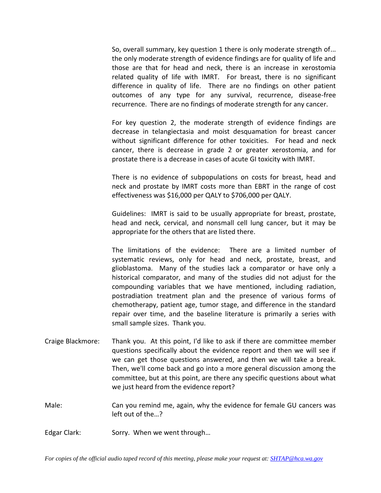So, overall summary, key question 1 there is only moderate strength of... the only moderate strength of evidence findings are for quality of life and those are that for head and neck, there is an increase in xerostomia related quality of life with IMRT. For breast, there is no significant difference in quality of life. There are no findings on other patient outcomes of any type for any survival, recurrence, disease-free recurrence. There are no findings of moderate strength for any cancer.

For key question 2, the moderate strength of evidence findings are decrease in telangiectasia and moist desquamation for breast cancer without significant difference for other toxicities. For head and neck cancer, there is decrease in grade 2 or greater xerostomia, and for prostate there is a decrease in cases of acute GI toxicity with IMRT.

There is no evidence of subpopulations on costs for breast, head and neck and prostate by IMRT costs more than EBRT in the range of cost effectiveness was \$16,000 per QALY to \$706,000 per QALY.

Guidelines: IMRT is said to be usually appropriate for breast, prostate, head and neck, cervical, and nonsmall cell lung cancer, but it may be appropriate for the others that are listed there.

The limitations of the evidence: There are a limited number of systematic reviews, only for head and neck, prostate, breast, and glioblastoma. Many of the studies lack a comparator or have only a historical comparator, and many of the studies did not adjust for the compounding variables that we have mentioned, including radiation, postradiation treatment plan and the presence of various forms of chemotherapy, patient age, tumor stage, and difference in the standard repair over time, and the baseline literature is primarily a series with small sample sizes. Thank you.

- Craige Blackmore: Thank you. At this point, I'd like to ask if there are committee member questions specifically about the evidence report and then we will see if we can get those questions answered, and then we will take a break. Then, we'll come back and go into a more general discussion among the committee, but at this point, are there any specific questions about what we just heard from the evidence report?
- Male: Can you remind me, again, why the evidence for female GU cancers was left out of the…?
- Edgar Clark: Sorry. When we went through...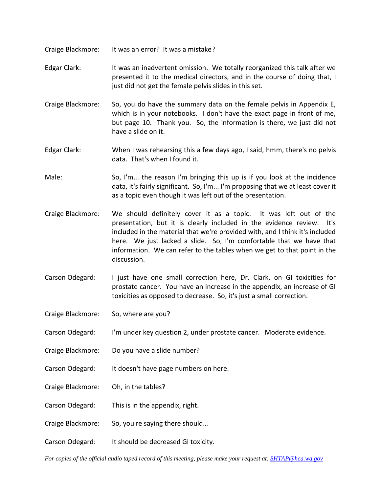Craige Blackmore: It was an error? It was a mistake?

- Edgar Clark: It was an inadvertent omission. We totally reorganized this talk after we presented it to the medical directors, and in the course of doing that, I just did not get the female pelvis slides in this set.
- Craige Blackmore: So, you do have the summary data on the female pelvis in Appendix E, which is in your notebooks. I don't have the exact page in front of me, but page 10. Thank you. So, the information is there, we just did not have a slide on it.
- Edgar Clark: When I was rehearsing this a few days ago, I said, hmm, there's no pelvis data. That's when I found it.
- Male: So, I'm... the reason I'm bringing this up is if you look at the incidence data, it's fairly significant. So, I'm... I'm proposing that we at least cover it as a topic even though it was left out of the presentation.
- Craige Blackmore: We should definitely cover it as a topic. It was left out of the presentation, but it is clearly included in the evidence review. It's included in the material that we're provided with, and I think it's included here. We just lacked a slide. So, I'm comfortable that we have that information. We can refer to the tables when we get to that point in the discussion.
- Carson Odegard: I just have one small correction here, Dr. Clark, on GI toxicities for prostate cancer. You have an increase in the appendix, an increase of GI toxicities as opposed to decrease. So, it's just a small correction.
- Craige Blackmore: So, where are you?
- Carson Odegard: I'm under key question 2, under prostate cancer. Moderate evidence.
- Craige Blackmore: Do you have a slide number?
- Carson Odegard: It doesn't have page numbers on here.
- Craige Blackmore: Oh, in the tables?
- Carson Odegard: This is in the appendix, right.
- Craige Blackmore: So, you're saying there should…
- Carson Odegard: It should be decreased GI toxicity.

*For copies of the official audio taped record of this meeting, please make your request at[: SHTAP@hca.wa.gov](mailto:SHTAP@hca.wa.gov)*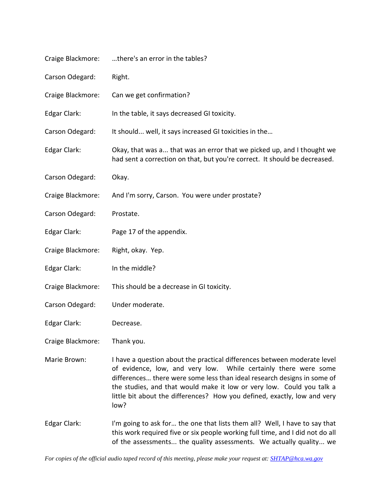| Craige Blackmore: | there's an error in the tables?                                                                                                                                                                                                                                                                                                                                                     |
|-------------------|-------------------------------------------------------------------------------------------------------------------------------------------------------------------------------------------------------------------------------------------------------------------------------------------------------------------------------------------------------------------------------------|
| Carson Odegard:   | Right.                                                                                                                                                                                                                                                                                                                                                                              |
| Craige Blackmore: | Can we get confirmation?                                                                                                                                                                                                                                                                                                                                                            |
| Edgar Clark:      | In the table, it says decreased GI toxicity.                                                                                                                                                                                                                                                                                                                                        |
| Carson Odegard:   | It should well, it says increased GI toxicities in the                                                                                                                                                                                                                                                                                                                              |
| Edgar Clark:      | Okay, that was a that was an error that we picked up, and I thought we<br>had sent a correction on that, but you're correct. It should be decreased.                                                                                                                                                                                                                                |
| Carson Odegard:   | Okay.                                                                                                                                                                                                                                                                                                                                                                               |
| Craige Blackmore: | And I'm sorry, Carson. You were under prostate?                                                                                                                                                                                                                                                                                                                                     |
| Carson Odegard:   | Prostate.                                                                                                                                                                                                                                                                                                                                                                           |
| Edgar Clark:      | Page 17 of the appendix.                                                                                                                                                                                                                                                                                                                                                            |
| Craige Blackmore: | Right, okay. Yep.                                                                                                                                                                                                                                                                                                                                                                   |
| Edgar Clark:      | In the middle?                                                                                                                                                                                                                                                                                                                                                                      |
| Craige Blackmore: | This should be a decrease in GI toxicity.                                                                                                                                                                                                                                                                                                                                           |
| Carson Odegard:   | Under moderate.                                                                                                                                                                                                                                                                                                                                                                     |
| Edgar Clark:      | Decrease.                                                                                                                                                                                                                                                                                                                                                                           |
| Craige Blackmore: | Thank you.                                                                                                                                                                                                                                                                                                                                                                          |
| Marie Brown:      | I have a question about the practical differences between moderate level<br>of evidence, low, and very low. While certainly there were some<br>differences there were some less than ideal research designs in some of<br>the studies, and that would make it low or very low. Could you talk a<br>little bit about the differences? How you defined, exactly, low and very<br>low? |
| Edgar Clark:      | I'm going to ask for the one that lists them all? Well, I have to say that<br>this work required five or six people working full time, and I did not do all<br>of the assessments the quality assessments. We actually quality we                                                                                                                                                   |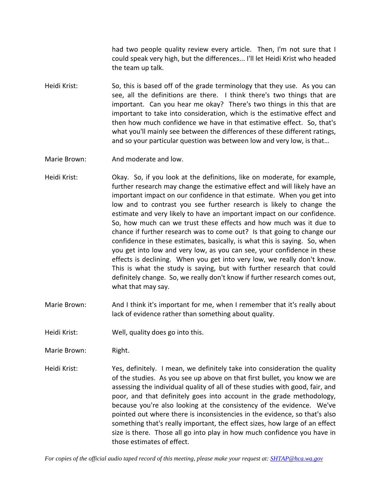had two people quality review every article. Then, I'm not sure that I could speak very high, but the differences... I'll let Heidi Krist who headed the team up talk.

Heidi Krist: So, this is based off of the grade terminology that they use. As you can see, all the definitions are there. I think there's two things that are important. Can you hear me okay? There's two things in this that are important to take into consideration, which is the estimative effect and then how much confidence we have in that estimative effect. So, that's what you'll mainly see between the differences of these different ratings, and so your particular question was between low and very low, is that…

Marie Brown: And moderate and low.

- Heidi Krist: Okay. So, if you look at the definitions, like on moderate, for example, further research may change the estimative effect and will likely have an important impact on our confidence in that estimate. When you get into low and to contrast you see further research is likely to change the estimate and very likely to have an important impact on our confidence. So, how much can we trust these effects and how much was it due to chance if further research was to come out? Is that going to change our confidence in these estimates, basically, is what this is saying. So, when you get into low and very low, as you can see, your confidence in these effects is declining. When you get into very low, we really don't know. This is what the study is saying, but with further research that could definitely change. So, we really don't know if further research comes out, what that may say.
- Marie Brown: And I think it's important for me, when I remember that it's really about lack of evidence rather than something about quality.
- Heidi Krist: Well, quality does go into this.
- Marie Brown: Right.
- Heidi Krist: Yes, definitely. I mean, we definitely take into consideration the quality of the studies. As you see up above on that first bullet, you know we are assessing the individual quality of all of these studies with good, fair, and poor, and that definitely goes into account in the grade methodology, because you're also looking at the consistency of the evidence. We've pointed out where there is inconsistencies in the evidence, so that's also something that's really important, the effect sizes, how large of an effect size is there. Those all go into play in how much confidence you have in those estimates of effect.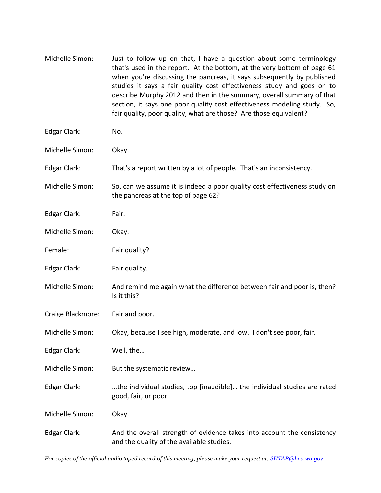| Michelle Simon:   | Just to follow up on that, I have a question about some terminology<br>that's used in the report. At the bottom, at the very bottom of page 61<br>when you're discussing the pancreas, it says subsequently by published<br>studies it says a fair quality cost effectiveness study and goes on to<br>describe Murphy 2012 and then in the summary, overall summary of that<br>section, it says one poor quality cost effectiveness modeling study. So,<br>fair quality, poor quality, what are those? Are those equivalent? |
|-------------------|------------------------------------------------------------------------------------------------------------------------------------------------------------------------------------------------------------------------------------------------------------------------------------------------------------------------------------------------------------------------------------------------------------------------------------------------------------------------------------------------------------------------------|
| Edgar Clark:      | No.                                                                                                                                                                                                                                                                                                                                                                                                                                                                                                                          |
| Michelle Simon:   | Okay.                                                                                                                                                                                                                                                                                                                                                                                                                                                                                                                        |
| Edgar Clark:      | That's a report written by a lot of people. That's an inconsistency.                                                                                                                                                                                                                                                                                                                                                                                                                                                         |
| Michelle Simon:   | So, can we assume it is indeed a poor quality cost effectiveness study on<br>the pancreas at the top of page 62?                                                                                                                                                                                                                                                                                                                                                                                                             |
| Edgar Clark:      | Fair.                                                                                                                                                                                                                                                                                                                                                                                                                                                                                                                        |
| Michelle Simon:   | Okay.                                                                                                                                                                                                                                                                                                                                                                                                                                                                                                                        |
| Female:           | Fair quality?                                                                                                                                                                                                                                                                                                                                                                                                                                                                                                                |
| Edgar Clark:      | Fair quality.                                                                                                                                                                                                                                                                                                                                                                                                                                                                                                                |
| Michelle Simon:   | And remind me again what the difference between fair and poor is, then?<br>Is it this?                                                                                                                                                                                                                                                                                                                                                                                                                                       |
| Craige Blackmore: | Fair and poor.                                                                                                                                                                                                                                                                                                                                                                                                                                                                                                               |
| Michelle Simon:   | Okay, because I see high, moderate, and low. I don't see poor, fair.                                                                                                                                                                                                                                                                                                                                                                                                                                                         |
| Edgar Clark:      | Well, the                                                                                                                                                                                                                                                                                                                                                                                                                                                                                                                    |
| Michelle Simon:   | But the systematic review                                                                                                                                                                                                                                                                                                                                                                                                                                                                                                    |
| Edgar Clark:      | the individual studies, top [inaudible] the individual studies are rated<br>good, fair, or poor.                                                                                                                                                                                                                                                                                                                                                                                                                             |
| Michelle Simon:   | Okay.                                                                                                                                                                                                                                                                                                                                                                                                                                                                                                                        |
| Edgar Clark:      | And the overall strength of evidence takes into account the consistency<br>and the quality of the available studies.                                                                                                                                                                                                                                                                                                                                                                                                         |

*For copies of the official audio taped record of this meeting, please make your request at[: SHTAP@hca.wa.gov](mailto:SHTAP@hca.wa.gov)*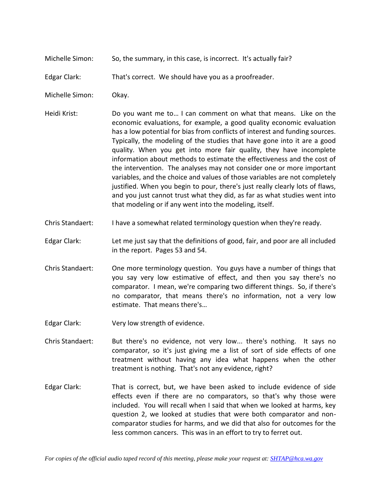- Michelle Simon: So, the summary, in this case, is incorrect. It's actually fair?
- Edgar Clark: That's correct. We should have you as a proofreader.
- Michelle Simon: Okay.
- Heidi Krist: Do you want me to… I can comment on what that means. Like on the economic evaluations, for example, a good quality economic evaluation has a low potential for bias from conflicts of interest and funding sources. Typically, the modeling of the studies that have gone into it are a good quality. When you get into more fair quality, they have incomplete information about methods to estimate the effectiveness and the cost of the intervention. The analyses may not consider one or more important variables, and the choice and values of those variables are not completely justified. When you begin to pour, there's just really clearly lots of flaws, and you just cannot trust what they did, as far as what studies went into that modeling or if any went into the modeling, itself.
- Chris Standaert: I have a somewhat related terminology question when they're ready.
- Edgar Clark: Let me just say that the definitions of good, fair, and poor are all included in the report. Pages 53 and 54.
- Chris Standaert: One more terminology question. You guys have a number of things that you say very low estimative of effect, and then you say there's no comparator. I mean, we're comparing two different things. So, if there's no comparator, that means there's no information, not a very low estimate. That means there's…
- Edgar Clark: Very low strength of evidence.
- Chris Standaert: But there's no evidence, not very low... there's nothing. It says no comparator, so it's just giving me a list of sort of side effects of one treatment without having any idea what happens when the other treatment is nothing. That's not any evidence, right?
- Edgar Clark: That is correct, but, we have been asked to include evidence of side effects even if there are no comparators, so that's why those were included. You will recall when I said that when we looked at harms, key question 2, we looked at studies that were both comparator and noncomparator studies for harms, and we did that also for outcomes for the less common cancers. This was in an effort to try to ferret out.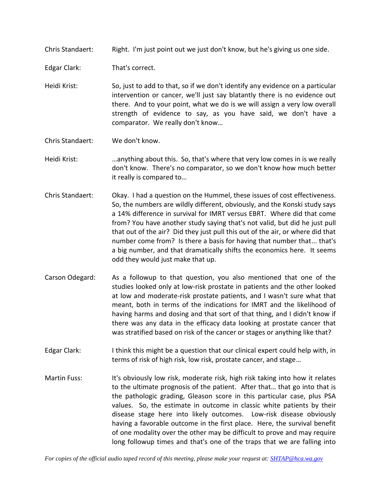Chris Standaert: Right. I'm just point out we just don't know, but he's giving us one side.

Edgar Clark: That's correct.

- Heidi Krist: So, just to add to that, so if we don't identify any evidence on a particular intervention or cancer, we'll just say blatantly there is no evidence out there. And to your point, what we do is we will assign a very low overall strength of evidence to say, as you have said, we don't have a comparator. We really don't know…
- Chris Standaert: We don't know.
- Heidi Krist: …anything about this. So, that's where that very low comes in is we really don't know. There's no comparator, so we don't know how much better it really is compared to…
- Chris Standaert: Okay. I had a question on the Hummel, these issues of cost effectiveness. So, the numbers are wildly different, obviously, and the Konski study says a 14% difference in survival for IMRT versus EBRT. Where did that come from? You have another study saying that's not valid, but did he just pull that out of the air? Did they just pull this out of the air, or where did that number come from? Is there a basis for having that number that... that's a big number, and that dramatically shifts the economics here. It seems odd they would just make that up.
- Carson Odegard: As a followup to that question, you also mentioned that one of the studies looked only at low-risk prostate in patients and the other looked at low and moderate-risk prostate patients, and I wasn't sure what that meant, both in terms of the indications for IMRT and the likelihood of having harms and dosing and that sort of that thing, and I didn't know if there was any data in the efficacy data looking at prostate cancer that was stratified based on risk of the cancer or stages or anything like that?
- Edgar Clark: I think this might be a question that our clinical expert could help with, in terms of risk of high risk, low risk, prostate cancer, and stage…
- Martin Fuss: It's obviously low risk, moderate risk, high risk taking into how it relates to the ultimate prognosis of the patient. After that… that go into that is the pathologic grading, Gleason score in this particular case, plus PSA values. So, the estimate in outcome in classic white patients by their disease stage here into likely outcomes. Low-risk disease obviously having a favorable outcome in the first place. Here, the survival benefit of one modality over the other may be difficult to prove and may require long followup times and that's one of the traps that we are falling into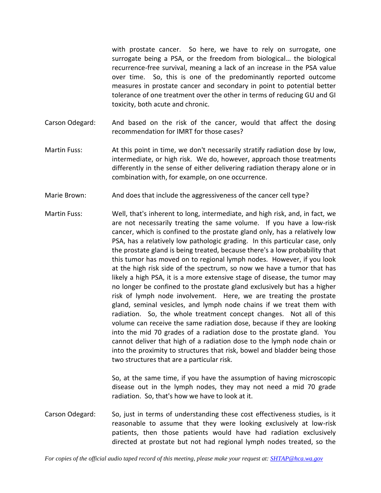with prostate cancer. So here, we have to rely on surrogate, one surrogate being a PSA, or the freedom from biological… the biological recurrence-free survival, meaning a lack of an increase in the PSA value over time. So, this is one of the predominantly reported outcome measures in prostate cancer and secondary in point to potential better tolerance of one treatment over the other in terms of reducing GU and GI toxicity, both acute and chronic.

- Carson Odegard: And based on the risk of the cancer, would that affect the dosing recommendation for IMRT for those cases?
- Martin Fuss: At this point in time, we don't necessarily stratify radiation dose by low, intermediate, or high risk. We do, however, approach those treatments differently in the sense of either delivering radiation therapy alone or in combination with, for example, on one occurrence.
- Marie Brown: And does that include the aggressiveness of the cancer cell type?
- Martin Fuss: Well, that's inherent to long, intermediate, and high risk, and, in fact, we are not necessarily treating the same volume. If you have a low-risk cancer, which is confined to the prostate gland only, has a relatively low PSA, has a relatively low pathologic grading. In this particular case, only the prostate gland is being treated, because there's a low probability that this tumor has moved on to regional lymph nodes. However, if you look at the high risk side of the spectrum, so now we have a tumor that has likely a high PSA, it is a more extensive stage of disease, the tumor may no longer be confined to the prostate gland exclusively but has a higher risk of lymph node involvement. Here, we are treating the prostate gland, seminal vesicles, and lymph node chains if we treat them with radiation. So, the whole treatment concept changes. Not all of this volume can receive the same radiation dose, because if they are looking into the mid 70 grades of a radiation dose to the prostate gland. You cannot deliver that high of a radiation dose to the lymph node chain or into the proximity to structures that risk, bowel and bladder being those two structures that are a particular risk.

So, at the same time, if you have the assumption of having microscopic disease out in the lymph nodes, they may not need a mid 70 grade radiation. So, that's how we have to look at it.

Carson Odegard: So, just in terms of understanding these cost effectiveness studies, is it reasonable to assume that they were looking exclusively at low-risk patients, then those patients would have had radiation exclusively directed at prostate but not had regional lymph nodes treated, so the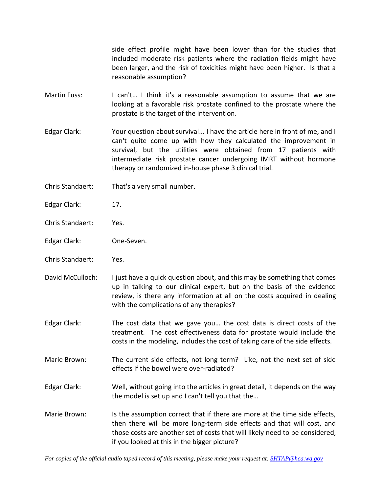side effect profile might have been lower than for the studies that included moderate risk patients where the radiation fields might have been larger, and the risk of toxicities might have been higher. Is that a reasonable assumption?

- Martin Fuss: I can't... I think it's a reasonable assumption to assume that we are looking at a favorable risk prostate confined to the prostate where the prostate is the target of the intervention.
- Edgar Clark: Your question about survival... I have the article here in front of me, and I can't quite come up with how they calculated the improvement in survival, but the utilities were obtained from 17 patients with intermediate risk prostate cancer undergoing IMRT without hormone therapy or randomized in-house phase 3 clinical trial.
- Chris Standaert: That's a very small number.
- Edgar Clark: 17.
- Chris Standaert: Yes.
- Edgar Clark: One-Seven.
- Chris Standaert: Yes.
- David McCulloch: I just have a quick question about, and this may be something that comes up in talking to our clinical expert, but on the basis of the evidence review, is there any information at all on the costs acquired in dealing with the complications of any therapies?
- Edgar Clark: The cost data that we gave you… the cost data is direct costs of the treatment. The cost effectiveness data for prostate would include the costs in the modeling, includes the cost of taking care of the side effects.
- Marie Brown: The current side effects, not long term? Like, not the next set of side effects if the bowel were over-radiated?
- Edgar Clark: Well, without going into the articles in great detail, it depends on the way the model is set up and I can't tell you that the…
- Marie Brown: Is the assumption correct that if there are more at the time side effects, then there will be more long-term side effects and that will cost, and those costs are another set of costs that will likely need to be considered, if you looked at this in the bigger picture?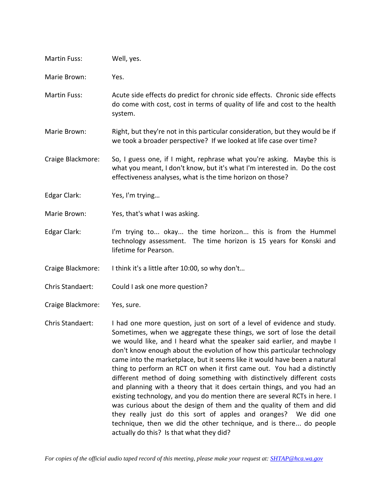| Martin Fuss: | Well, yes. |
|--------------|------------|
|--------------|------------|

Marie Brown: Yes.

- Martin Fuss: Acute side effects do predict for chronic side effects. Chronic side effects do come with cost, cost in terms of quality of life and cost to the health system.
- Marie Brown: Right, but they're not in this particular consideration, but they would be if we took a broader perspective? If we looked at life case over time?
- Craige Blackmore: So, I guess one, if I might, rephrase what you're asking. Maybe this is what you meant, I don't know, but it's what I'm interested in. Do the cost effectiveness analyses, what is the time horizon on those?
- Edgar Clark: Yes, I'm trying…
- Marie Brown: Yes, that's what I was asking.
- Edgar Clark: I'm trying to... okay... the time horizon... this is from the Hummel technology assessment. The time horizon is 15 years for Konski and lifetime for Pearson.

Craige Blackmore: I think it's a little after 10:00, so why don't…

Chris Standaert: Could I ask one more question?

- Craige Blackmore: Yes, sure.
- Chris Standaert: I had one more question, just on sort of a level of evidence and study. Sometimes, when we aggregate these things, we sort of lose the detail we would like, and I heard what the speaker said earlier, and maybe I don't know enough about the evolution of how this particular technology came into the marketplace, but it seems like it would have been a natural thing to perform an RCT on when it first came out. You had a distinctly different method of doing something with distinctively different costs and planning with a theory that it does certain things, and you had an existing technology, and you do mention there are several RCTs in here. I was curious about the design of them and the quality of them and did they really just do this sort of apples and oranges? We did one technique, then we did the other technique, and is there... do people actually do this? Is that what they did?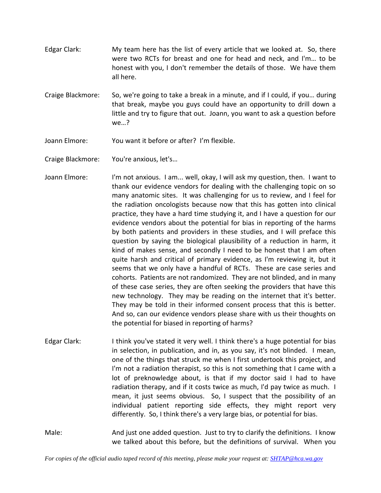- Edgar Clark: My team here has the list of every article that we looked at. So, there were two RCTs for breast and one for head and neck, and I'm… to be honest with you, I don't remember the details of those. We have them all here.
- Craige Blackmore: So, we're going to take a break in a minute, and if I could, if you… during that break, maybe you guys could have an opportunity to drill down a little and try to figure that out. Joann, you want to ask a question before we…?
- Joann Elmore: You want it before or after? I'm flexible.
- Craige Blackmore: You're anxious, let's…
- Joann Elmore: I'm not anxious. I am... well, okay, I will ask my question, then. I want to thank our evidence vendors for dealing with the challenging topic on so many anatomic sites. It was challenging for us to review, and I feel for the radiation oncologists because now that this has gotten into clinical practice, they have a hard time studying it, and I have a question for our evidence vendors about the potential for bias in reporting of the harms by both patients and providers in these studies, and I will preface this question by saying the biological plausibility of a reduction in harm, it kind of makes sense, and secondly I need to be honest that I am often quite harsh and critical of primary evidence, as I'm reviewing it, but it seems that we only have a handful of RCTs. These are case series and cohorts. Patients are not randomized. They are not blinded, and in many of these case series, they are often seeking the providers that have this new technology. They may be reading on the internet that it's better. They may be told in their informed consent process that this is better. And so, can our evidence vendors please share with us their thoughts on the potential for biased in reporting of harms?
- Edgar Clark: I think you've stated it very well. I think there's a huge potential for bias in selection, in publication, and in, as you say, it's not blinded. I mean, one of the things that struck me when I first undertook this project, and I'm not a radiation therapist, so this is not something that I came with a lot of preknowledge about, is that if my doctor said I had to have radiation therapy, and if it costs twice as much, I'd pay twice as much. I mean, it just seems obvious. So, I suspect that the possibility of an individual patient reporting side effects, they might report very differently. So, I think there's a very large bias, or potential for bias.
- Male: And just one added question. Just to try to clarify the definitions. I know we talked about this before, but the definitions of survival. When you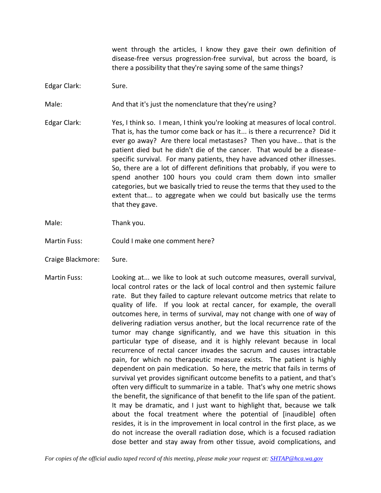went through the articles, I know they gave their own definition of disease-free versus progression-free survival, but across the board, is there a possibility that they're saying some of the same things?

Edgar Clark: Sure.

Male: And that it's just the nomenclature that they're using?

- Edgar Clark: Yes, I think so. I mean, I think you're looking at measures of local control. That is, has the tumor come back or has it... is there a recurrence? Did it ever go away? Are there local metastases? Then you have… that is the patient died but he didn't die of the cancer. That would be a diseasespecific survival. For many patients, they have advanced other illnesses. So, there are a lot of different definitions that probably, if you were to spend another 100 hours you could cram them down into smaller categories, but we basically tried to reuse the terms that they used to the extent that... to aggregate when we could but basically use the terms that they gave.
- Male: Thank you.
- Martin Fuss: Could I make one comment here?
- Craige Blackmore: Sure.
- Martin Fuss: Looking at... we like to look at such outcome measures, overall survival, local control rates or the lack of local control and then systemic failure rate. But they failed to capture relevant outcome metrics that relate to quality of life. If you look at rectal cancer, for example, the overall outcomes here, in terms of survival, may not change with one of way of delivering radiation versus another, but the local recurrence rate of the tumor may change significantly, and we have this situation in this particular type of disease, and it is highly relevant because in local recurrence of rectal cancer invades the sacrum and causes intractable pain, for which no therapeutic measure exists. The patient is highly dependent on pain medication. So here, the metric that fails in terms of survival yet provides significant outcome benefits to a patient, and that's often very difficult to summarize in a table. That's why one metric shows the benefit, the significance of that benefit to the life span of the patient. It may be dramatic, and I just want to highlight that, because we talk about the focal treatment where the potential of [inaudible] often resides, it is in the improvement in local control in the first place, as we do not increase the overall radiation dose, which is a focused radiation dose better and stay away from other tissue, avoid complications, and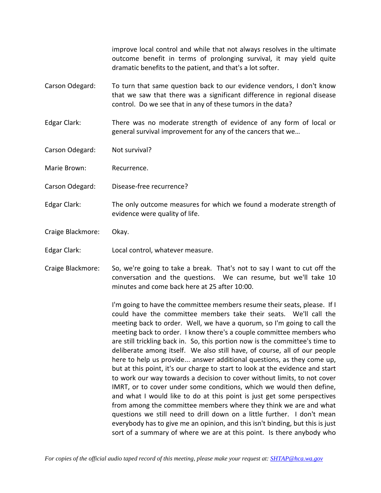improve local control and while that not always resolves in the ultimate outcome benefit in terms of prolonging survival, it may yield quite dramatic benefits to the patient, and that's a lot softer.

- Carson Odegard: To turn that same question back to our evidence vendors, I don't know that we saw that there was a significant difference in regional disease control. Do we see that in any of these tumors in the data?
- Edgar Clark: There was no moderate strength of evidence of any form of local or general survival improvement for any of the cancers that we…

Carson Odegard: Not survival?

Marie Brown: Recurrence.

- Carson Odegard: Disease-free recurrence?
- Edgar Clark: The only outcome measures for which we found a moderate strength of evidence were quality of life.
- Craige Blackmore: Okay.
- Edgar Clark: Local control, whatever measure.
- Craige Blackmore: So, we're going to take a break. That's not to say I want to cut off the conversation and the questions. We can resume, but we'll take 10 minutes and come back here at 25 after 10:00.

I'm going to have the committee members resume their seats, please. If I could have the committee members take their seats. We'll call the meeting back to order. Well, we have a quorum, so I'm going to call the meeting back to order. I know there's a couple committee members who are still trickling back in. So, this portion now is the committee's time to deliberate among itself. We also still have, of course, all of our people here to help us provide... answer additional questions, as they come up, but at this point, it's our charge to start to look at the evidence and start to work our way towards a decision to cover without limits, to not cover IMRT, or to cover under some conditions, which we would then define, and what I would like to do at this point is just get some perspectives from among the committee members where they think we are and what questions we still need to drill down on a little further. I don't mean everybody has to give me an opinion, and this isn't binding, but this is just sort of a summary of where we are at this point. Is there anybody who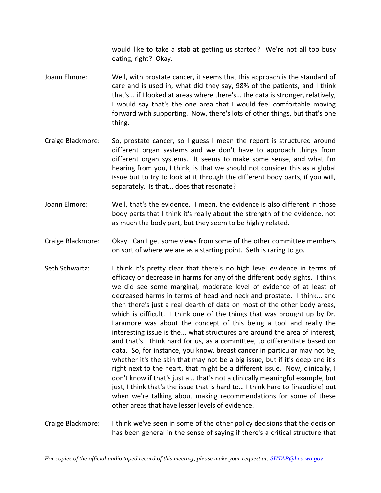would like to take a stab at getting us started? We're not all too busy eating, right? Okay.

- Joann Elmore: Well, with prostate cancer, it seems that this approach is the standard of care and is used in, what did they say, 98% of the patients, and I think that's... if I looked at areas where there's… the data is stronger, relatively, I would say that's the one area that I would feel comfortable moving forward with supporting. Now, there's lots of other things, but that's one thing.
- Craige Blackmore: So, prostate cancer, so I guess I mean the report is structured around different organ systems and we don't have to approach things from different organ systems. It seems to make some sense, and what I'm hearing from you, I think, is that we should not consider this as a global issue but to try to look at it through the different body parts, if you will, separately. Is that... does that resonate?
- Joann Elmore: Well, that's the evidence. I mean, the evidence is also different in those body parts that I think it's really about the strength of the evidence, not as much the body part, but they seem to be highly related.
- Craige Blackmore: Okay. Can I get some views from some of the other committee members on sort of where we are as a starting point. Seth is raring to go.
- Seth Schwartz: I think it's pretty clear that there's no high level evidence in terms of efficacy or decrease in harms for any of the different body sights. I think we did see some marginal, moderate level of evidence of at least of decreased harms in terms of head and neck and prostate. I think... and then there's just a real dearth of data on most of the other body areas, which is difficult. I think one of the things that was brought up by Dr. Laramore was about the concept of this being a tool and really the interesting issue is the... what structures are around the area of interest, and that's I think hard for us, as a committee, to differentiate based on data. So, for instance, you know, breast cancer in particular may not be, whether it's the skin that may not be a big issue, but if it's deep and it's right next to the heart, that might be a different issue. Now, clinically, I don't know if that's just a... that's not a clinically meaningful example, but just, I think that's the issue that is hard to… I think hard to [inaudible] out when we're talking about making recommendations for some of these other areas that have lesser levels of evidence.
- Craige Blackmore: I think we've seen in some of the other policy decisions that the decision has been general in the sense of saying if there's a critical structure that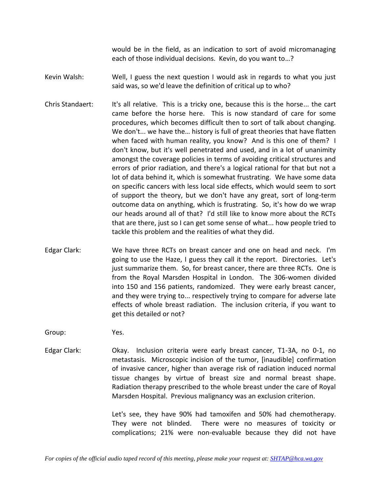would be in the field, as an indication to sort of avoid micromanaging each of those individual decisions. Kevin, do you want to…?

- Kevin Walsh: Well, I guess the next question I would ask in regards to what you just said was, so we'd leave the definition of critical up to who?
- Chris Standaert: It's all relative. This is a tricky one, because this is the horse... the cart came before the horse here. This is now standard of care for some procedures, which becomes difficult then to sort of talk about changing. We don't... we have the... history is full of great theories that have flatten when faced with human reality, you know? And is this one of them? I don't know, but it's well penetrated and used, and in a lot of unanimity amongst the coverage policies in terms of avoiding critical structures and errors of prior radiation, and there's a logical rational for that but not a lot of data behind it, which is somewhat frustrating. We have some data on specific cancers with less local side effects, which would seem to sort of support the theory, but we don't have any great, sort of long-term outcome data on anything, which is frustrating. So, it's how do we wrap our heads around all of that? I'd still like to know more about the RCTs that are there, just so I can get some sense of what... how people tried to tackle this problem and the realities of what they did.
- Edgar Clark: We have three RCTs on breast cancer and one on head and neck. I'm going to use the Haze, I guess they call it the report. Directories. Let's just summarize them. So, for breast cancer, there are three RCTs. One is from the Royal Marsden Hospital in London. The 306-women divided into 150 and 156 patients, randomized. They were early breast cancer, and they were trying to... respectively trying to compare for adverse late effects of whole breast radiation. The inclusion criteria, if you want to get this detailed or not?

Group: Yes.

Edgar Clark: Okay. Inclusion criteria were early breast cancer, T1-3A, no 0-1, no metastasis. Microscopic incision of the tumor, [inaudible] confirmation of invasive cancer, higher than average risk of radiation induced normal tissue changes by virtue of breast size and normal breast shape. Radiation therapy prescribed to the whole breast under the care of Royal Marsden Hospital. Previous malignancy was an exclusion criterion.

> Let's see, they have 90% had tamoxifen and 50% had chemotherapy. They were not blinded. There were no measures of toxicity or complications; 21% were non-evaluable because they did not have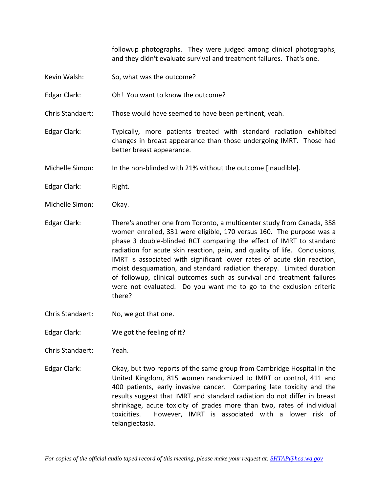followup photographs. They were judged among clinical photographs, and they didn't evaluate survival and treatment failures. That's one.

- Kevin Walsh: So, what was the outcome?
- Edgar Clark: Oh! You want to know the outcome?
- Chris Standaert: Those would have seemed to have been pertinent, yeah.
- Edgar Clark: Typically, more patients treated with standard radiation exhibited changes in breast appearance than those undergoing IMRT. Those had better breast appearance.

Michelle Simon: In the non-blinded with 21% without the outcome [inaudible].

- Edgar Clark: Right.
- Michelle Simon: Okay.
- Edgar Clark: There's another one from Toronto, a multicenter study from Canada, 358 women enrolled, 331 were eligible, 170 versus 160. The purpose was a phase 3 double-blinded RCT comparing the effect of IMRT to standard radiation for acute skin reaction, pain, and quality of life. Conclusions, IMRT is associated with significant lower rates of acute skin reaction, moist desquamation, and standard radiation therapy. Limited duration of followup, clinical outcomes such as survival and treatment failures were not evaluated. Do you want me to go to the exclusion criteria there?
- Chris Standaert: No, we got that one.
- Edgar Clark: We got the feeling of it?
- Chris Standaert: Yeah.
- Edgar Clark: Okay, but two reports of the same group from Cambridge Hospital in the United Kingdom, 815 women randomized to IMRT or control, 411 and 400 patients, early invasive cancer. Comparing late toxicity and the results suggest that IMRT and standard radiation do not differ in breast shrinkage, acute toxicity of grades more than two, rates of individual toxicities. However, IMRT is associated with a lower risk of telangiectasia.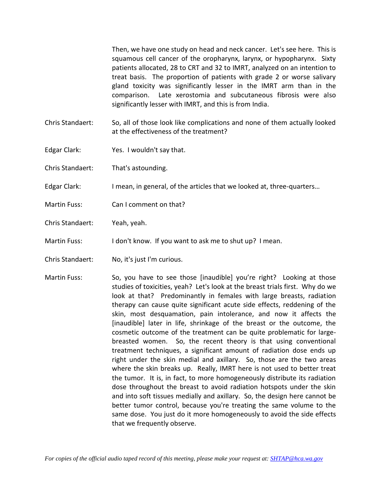Then, we have one study on head and neck cancer. Let's see here. This is squamous cell cancer of the oropharynx, larynx, or hypopharynx. Sixty patients allocated, 28 to CRT and 32 to IMRT, analyzed on an intention to treat basis. The proportion of patients with grade 2 or worse salivary gland toxicity was significantly lesser in the IMRT arm than in the comparison. Late xerostomia and subcutaneous fibrosis were also significantly lesser with IMRT, and this is from India.

- Chris Standaert: So, all of those look like complications and none of them actually looked at the effectiveness of the treatment?
- Edgar Clark: Yes. I wouldn't say that.
- Chris Standaert: That's astounding.
- Edgar Clark: I mean, in general, of the articles that we looked at, three-quarters...
- Martin Fuss: Can I comment on that?
- Chris Standaert: Yeah, yeah.
- Martin Fuss: I don't know. If you want to ask me to shut up? I mean.
- Chris Standaert: No, it's just I'm curious.
- Martin Fuss: So, you have to see those [inaudible] you're right? Looking at those studies of toxicities, yeah? Let's look at the breast trials first. Why do we look at that? Predominantly in females with large breasts, radiation therapy can cause quite significant acute side effects, reddening of the skin, most desquamation, pain intolerance, and now it affects the [inaudible] later in life, shrinkage of the breast or the outcome, the cosmetic outcome of the treatment can be quite problematic for largebreasted women. So, the recent theory is that using conventional treatment techniques, a significant amount of radiation dose ends up right under the skin medial and axillary. So, those are the two areas where the skin breaks up. Really, IMRT here is not used to better treat the tumor. It is, in fact, to more homogeneously distribute its radiation dose throughout the breast to avoid radiation hotspots under the skin and into soft tissues medially and axillary. So, the design here cannot be better tumor control, because you're treating the same volume to the same dose. You just do it more homogeneously to avoid the side effects that we frequently observe.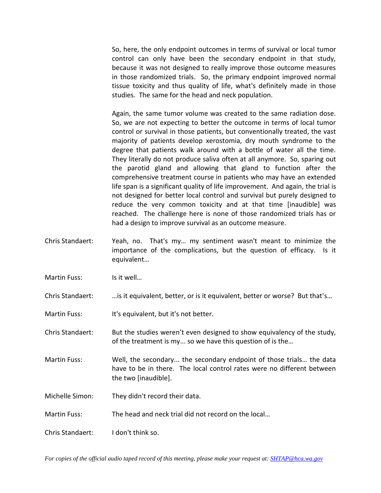So, here, the only endpoint outcomes in terms of survival or local tumor control can only have been the secondary endpoint in that study, because it was not designed to really improve those outcome measures in those randomized trials. So, the primary endpoint improved normal tissue toxicity and thus quality of life, what's definitely made in those studies. The same for the head and neck population.

Again, the same tumor volume was created to the same radiation dose. So, we are not expecting to better the outcome in terms of local tumor control or survival in those patients, but conventionally treated, the vast majority of patients develop xerostomia, dry mouth syndrome to the degree that patients walk around with a bottle of water all the time. They literally do not produce saliva often at all anymore. So, sparing out the parotid gland and allowing that gland to function after the comprehensive treatment course in patients who may have an extended life span is a significant quality of life improvement. And again, the trial is not designed for better local control and survival but purely designed to reduce the very common toxicity and at that time [inaudible] was reached. The challenge here is none of those randomized trials has or had a design to improve survival as an outcome measure.

- Chris Standaert: Yeah, no. That's my… my sentiment wasn't meant to minimize the importance of the complications, but the question of efficacy. Is it equivalent…
- Martin Fuss: Is it well...

Chris Standaert: …is it equivalent, better, or is it equivalent, better or worse? But that's…

Martin Fuss: It's equivalent, but it's not better.

- Chris Standaert: But the studies weren't even designed to show equivalency of the study, of the treatment is my... so we have this question of is the…
- Martin Fuss: Well, the secondary... the secondary endpoint of those trials… the data have to be in there. The local control rates were no different between the two [inaudible].
- Michelle Simon: They didn't record their data.
- Martin Fuss: The head and neck trial did not record on the local…
- Chris Standaert: I don't think so.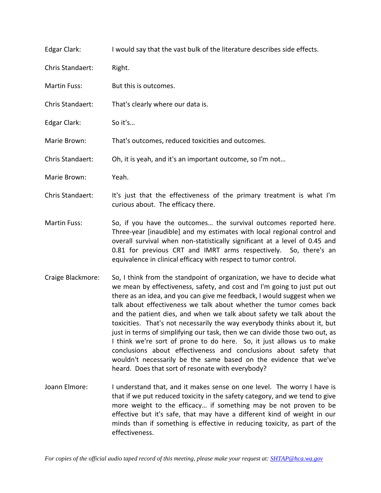| Edgar Clark:            | I would say that the vast bulk of the literature describes side effects. |
|-------------------------|--------------------------------------------------------------------------|
| Chris Standaert:        | Right.                                                                   |
| <b>Martin Fuss:</b>     | But this is outcomes.                                                    |
| Chris Standaert:        | That's clearly where our data is.                                        |
| Edgar Clark:            | So it's                                                                  |
| Marie Brown:            | That's outcomes, reduced toxicities and outcomes.                        |
| <b>Chris Standaert:</b> | Oh, it is yeah, and it's an important outcome, so I'm not                |
| Marie Brown:            | Yeah.                                                                    |
| Chris Standaert:        | It's just that the effectiveness of the primary treatment is what I'm    |

Martin Fuss: So, if you have the outcomes... the survival outcomes reported here. Three-year [inaudible] and my estimates with local regional control and overall survival when non-statistically significant at a level of 0.45 and 0.81 for previous CRT and IMRT arms respectively. So, there's an equivalence in clinical efficacy with respect to tumor control.

curious about. The efficacy there.

- Craige Blackmore: So, I think from the standpoint of organization, we have to decide what we mean by effectiveness, safety, and cost and I'm going to just put out there as an idea, and you can give me feedback, I would suggest when we talk about effectiveness we talk about whether the tumor comes back and the patient dies, and when we talk about safety we talk about the toxicities. That's not necessarily the way everybody thinks about it, but just in terms of simplifying our task, then we can divide those two out, as I think we're sort of prone to do here. So, it just allows us to make conclusions about effectiveness and conclusions about safety that wouldn't necessarily be the same based on the evidence that we've heard. Does that sort of resonate with everybody?
- Joann Elmore: I understand that, and it makes sense on one level. The worry I have is that if we put reduced toxicity in the safety category, and we tend to give more weight to the efficacy… if something may be not proven to be effective but it's safe, that may have a different kind of weight in our minds than if something is effective in reducing toxicity, as part of the effectiveness.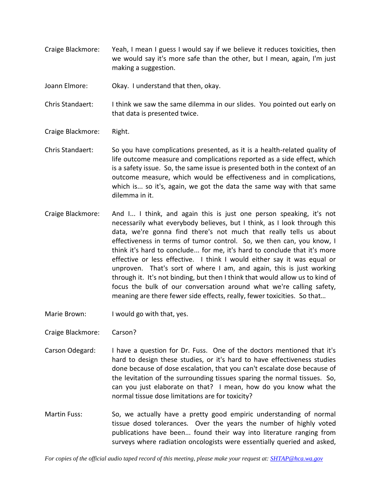Craige Blackmore: Yeah, I mean I guess I would say if we believe it reduces toxicities, then we would say it's more safe than the other, but I mean, again, I'm just making a suggestion.

Joann Elmore: Okay. I understand that then, okay.

Chris Standaert: I think we saw the same dilemma in our slides. You pointed out early on that data is presented twice.

Craige Blackmore: Right.

- Chris Standaert: So you have complications presented, as it is a health-related quality of life outcome measure and complications reported as a side effect, which is a safety issue. So, the same issue is presented both in the context of an outcome measure, which would be effectiveness and in complications, which is... so it's, again, we got the data the same way with that same dilemma in it.
- Craige Blackmore: And I... I think, and again this is just one person speaking, it's not necessarily what everybody believes, but I think, as I look through this data, we're gonna find there's not much that really tells us about effectiveness in terms of tumor control. So, we then can, you know, I think it's hard to conclude... for me, it's hard to conclude that it's more effective or less effective. I think I would either say it was equal or unproven. That's sort of where I am, and again, this is just working through it. It's not binding, but then I think that would allow us to kind of focus the bulk of our conversation around what we're calling safety, meaning are there fewer side effects, really, fewer toxicities. So that…
- Marie Brown: I would go with that, yes.
- Craige Blackmore: Carson?
- Carson Odegard: I have a question for Dr. Fuss. One of the doctors mentioned that it's hard to design these studies, or it's hard to have effectiveness studies done because of dose escalation, that you can't escalate dose because of the levitation of the surrounding tissues sparing the normal tissues. So, can you just elaborate on that? I mean, how do you know what the normal tissue dose limitations are for toxicity?
- Martin Fuss: So, we actually have a pretty good empiric understanding of normal tissue dosed tolerances. Over the years the number of highly voted publications have been... found their way into literature ranging from surveys where radiation oncologists were essentially queried and asked,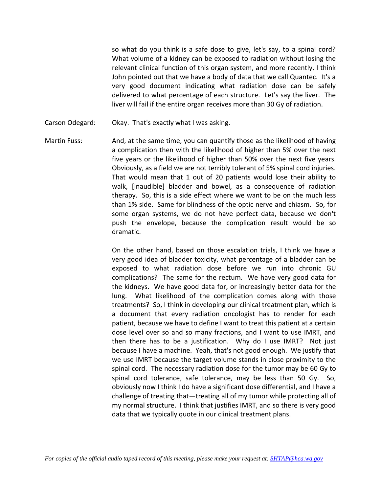so what do you think is a safe dose to give, let's say, to a spinal cord? What volume of a kidney can be exposed to radiation without losing the relevant clinical function of this organ system, and more recently, I think John pointed out that we have a body of data that we call Quantec. It's a very good document indicating what radiation dose can be safely delivered to what percentage of each structure. Let's say the liver. The liver will fail if the entire organ receives more than 30 Gy of radiation.

Carson Odegard: Okay. That's exactly what I was asking.

Martin Fuss: And, at the same time, you can quantify those as the likelihood of having a complication then with the likelihood of higher than 5% over the next five years or the likelihood of higher than 50% over the next five years. Obviously, as a field we are not terribly tolerant of 5% spinal cord injuries. That would mean that 1 out of 20 patients would lose their ability to walk, [inaudible] bladder and bowel, as a consequence of radiation therapy. So, this is a side effect where we want to be on the much less than 1% side. Same for blindness of the optic nerve and chiasm. So, for some organ systems, we do not have perfect data, because we don't push the envelope, because the complication result would be so dramatic.

> On the other hand, based on those escalation trials, I think we have a very good idea of bladder toxicity, what percentage of a bladder can be exposed to what radiation dose before we run into chronic GU complications? The same for the rectum. We have very good data for the kidneys. We have good data for, or increasingly better data for the lung. What likelihood of the complication comes along with those treatments? So, I think in developing our clinical treatment plan, which is a document that every radiation oncologist has to render for each patient, because we have to define I want to treat this patient at a certain dose level over so and so many fractions, and I want to use IMRT, and then there has to be a justification. Why do I use IMRT? Not just because I have a machine. Yeah, that's not good enough. We justify that we use IMRT because the target volume stands in close proximity to the spinal cord. The necessary radiation dose for the tumor may be 60 Gy to spinal cord tolerance, safe tolerance, may be less than 50 Gy. So, obviously now I think I do have a significant dose differential, and I have a challenge of treating that—treating all of my tumor while protecting all of my normal structure. I think that justifies IMRT, and so there is very good data that we typically quote in our clinical treatment plans.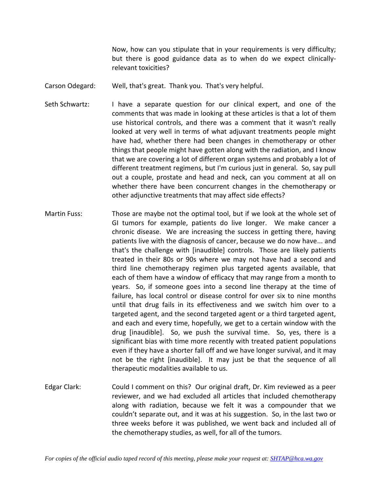Now, how can you stipulate that in your requirements is very difficulty; but there is good guidance data as to when do we expect clinicallyrelevant toxicities?

- Carson Odegard: Well, that's great. Thank you. That's very helpful.
- Seth Schwartz: I have a separate question for our clinical expert, and one of the comments that was made in looking at these articles is that a lot of them use historical controls, and there was a comment that it wasn't really looked at very well in terms of what adjuvant treatments people might have had, whether there had been changes in chemotherapy or other things that people might have gotten along with the radiation, and I know that we are covering a lot of different organ systems and probably a lot of different treatment regimens, but I'm curious just in general. So, say pull out a couple, prostate and head and neck, can you comment at all on whether there have been concurrent changes in the chemotherapy or other adjunctive treatments that may affect side effects?
- Martin Fuss: Those are maybe not the optimal tool, but if we look at the whole set of GI tumors for example, patients do live longer. We make cancer a chronic disease. We are increasing the success in getting there, having patients live with the diagnosis of cancer, because we do now have... and that's the challenge with [inaudible] controls. Those are likely patients treated in their 80s or 90s where we may not have had a second and third line chemotherapy regimen plus targeted agents available, that each of them have a window of efficacy that may range from a month to years. So, if someone goes into a second line therapy at the time of failure, has local control or disease control for over six to nine months until that drug fails in its effectiveness and we switch him over to a targeted agent, and the second targeted agent or a third targeted agent, and each and every time, hopefully, we get to a certain window with the drug [inaudible]. So, we push the survival time. So, yes, there is a significant bias with time more recently with treated patient populations even if they have a shorter fall off and we have longer survival, and it may not be the right [inaudible]. It may just be that the sequence of all therapeutic modalities available to us.
- Edgar Clark: Could I comment on this? Our original draft, Dr. Kim reviewed as a peer reviewer, and we had excluded all articles that included chemotherapy along with radiation, because we felt it was a compounder that we couldn't separate out, and it was at his suggestion. So, in the last two or three weeks before it was published, we went back and included all of the chemotherapy studies, as well, for all of the tumors.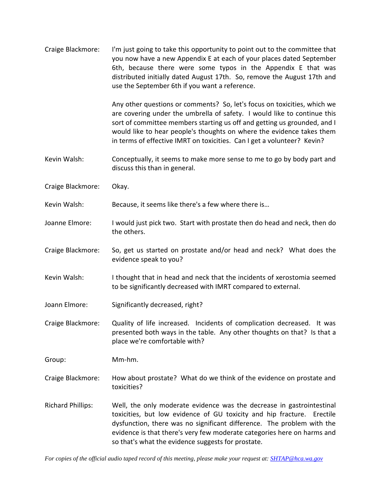Craige Blackmore: I'm just going to take this opportunity to point out to the committee that you now have a new Appendix E at each of your places dated September 6th, because there were some typos in the Appendix E that was distributed initially dated August 17th. So, remove the August 17th and use the September 6th if you want a reference.

> Any other questions or comments? So, let's focus on toxicities, which we are covering under the umbrella of safety. I would like to continue this sort of committee members starting us off and getting us grounded, and I would like to hear people's thoughts on where the evidence takes them in terms of effective IMRT on toxicities. Can I get a volunteer? Kevin?

- Kevin Walsh: Conceptually, it seems to make more sense to me to go by body part and discuss this than in general.
- Craige Blackmore: Okay.

Kevin Walsh: Because, it seems like there's a few where there is...

- Joanne Elmore: I would just pick two. Start with prostate then do head and neck, then do the others.
- Craige Blackmore: So, get us started on prostate and/or head and neck? What does the evidence speak to you?
- Kevin Walsh: I thought that in head and neck that the incidents of xerostomia seemed to be significantly decreased with IMRT compared to external.
- Joann Elmore: Significantly decreased, right?
- Craige Blackmore: Quality of life increased. Incidents of complication decreased. It was presented both ways in the table. Any other thoughts on that? Is that a place we're comfortable with?

Group: Mm-hm.

- Craige Blackmore: How about prostate? What do we think of the evidence on prostate and toxicities?
- Richard Phillips: Well, the only moderate evidence was the decrease in gastrointestinal toxicities, but low evidence of GU toxicity and hip fracture. Erectile dysfunction, there was no significant difference. The problem with the evidence is that there's very few moderate categories here on harms and so that's what the evidence suggests for prostate.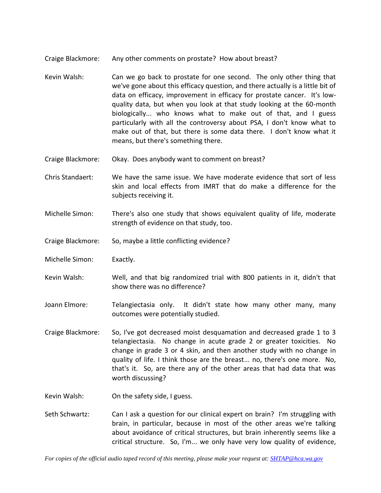Craige Blackmore: Any other comments on prostate? How about breast?

- Kevin Walsh: Can we go back to prostate for one second. The only other thing that we've gone about this efficacy question, and there actually is a little bit of data on efficacy, improvement in efficacy for prostate cancer. It's lowquality data, but when you look at that study looking at the 60-month biologically... who knows what to make out of that, and I guess particularly with all the controversy about PSA, I don't know what to make out of that, but there is some data there. I don't know what it means, but there's something there.
- Craige Blackmore: Okay. Does anybody want to comment on breast?
- Chris Standaert: We have the same issue. We have moderate evidence that sort of less skin and local effects from IMRT that do make a difference for the subjects receiving it.
- Michelle Simon: There's also one study that shows equivalent quality of life, moderate strength of evidence on that study, too.
- Craige Blackmore: So, maybe a little conflicting evidence?
- Michelle Simon: Exactly.
- Kevin Walsh: Well, and that big randomized trial with 800 patients in it, didn't that show there was no difference?
- Joann Elmore: Telangiectasia only. It didn't state how many other many, many outcomes were potentially studied.
- Craige Blackmore: So, I've got decreased moist desquamation and decreased grade 1 to 3 telangiectasia. No change in acute grade 2 or greater toxicities. No change in grade 3 or 4 skin, and then another study with no change in quality of life. I think those are the breast... no, there's one more. No, that's it. So, are there any of the other areas that had data that was worth discussing?
- Kevin Walsh: On the safety side, I guess.
- Seth Schwartz: Can I ask a question for our clinical expert on brain? I'm struggling with brain, in particular, because in most of the other areas we're talking about avoidance of critical structures, but brain inherently seems like a critical structure. So, I'm... we only have very low quality of evidence,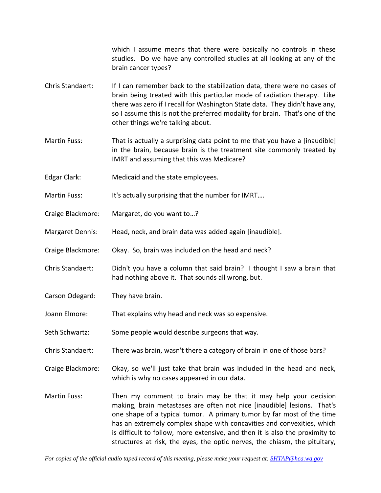which I assume means that there were basically no controls in these studies. Do we have any controlled studies at all looking at any of the brain cancer types?

- Chris Standaert: If I can remember back to the stabilization data, there were no cases of brain being treated with this particular mode of radiation therapy. Like there was zero if I recall for Washington State data. They didn't have any, so I assume this is not the preferred modality for brain. That's one of the other things we're talking about.
- Martin Fuss: That is actually a surprising data point to me that you have a [inaudible] in the brain, because brain is the treatment site commonly treated by IMRT and assuming that this was Medicare?
- Edgar Clark: Medicaid and the state employees.
- Martin Fuss: It's actually surprising that the number for IMRT....
- Craige Blackmore: Margaret, do you want to…?
- Margaret Dennis: Head, neck, and brain data was added again [inaudible].
- Craige Blackmore: Okay. So, brain was included on the head and neck?
- Chris Standaert: Didn't you have a column that said brain? I thought I saw a brain that had nothing above it. That sounds all wrong, but.
- Carson Odegard: They have brain.
- Joann Elmore: That explains why head and neck was so expensive.
- Seth Schwartz: Some people would describe surgeons that way.
- Chris Standaert: There was brain, wasn't there a category of brain in one of those bars?
- Craige Blackmore: Okay, so we'll just take that brain was included in the head and neck, which is why no cases appeared in our data.
- Martin Fuss: Then my comment to brain may be that it may help your decision making, brain metastases are often not nice [inaudible] lesions. That's one shape of a typical tumor. A primary tumor by far most of the time has an extremely complex shape with concavities and convexities, which is difficult to follow, more extensive, and then it is also the proximity to structures at risk, the eyes, the optic nerves, the chiasm, the pituitary,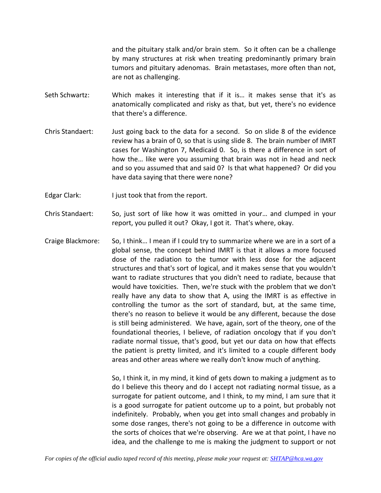and the pituitary stalk and/or brain stem. So it often can be a challenge by many structures at risk when treating predominantly primary brain tumors and pituitary adenomas. Brain metastases, more often than not, are not as challenging.

- Seth Schwartz: Which makes it interesting that if it is… it makes sense that it's as anatomically complicated and risky as that, but yet, there's no evidence that there's a difference.
- Chris Standaert: Just going back to the data for a second. So on slide 8 of the evidence review has a brain of 0, so that is using slide 8. The brain number of IMRT cases for Washington 7, Medicaid 0. So, is there a difference in sort of how the… like were you assuming that brain was not in head and neck and so you assumed that and said 0? Is that what happened? Or did you have data saying that there were none?
- Edgar Clark: I just took that from the report.
- Chris Standaert: So, just sort of like how it was omitted in your… and clumped in your report, you pulled it out? Okay, I got it. That's where, okay.
- Craige Blackmore: So, I think… I mean if I could try to summarize where we are in a sort of a global sense, the concept behind IMRT is that it allows a more focused dose of the radiation to the tumor with less dose for the adjacent structures and that's sort of logical, and it makes sense that you wouldn't want to radiate structures that you didn't need to radiate, because that would have toxicities. Then, we're stuck with the problem that we don't really have any data to show that A, using the IMRT is as effective in controlling the tumor as the sort of standard, but, at the same time, there's no reason to believe it would be any different, because the dose is still being administered. We have, again, sort of the theory, one of the foundational theories, I believe, of radiation oncology that if you don't radiate normal tissue, that's good, but yet our data on how that effects the patient is pretty limited, and it's limited to a couple different body areas and other areas where we really don't know much of anything.

So, I think it, in my mind, it kind of gets down to making a judgment as to do I believe this theory and do I accept not radiating normal tissue, as a surrogate for patient outcome, and I think, to my mind, I am sure that it is a good surrogate for patient outcome up to a point, but probably not indefinitely. Probably, when you get into small changes and probably in some dose ranges, there's not going to be a difference in outcome with the sorts of choices that we're observing. Are we at that point, I have no idea, and the challenge to me is making the judgment to support or not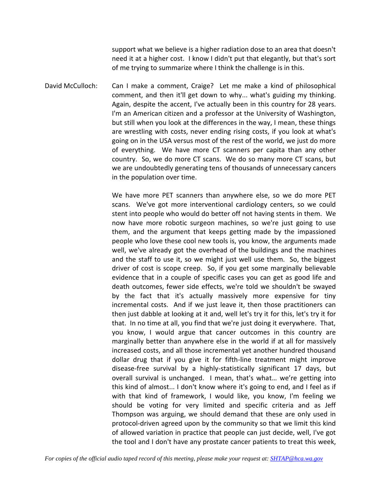support what we believe is a higher radiation dose to an area that doesn't need it at a higher cost. I know I didn't put that elegantly, but that's sort of me trying to summarize where I think the challenge is in this.

David McCulloch: Can I make a comment, Craige? Let me make a kind of philosophical comment, and then it'll get down to why... what's guiding my thinking. Again, despite the accent, I've actually been in this country for 28 years. I'm an American citizen and a professor at the University of Washington, but still when you look at the differences in the way, I mean, these things are wrestling with costs, never ending rising costs, if you look at what's going on in the USA versus most of the rest of the world, we just do more of everything. We have more CT scanners per capita than any other country. So, we do more CT scans. We do so many more CT scans, but we are undoubtedly generating tens of thousands of unnecessary cancers in the population over time.

> We have more PET scanners than anywhere else, so we do more PET scans. We've got more interventional cardiology centers, so we could stent into people who would do better off not having stents in them. We now have more robotic surgeon machines, so we're just going to use them, and the argument that keeps getting made by the impassioned people who love these cool new tools is, you know, the arguments made well, we've already got the overhead of the buildings and the machines and the staff to use it, so we might just well use them. So, the biggest driver of cost is scope creep. So, if you get some marginally believable evidence that in a couple of specific cases you can get as good life and death outcomes, fewer side effects, we're told we shouldn't be swayed by the fact that it's actually massively more expensive for tiny incremental costs. And if we just leave it, then those practitioners can then just dabble at looking at it and, well let's try it for this, let's try it for that. In no time at all, you find that we're just doing it everywhere. That, you know, I would argue that cancer outcomes in this country are marginally better than anywhere else in the world if at all for massively increased costs, and all those incremental yet another hundred thousand dollar drug that if you give it for fifth-line treatment might improve disease-free survival by a highly-statistically significant 17 days, but overall survival is unchanged. I mean, that's what… we're getting into this kind of almost... I don't know where it's going to end, and I feel as if with that kind of framework, I would like, you know, I'm feeling we should be voting for very limited and specific criteria and as Jeff Thompson was arguing, we should demand that these are only used in protocol-driven agreed upon by the community so that we limit this kind of allowed variation in practice that people can just decide, well, I've got the tool and I don't have any prostate cancer patients to treat this week,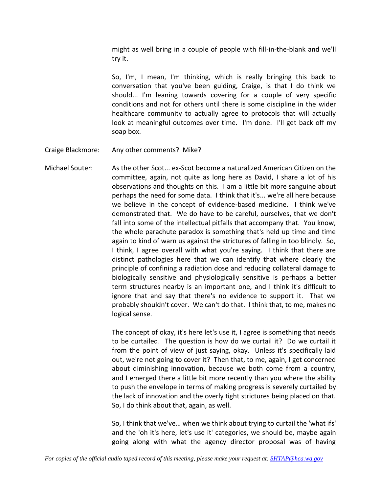might as well bring in a couple of people with fill-in-the-blank and we'll try it.

So, I'm, I mean, I'm thinking, which is really bringing this back to conversation that you've been guiding, Craige, is that I do think we should... I'm leaning towards covering for a couple of very specific conditions and not for others until there is some discipline in the wider healthcare community to actually agree to protocols that will actually look at meaningful outcomes over time. I'm done. I'll get back off my soap box.

Craige Blackmore: Any other comments? Mike?

Michael Souter: As the other Scot... ex-Scot become a naturalized American Citizen on the committee, again, not quite as long here as David, I share a lot of his observations and thoughts on this. I am a little bit more sanguine about perhaps the need for some data. I think that it's... we're all here because we believe in the concept of evidence-based medicine. I think we've demonstrated that. We do have to be careful, ourselves, that we don't fall into some of the intellectual pitfalls that accompany that. You know, the whole parachute paradox is something that's held up time and time again to kind of warn us against the strictures of falling in too blindly. So, I think, I agree overall with what you're saying. I think that there are distinct pathologies here that we can identify that where clearly the principle of confining a radiation dose and reducing collateral damage to biologically sensitive and physiologically sensitive is perhaps a better term structures nearby is an important one, and I think it's difficult to ignore that and say that there's no evidence to support it. That we probably shouldn't cover. We can't do that. I think that, to me, makes no logical sense.

> The concept of okay, it's here let's use it, I agree is something that needs to be curtailed. The question is how do we curtail it? Do we curtail it from the point of view of just saying, okay. Unless it's specifically laid out, we're not going to cover it? Then that, to me, again, I get concerned about diminishing innovation, because we both come from a country, and I emerged there a little bit more recently than you where the ability to push the envelope in terms of making progress is severely curtailed by the lack of innovation and the overly tight strictures being placed on that. So, I do think about that, again, as well.

> So, I think that we've… when we think about trying to curtail the 'what ifs' and the 'oh it's here, let's use it' categories, we should be, maybe again going along with what the agency director proposal was of having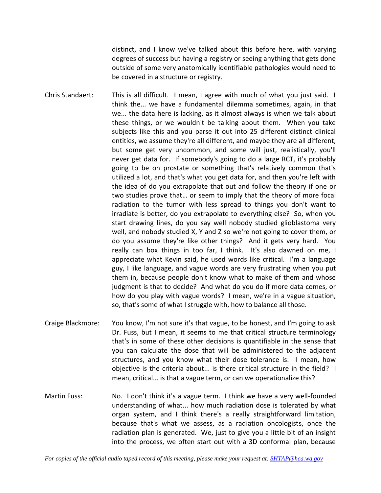distinct, and I know we've talked about this before here, with varying degrees of success but having a registry or seeing anything that gets done outside of some very anatomically identifiable pathologies would need to be covered in a structure or registry.

Chris Standaert: This is all difficult. I mean, I agree with much of what you just said. I think the... we have a fundamental dilemma sometimes, again, in that we... the data here is lacking, as it almost always is when we talk about these things, or we wouldn't be talking about them. When you take subjects like this and you parse it out into 25 different distinct clinical entities, we assume they're all different, and maybe they are all different, but some get very uncommon, and some will just, realistically, you'll never get data for. If somebody's going to do a large RCT, it's probably going to be on prostate or something that's relatively common that's utilized a lot, and that's what you get data for, and then you're left with the idea of do you extrapolate that out and follow the theory if one or two studies prove that… or seem to imply that the theory of more focal radiation to the tumor with less spread to things you don't want to irradiate is better, do you extrapolate to everything else? So, when you start drawing lines, do you say well nobody studied glioblastoma very well, and nobody studied X, Y and Z so we're not going to cover them, or do you assume they're like other things? And it gets very hard. You really can box things in too far, I think. It's also dawned on me, I appreciate what Kevin said, he used words like critical. I'm a language guy, I like language, and vague words are very frustrating when you put them in, because people don't know what to make of them and whose judgment is that to decide? And what do you do if more data comes, or how do you play with vague words? I mean, we're in a vague situation, so, that's some of what I struggle with, how to balance all those.

- Craige Blackmore: You know, I'm not sure it's that vague, to be honest, and I'm going to ask Dr. Fuss, but I mean, it seems to me that critical structure terminology that's in some of these other decisions is quantifiable in the sense that you can calculate the dose that will be administered to the adjacent structures, and you know what their dose tolerance is. I mean, how objective is the criteria about... is there critical structure in the field? I mean, critical... is that a vague term, or can we operationalize this?
- Martin Fuss: No. I don't think it's a vague term. I think we have a very well-founded understanding of what... how much radiation dose is tolerated by what organ system, and I think there's a really straightforward limitation, because that's what we assess, as a radiation oncologists, once the radiation plan is generated. We, just to give you a little bit of an insight into the process, we often start out with a 3D conformal plan, because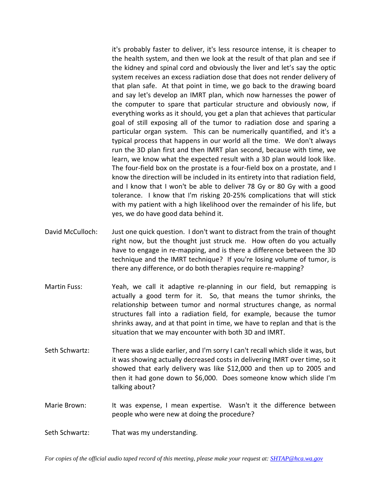it's probably faster to deliver, it's less resource intense, it is cheaper to the health system, and then we look at the result of that plan and see if the kidney and spinal cord and obviously the liver and let's say the optic system receives an excess radiation dose that does not render delivery of that plan safe. At that point in time, we go back to the drawing board and say let's develop an IMRT plan, which now harnesses the power of the computer to spare that particular structure and obviously now, if everything works as it should, you get a plan that achieves that particular goal of still exposing all of the tumor to radiation dose and sparing a particular organ system. This can be numerically quantified, and it's a typical process that happens in our world all the time. We don't always run the 3D plan first and then IMRT plan second, because with time, we learn, we know what the expected result with a 3D plan would look like. The four-field box on the prostate is a four-field box on a prostate, and I know the direction will be included in its entirety into that radiation field, and I know that I won't be able to deliver 78 Gy or 80 Gy with a good tolerance. I know that I'm risking 20-25% complications that will stick with my patient with a high likelihood over the remainder of his life, but yes, we do have good data behind it.

- David McCulloch: Just one quick question. I don't want to distract from the train of thought right now, but the thought just struck me. How often do you actually have to engage in re-mapping, and is there a difference between the 3D technique and the IMRT technique? If you're losing volume of tumor, is there any difference, or do both therapies require re-mapping?
- Martin Fuss: Yeah, we call it adaptive re-planning in our field, but remapping is actually a good term for it. So, that means the tumor shrinks, the relationship between tumor and normal structures change, as normal structures fall into a radiation field, for example, because the tumor shrinks away, and at that point in time, we have to replan and that is the situation that we may encounter with both 3D and IMRT.
- Seth Schwartz: There was a slide earlier, and I'm sorry I can't recall which slide it was, but it was showing actually decreased costs in delivering IMRT over time, so it showed that early delivery was like \$12,000 and then up to 2005 and then it had gone down to \$6,000. Does someone know which slide I'm talking about?
- Marie Brown: It was expense, I mean expertise. Wasn't it the difference between people who were new at doing the procedure?
- Seth Schwartz: That was my understanding.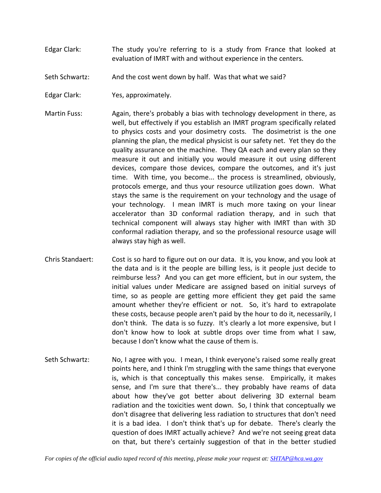- Edgar Clark: The study you're referring to is a study from France that looked at evaluation of IMRT with and without experience in the centers.
- Seth Schwartz: And the cost went down by half. Was that what we said?
- Edgar Clark: Yes, approximately.
- Martin Fuss: Again, there's probably a bias with technology development in there, as well, but effectively if you establish an IMRT program specifically related to physics costs and your dosimetry costs. The dosimetrist is the one planning the plan, the medical physicist is our safety net. Yet they do the quality assurance on the machine. They QA each and every plan so they measure it out and initially you would measure it out using different devices, compare those devices, compare the outcomes, and it's just time. With time, you become... the process is streamlined, obviously, protocols emerge, and thus your resource utilization goes down. What stays the same is the requirement on your technology and the usage of your technology. I mean IMRT is much more taxing on your linear accelerator than 3D conformal radiation therapy, and in such that technical component will always stay higher with IMRT than with 3D conformal radiation therapy, and so the professional resource usage will always stay high as well.
- Chris Standaert: Cost is so hard to figure out on our data. It is, you know, and you look at the data and is it the people are billing less, is it people just decide to reimburse less? And you can get more efficient, but in our system, the initial values under Medicare are assigned based on initial surveys of time, so as people are getting more efficient they get paid the same amount whether they're efficient or not. So, it's hard to extrapolate these costs, because people aren't paid by the hour to do it, necessarily, I don't think. The data is so fuzzy. It's clearly a lot more expensive, but I don't know how to look at subtle drops over time from what I saw, because I don't know what the cause of them is.
- Seth Schwartz: No, I agree with you. I mean, I think everyone's raised some really great points here, and I think I'm struggling with the same things that everyone is, which is that conceptually this makes sense. Empirically, it makes sense, and I'm sure that there's... they probably have reams of data about how they've got better about delivering 3D external beam radiation and the toxicities went down. So, I think that conceptually we don't disagree that delivering less radiation to structures that don't need it is a bad idea. I don't think that's up for debate. There's clearly the question of does IMRT actually achieve? And we're not seeing great data on that, but there's certainly suggestion of that in the better studied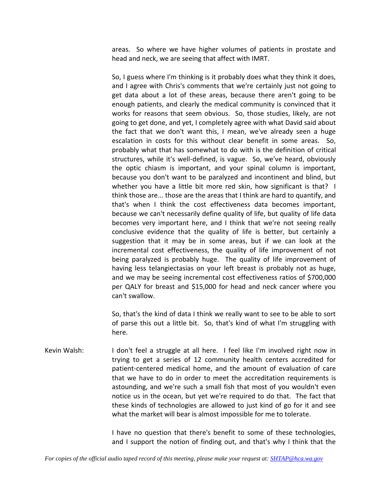areas. So where we have higher volumes of patients in prostate and head and neck, we are seeing that affect with IMRT.

So, I guess where I'm thinking is it probably does what they think it does, and I agree with Chris's comments that we're certainly just not going to get data about a lot of these areas, because there aren't going to be enough patients, and clearly the medical community is convinced that it works for reasons that seem obvious. So, those studies, likely, are not going to get done, and yet, I completely agree with what David said about the fact that we don't want this, I mean, we've already seen a huge escalation in costs for this without clear benefit in some areas. So, probably what that has somewhat to do with is the definition of critical structures, while it's well-defined, is vague. So, we've heard, obviously the optic chiasm is important, and your spinal column is important, because you don't want to be paralyzed and incontinent and blind, but whether you have a little bit more red skin, how significant is that? I think those are... those are the areas that I think are hard to quantify, and that's when I think the cost effectiveness data becomes important, because we can't necessarily define quality of life, but quality of life data becomes very important here, and I think that we're not seeing really conclusive evidence that the quality of life is better, but certainly a suggestion that it may be in some areas, but if we can look at the incremental cost effectiveness, the quality of life improvement of not being paralyzed is probably huge. The quality of life improvement of having less telangiectasias on your left breast is probably not as huge, and we may be seeing incremental cost effectiveness ratios of \$700,000 per QALY for breast and \$15,000 for head and neck cancer where you can't swallow.

So, that's the kind of data I think we really want to see to be able to sort of parse this out a little bit. So, that's kind of what I'm struggling with here.

Kevin Walsh: I don't feel a struggle at all here. I feel like I'm involved right now in trying to get a series of 12 community health centers accredited for patient-centered medical home, and the amount of evaluation of care that we have to do in order to meet the accreditation requirements is astounding, and we're such a small fish that most of you wouldn't even notice us in the ocean, but yet we're required to do that. The fact that these kinds of technologies are allowed to just kind of go for it and see what the market will bear is almost impossible for me to tolerate.

> I have no question that there's benefit to some of these technologies, and I support the notion of finding out, and that's why I think that the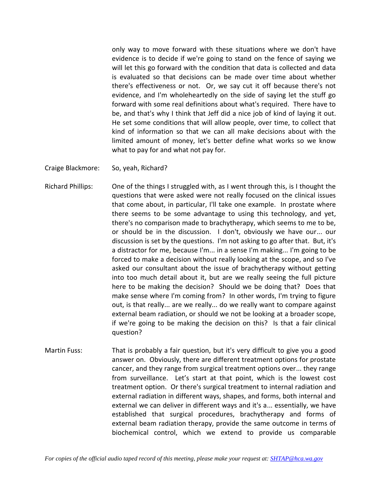only way to move forward with these situations where we don't have evidence is to decide if we're going to stand on the fence of saying we will let this go forward with the condition that data is collected and data is evaluated so that decisions can be made over time about whether there's effectiveness or not. Or, we say cut it off because there's not evidence, and I'm wholeheartedly on the side of saying let the stuff go forward with some real definitions about what's required. There have to be, and that's why I think that Jeff did a nice job of kind of laying it out. He set some conditions that will allow people, over time, to collect that kind of information so that we can all make decisions about with the limited amount of money, let's better define what works so we know what to pay for and what not pay for.

Craige Blackmore: So, yeah, Richard?

Richard Phillips: One of the things I struggled with, as I went through this, is I thought the questions that were asked were not really focused on the clinical issues that come about, in particular, I'll take one example. In prostate where there seems to be some advantage to using this technology, and yet, there's no comparison made to brachytherapy, which seems to me to be, or should be in the discussion. I don't, obviously we have our... our discussion is set by the questions. I'm not asking to go after that. But, it's a distractor for me, because I'm... in a sense I'm making... I'm going to be forced to make a decision without really looking at the scope, and so I've asked our consultant about the issue of brachytherapy without getting into too much detail about it, but are we really seeing the full picture here to be making the decision? Should we be doing that? Does that make sense where I'm coming from? In other words, I'm trying to figure out, is that really... are we really... do we really want to compare against external beam radiation, or should we not be looking at a broader scope, if we're going to be making the decision on this? Is that a fair clinical question?

Martin Fuss: That is probably a fair question, but it's very difficult to give you a good answer on. Obviously, there are different treatment options for prostate cancer, and they range from surgical treatment options over... they range from surveillance. Let's start at that point, which is the lowest cost treatment option. Or there's surgical treatment to internal radiation and external radiation in different ways, shapes, and forms, both internal and external we can deliver in different ways and it's a... essentially, we have established that surgical procedures, brachytherapy and forms of external beam radiation therapy, provide the same outcome in terms of biochemical control, which we extend to provide us comparable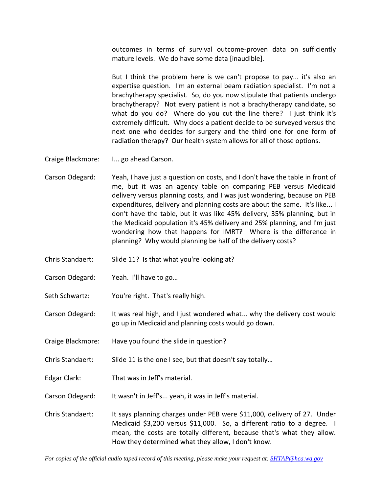outcomes in terms of survival outcome-proven data on sufficiently mature levels. We do have some data [inaudible].

But I think the problem here is we can't propose to pay... it's also an expertise question. I'm an external beam radiation specialist. I'm not a brachytherapy specialist. So, do you now stipulate that patients undergo brachytherapy? Not every patient is not a brachytherapy candidate, so what do you do? Where do you cut the line there? I just think it's extremely difficult. Why does a patient decide to be surveyed versus the next one who decides for surgery and the third one for one form of radiation therapy? Our health system allows for all of those options.

- Craige Blackmore: I... go ahead Carson.
- Carson Odegard: Yeah, I have just a question on costs, and I don't have the table in front of me, but it was an agency table on comparing PEB versus Medicaid delivery versus planning costs, and I was just wondering, because on PEB expenditures, delivery and planning costs are about the same. It's like... I don't have the table, but it was like 45% delivery, 35% planning, but in the Medicaid population it's 45% delivery and 25% planning, and I'm just wondering how that happens for IMRT? Where is the difference in planning? Why would planning be half of the delivery costs?
- Chris Standaert: Slide 11? Is that what you're looking at?
- Carson Odegard: Yeah. I'll have to go…
- Seth Schwartz: You're right. That's really high.

Carson Odegard: It was real high, and I just wondered what... why the delivery cost would go up in Medicaid and planning costs would go down.

- Craige Blackmore: Have you found the slide in question?
- Chris Standaert: Slide 11 is the one I see, but that doesn't say totally…
- Edgar Clark: That was in Jeff's material.
- Carson Odegard: It wasn't in Jeff's... yeah, it was in Jeff's material.
- Chris Standaert: It says planning charges under PEB were \$11,000, delivery of 27. Under Medicaid \$3,200 versus \$11,000. So, a different ratio to a degree. I mean, the costs are totally different, because that's what they allow. How they determined what they allow, I don't know.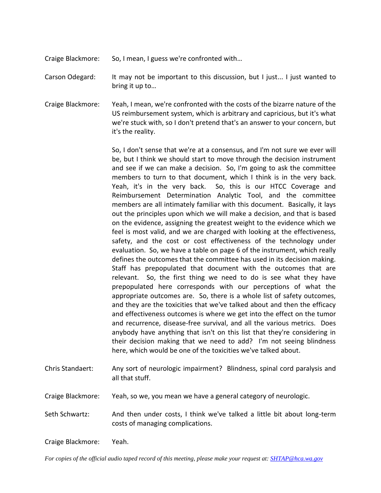- Craige Blackmore: So, I mean, I guess we're confronted with…
- Carson Odegard: It may not be important to this discussion, but I just... I just wanted to bring it up to…
- Craige Blackmore: Yeah, I mean, we're confronted with the costs of the bizarre nature of the US reimbursement system, which is arbitrary and capricious, but it's what we're stuck with, so I don't pretend that's an answer to your concern, but it's the reality.

So, I don't sense that we're at a consensus, and I'm not sure we ever will be, but I think we should start to move through the decision instrument and see if we can make a decision. So, I'm going to ask the committee members to turn to that document, which I think is in the very back. Yeah, it's in the very back. So, this is our HTCC Coverage and Reimbursement Determination Analytic Tool, and the committee members are all intimately familiar with this document. Basically, it lays out the principles upon which we will make a decision, and that is based on the evidence, assigning the greatest weight to the evidence which we feel is most valid, and we are charged with looking at the effectiveness, safety, and the cost or cost effectiveness of the technology under evaluation. So, we have a table on page 6 of the instrument, which really defines the outcomes that the committee has used in its decision making. Staff has prepopulated that document with the outcomes that are relevant. So, the first thing we need to do is see what they have prepopulated here corresponds with our perceptions of what the appropriate outcomes are. So, there is a whole list of safety outcomes, and they are the toxicities that we've talked about and then the efficacy and effectiveness outcomes is where we get into the effect on the tumor and recurrence, disease-free survival, and all the various metrics. Does anybody have anything that isn't on this list that they're considering in their decision making that we need to add? I'm not seeing blindness here, which would be one of the toxicities we've talked about.

- Chris Standaert: Any sort of neurologic impairment? Blindness, spinal cord paralysis and all that stuff.
- Craige Blackmore: Yeah, so we, you mean we have a general category of neurologic.
- Seth Schwartz: And then under costs, I think we've talked a little bit about long-term costs of managing complications.

Craige Blackmore: Yeah.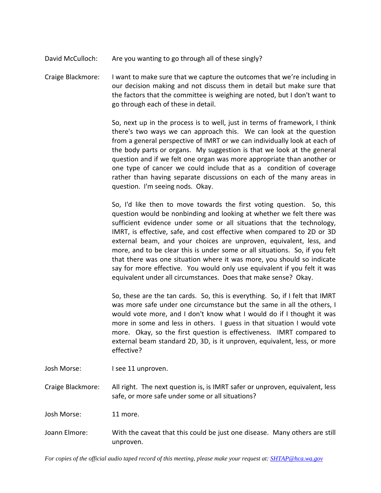David McCulloch: Are you wanting to go through all of these singly?

Craige Blackmore: I want to make sure that we capture the outcomes that we're including in our decision making and not discuss them in detail but make sure that the factors that the committee is weighing are noted, but I don't want to go through each of these in detail.

> So, next up in the process is to well, just in terms of framework, I think there's two ways we can approach this. We can look at the question from a general perspective of IMRT or we can individually look at each of the body parts or organs. My suggestion is that we look at the general question and if we felt one organ was more appropriate than another or one type of cancer we could include that as a condition of coverage rather than having separate discussions on each of the many areas in question. I'm seeing nods. Okay.

> So, I'd like then to move towards the first voting question. So, this question would be nonbinding and looking at whether we felt there was sufficient evidence under some or all situations that the technology, IMRT, is effective, safe, and cost effective when compared to 2D or 3D external beam, and your choices are unproven, equivalent, less, and more, and to be clear this is under some or all situations. So, if you felt that there was one situation where it was more, you should so indicate say for more effective. You would only use equivalent if you felt it was equivalent under all circumstances. Does that make sense? Okay.

> So, these are the tan cards. So, this is everything. So, if I felt that IMRT was more safe under one circumstance but the same in all the others, I would vote more, and I don't know what I would do if I thought it was more in some and less in others. I guess in that situation I would vote more. Okay, so the first question is effectiveness. IMRT compared to external beam standard 2D, 3D, is it unproven, equivalent, less, or more effective?

Josh Morse: I see 11 unproven.

Craige Blackmore: All right. The next question is, is IMRT safer or unproven, equivalent, less safe, or more safe under some or all situations?

Josh Morse: 11 more.

Joann Elmore: With the caveat that this could be just one disease. Many others are still unproven.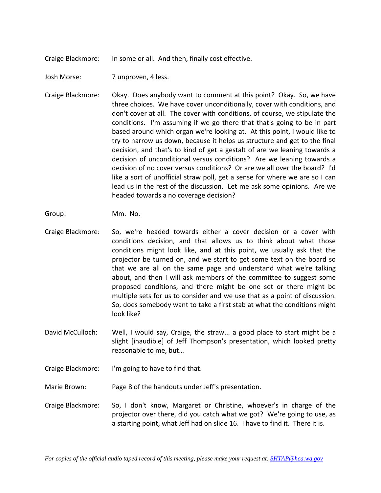Craige Blackmore: In some or all. And then, finally cost effective.

Josh Morse: 7 unproven, 4 less.

Craige Blackmore: Okay. Does anybody want to comment at this point? Okay. So, we have three choices. We have cover unconditionally, cover with conditions, and don't cover at all. The cover with conditions, of course, we stipulate the conditions. I'm assuming if we go there that that's going to be in part based around which organ we're looking at. At this point, I would like to try to narrow us down, because it helps us structure and get to the final decision, and that's to kind of get a gestalt of are we leaning towards a decision of unconditional versus conditions? Are we leaning towards a decision of no cover versus conditions? Or are we all over the board? I'd like a sort of unofficial straw poll, get a sense for where we are so I can lead us in the rest of the discussion. Let me ask some opinions. Are we headed towards a no coverage decision?

Group: Mm. No.

- Craige Blackmore: So, we're headed towards either a cover decision or a cover with conditions decision, and that allows us to think about what those conditions might look like, and at this point, we usually ask that the projector be turned on, and we start to get some text on the board so that we are all on the same page and understand what we're talking about, and then I will ask members of the committee to suggest some proposed conditions, and there might be one set or there might be multiple sets for us to consider and we use that as a point of discussion. So, does somebody want to take a first stab at what the conditions might look like?
- David McCulloch: Well, I would say, Craige, the straw... a good place to start might be a slight [inaudible] of Jeff Thompson's presentation, which looked pretty reasonable to me, but…
- Craige Blackmore: I'm going to have to find that.
- Marie Brown: Page 8 of the handouts under Jeff's presentation.
- Craige Blackmore: So, I don't know, Margaret or Christine, whoever's in charge of the projector over there, did you catch what we got? We're going to use, as a starting point, what Jeff had on slide 16. I have to find it. There it is.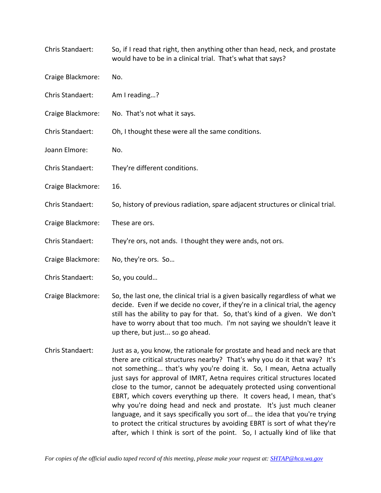| Chris Standaert:  | So, if I read that right, then anything other than head, neck, and prostate<br>would have to be in a clinical trial. That's what that says? |
|-------------------|---------------------------------------------------------------------------------------------------------------------------------------------|
| Craige Blackmore: | No.                                                                                                                                         |
| Chris Standaert:  | Am I reading?                                                                                                                               |
| Craige Blackmore: | No. That's not what it says.                                                                                                                |
| Chris Standaert:  | Oh, I thought these were all the same conditions.                                                                                           |
| Joann Elmore:     | No.                                                                                                                                         |
| Chris Standaert:  | They're different conditions.                                                                                                               |
| Craige Blackmore: | 16.                                                                                                                                         |
| Chris Standaert:  | So, history of previous radiation, spare adjacent structures or clinical trial.                                                             |
| Craige Blackmore: | These are ors.                                                                                                                              |
| Chris Standaert:  | They're ors, not ands. I thought they were ands, not ors.                                                                                   |
| Craige Blackmore: | No, they're ors. So                                                                                                                         |
| Chris Standaert:  | So, you could                                                                                                                               |
|                   |                                                                                                                                             |

Craige Blackmore: So, the last one, the clinical trial is a given basically regardless of what we decide. Even if we decide no cover, if they're in a clinical trial, the agency still has the ability to pay for that. So, that's kind of a given. We don't have to worry about that too much. I'm not saying we shouldn't leave it up there, but just... so go ahead.

Chris Standaert: Just as a, you know, the rationale for prostate and head and neck are that there are critical structures nearby? That's why you do it that way? It's not something... that's why you're doing it. So, I mean, Aetna actually just says for approval of IMRT, Aetna requires critical structures located close to the tumor, cannot be adequately protected using conventional EBRT, which covers everything up there. It covers head, I mean, that's why you're doing head and neck and prostate. It's just much cleaner language, and it says specifically you sort of... the idea that you're trying to protect the critical structures by avoiding EBRT is sort of what they're after, which I think is sort of the point. So, I actually kind of like that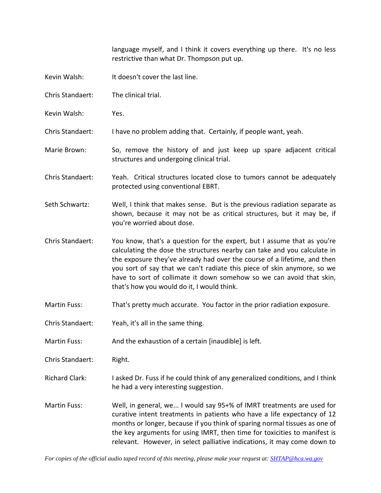language myself, and I think it covers everything up there. It's no less restrictive than what Dr. Thompson put up.

- Kevin Walsh: It doesn't cover the last line.
- Chris Standaert: The clinical trial.
- Kevin Walsh: Yes.

Chris Standaert: I have no problem adding that. Certainly, if people want, yeah.

Marie Brown: So, remove the history of and just keep up spare adjacent critical structures and undergoing clinical trial.

- Chris Standaert: Yeah. Critical structures located close to tumors cannot be adequately protected using conventional EBRT.
- Seth Schwartz: Well, I think that makes sense. But is the previous radiation separate as shown, because it may not be as critical structures, but it may be, if you're worried about dose.
- Chris Standaert: You know, that's a question for the expert, but I assume that as you're calculating the dose the structures nearby can take and you calculate in the exposure they've already had over the course of a lifetime, and then you sort of say that we can't radiate this piece of skin anymore, so we have to sort of collimate it down somehow so we can avoid that skin, that's how you would do it, I would think.
- Martin Fuss: That's pretty much accurate. You factor in the prior radiation exposure.
- Chris Standaert: Yeah, it's all in the same thing.
- Martin Fuss: And the exhaustion of a certain [inaudible] is left.
- Chris Standaert: Right.
- Richard Clark: I asked Dr. Fuss if he could think of any generalized conditions, and I think he had a very interesting suggestion.
- Martin Fuss: Well, in general, we... I would say 95+% of IMRT treatments are used for curative intent treatments in patients who have a life expectancy of 12 months or longer, because if you think of sparing normal tissues as one of the key arguments for using IMRT, then time for toxicities to manifest is relevant. However, in select palliative indications, it may come down to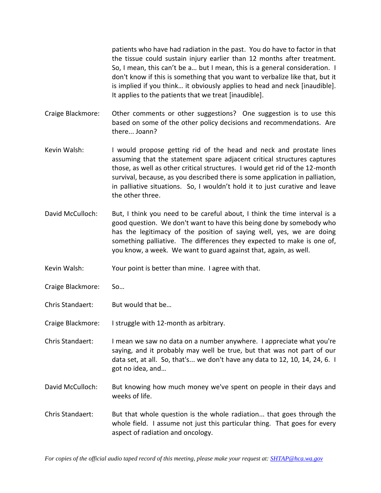patients who have had radiation in the past. You do have to factor in that the tissue could sustain injury earlier than 12 months after treatment. So, I mean, this can't be a… but I mean, this is a general consideration. I don't know if this is something that you want to verbalize like that, but it is implied if you think… it obviously applies to head and neck [inaudible]. It applies to the patients that we treat [inaudible].

- Craige Blackmore: Other comments or other suggestions? One suggestion is to use this based on some of the other policy decisions and recommendations. Are there... Joann?
- Kevin Walsh: I would propose getting rid of the head and neck and prostate lines assuming that the statement spare adjacent critical structures captures those, as well as other critical structures. I would get rid of the 12-month survival, because, as you described there is some application in palliation, in palliative situations. So, I wouldn't hold it to just curative and leave the other three.
- David McCulloch: But, I think you need to be careful about, I think the time interval is a good question. We don't want to have this being done by somebody who has the legitimacy of the position of saying well, yes, we are doing something palliative. The differences they expected to make is one of, you know, a week. We want to guard against that, again, as well.
- Kevin Walsh: Your point is better than mine. I agree with that.
- Craige Blackmore: So…
- Chris Standaert: But would that be…

Craige Blackmore: I struggle with 12-month as arbitrary.

Chris Standaert: I mean we saw no data on a number anywhere. I appreciate what you're saying, and it probably may well be true, but that was not part of our data set, at all. So, that's... we don't have any data to 12, 10, 14, 24, 6. I got no idea, and…

- David McCulloch: But knowing how much money we've spent on people in their days and weeks of life.
- Chris Standaert: But that whole question is the whole radiation... that goes through the whole field. I assume not just this particular thing. That goes for every aspect of radiation and oncology.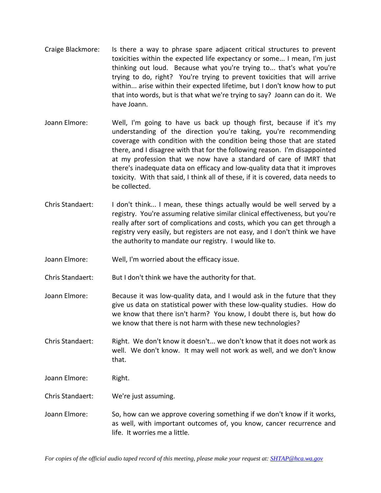- Craige Blackmore: Is there a way to phrase spare adjacent critical structures to prevent toxicities within the expected life expectancy or some... I mean, I'm just thinking out loud. Because what you're trying to... that's what you're trying to do, right? You're trying to prevent toxicities that will arrive within... arise within their expected lifetime, but I don't know how to put that into words, but is that what we're trying to say? Joann can do it. We have Joann.
- Joann Elmore: Well, I'm going to have us back up though first, because if it's my understanding of the direction you're taking, you're recommending coverage with condition with the condition being those that are stated there, and I disagree with that for the following reason. I'm disappointed at my profession that we now have a standard of care of IMRT that there's inadequate data on efficacy and low-quality data that it improves toxicity. With that said, I think all of these, if it is covered, data needs to be collected.
- Chris Standaert: I don't think... I mean, these things actually would be well served by a registry. You're assuming relative similar clinical effectiveness, but you're really after sort of complications and costs, which you can get through a registry very easily, but registers are not easy, and I don't think we have the authority to mandate our registry. I would like to.
- Joann Elmore: Well, I'm worried about the efficacy issue.
- Chris Standaert: But I don't think we have the authority for that.
- Joann Elmore: Because it was low-quality data, and I would ask in the future that they give us data on statistical power with these low-quality studies. How do we know that there isn't harm? You know, I doubt there is, but how do we know that there is not harm with these new technologies?
- Chris Standaert: Right. We don't know it doesn't... we don't know that it does not work as well. We don't know. It may well not work as well, and we don't know that.
- Joann Elmore: Right.
- Chris Standaert: We're just assuming.
- Joann Elmore: So, how can we approve covering something if we don't know if it works, as well, with important outcomes of, you know, cancer recurrence and life. It worries me a little.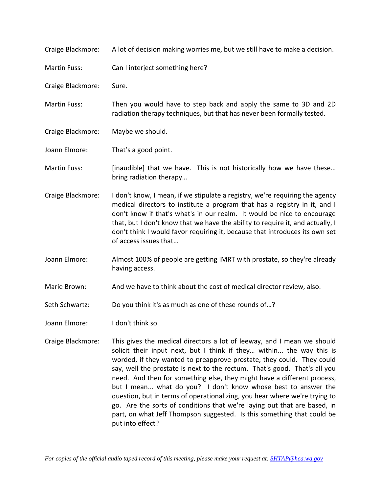| Craige Blackmore:   | A lot of decision making worries me, but we still have to make a decision.                                                                                                                                                                                                                                                                                                                                                                                                                                                                                                                                                                                                                               |
|---------------------|----------------------------------------------------------------------------------------------------------------------------------------------------------------------------------------------------------------------------------------------------------------------------------------------------------------------------------------------------------------------------------------------------------------------------------------------------------------------------------------------------------------------------------------------------------------------------------------------------------------------------------------------------------------------------------------------------------|
| <b>Martin Fuss:</b> | Can I interject something here?                                                                                                                                                                                                                                                                                                                                                                                                                                                                                                                                                                                                                                                                          |
| Craige Blackmore:   | Sure.                                                                                                                                                                                                                                                                                                                                                                                                                                                                                                                                                                                                                                                                                                    |
| <b>Martin Fuss:</b> | Then you would have to step back and apply the same to 3D and 2D<br>radiation therapy techniques, but that has never been formally tested.                                                                                                                                                                                                                                                                                                                                                                                                                                                                                                                                                               |
| Craige Blackmore:   | Maybe we should.                                                                                                                                                                                                                                                                                                                                                                                                                                                                                                                                                                                                                                                                                         |
| Joann Elmore:       | That's a good point.                                                                                                                                                                                                                                                                                                                                                                                                                                                                                                                                                                                                                                                                                     |
| Martin Fuss:        | [inaudible] that we have. This is not historically how we have these<br>bring radiation therapy                                                                                                                                                                                                                                                                                                                                                                                                                                                                                                                                                                                                          |
| Craige Blackmore:   | I don't know, I mean, if we stipulate a registry, we're requiring the agency<br>medical directors to institute a program that has a registry in it, and I<br>don't know if that's what's in our realm. It would be nice to encourage<br>that, but I don't know that we have the ability to require it, and actually, I<br>don't think I would favor requiring it, because that introduces its own set<br>of access issues that                                                                                                                                                                                                                                                                           |
| Joann Elmore:       | Almost 100% of people are getting IMRT with prostate, so they're already<br>having access.                                                                                                                                                                                                                                                                                                                                                                                                                                                                                                                                                                                                               |
| Marie Brown:        | And we have to think about the cost of medical director review, also.                                                                                                                                                                                                                                                                                                                                                                                                                                                                                                                                                                                                                                    |
| Seth Schwartz:      | Do you think it's as much as one of these rounds of?                                                                                                                                                                                                                                                                                                                                                                                                                                                                                                                                                                                                                                                     |
| Joann Elmore:       | I don't think so.                                                                                                                                                                                                                                                                                                                                                                                                                                                                                                                                                                                                                                                                                        |
| Craige Blackmore:   | This gives the medical directors a lot of leeway, and I mean we should<br>solicit their input next, but I think if they within the way this is<br>worded, if they wanted to preapprove prostate, they could. They could<br>say, well the prostate is next to the rectum. That's good. That's all you<br>need. And then for something else, they might have a different process,<br>but I mean what do you? I don't know whose best to answer the<br>question, but in terms of operationalizing, you hear where we're trying to<br>go. Are the sorts of conditions that we're laying out that are based, in<br>part, on what Jeff Thompson suggested. Is this something that could be<br>put into effect? |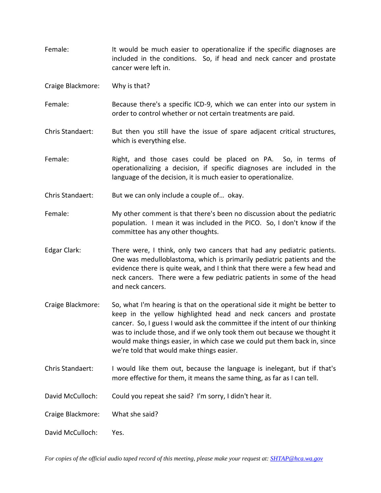- Female: It would be much easier to operationalize if the specific diagnoses are included in the conditions. So, if head and neck cancer and prostate cancer were left in.
- Craige Blackmore: Why is that?
- Female: Because there's a specific ICD-9, which we can enter into our system in order to control whether or not certain treatments are paid.
- Chris Standaert: But then you still have the issue of spare adjacent critical structures, which is everything else.
- Female: Right, and those cases could be placed on PA. So, in terms of operationalizing a decision, if specific diagnoses are included in the language of the decision, it is much easier to operationalize.
- Chris Standaert: But we can only include a couple of… okay.
- Female: My other comment is that there's been no discussion about the pediatric population. I mean it was included in the PICO. So, I don't know if the committee has any other thoughts.
- Edgar Clark: There were, I think, only two cancers that had any pediatric patients. One was medulloblastoma, which is primarily pediatric patients and the evidence there is quite weak, and I think that there were a few head and neck cancers. There were a few pediatric patients in some of the head and neck cancers.
- Craige Blackmore: So, what I'm hearing is that on the operational side it might be better to keep in the yellow highlighted head and neck cancers and prostate cancer. So, I guess I would ask the committee if the intent of our thinking was to include those, and if we only took them out because we thought it would make things easier, in which case we could put them back in, since we're told that would make things easier.
- Chris Standaert: I would like them out, because the language is inelegant, but if that's more effective for them, it means the same thing, as far as I can tell.
- David McCulloch: Could you repeat she said? I'm sorry, I didn't hear it.
- Craige Blackmore: What she said?
- David McCulloch: Yes.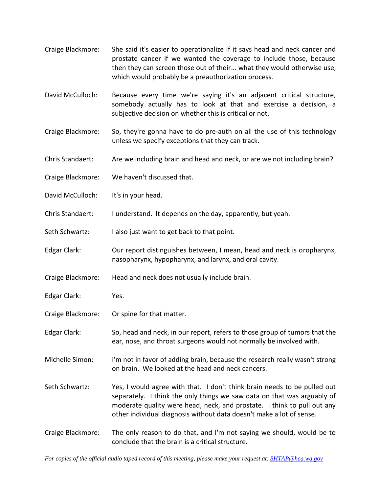- Craige Blackmore: She said it's easier to operationalize if it says head and neck cancer and prostate cancer if we wanted the coverage to include those, because then they can screen those out of their... what they would otherwise use, which would probably be a preauthorization process.
- David McCulloch: Because every time we're saying it's an adjacent critical structure, somebody actually has to look at that and exercise a decision, a subjective decision on whether this is critical or not.
- Craige Blackmore: So, they're gonna have to do pre-auth on all the use of this technology unless we specify exceptions that they can track.
- Chris Standaert: Are we including brain and head and neck, or are we not including brain?
- Craige Blackmore: We haven't discussed that.
- David McCulloch: It's in your head.
- Chris Standaert: I understand. It depends on the day, apparently, but yeah.
- Seth Schwartz: I also just want to get back to that point.
- Edgar Clark: Our report distinguishes between, I mean, head and neck is oropharynx, nasopharynx, hypopharynx, and larynx, and oral cavity.
- Craige Blackmore: Head and neck does not usually include brain.
- Edgar Clark: Yes.
- Craige Blackmore: Or spine for that matter.
- Edgar Clark: So, head and neck, in our report, refers to those group of tumors that the ear, nose, and throat surgeons would not normally be involved with.
- Michelle Simon: I'm not in favor of adding brain, because the research really wasn't strong on brain. We looked at the head and neck cancers.
- Seth Schwartz: Yes, I would agree with that. I don't think brain needs to be pulled out separately. I think the only things we saw data on that was arguably of moderate quality were head, neck, and prostate. I think to pull out any other individual diagnosis without data doesn't make a lot of sense.
- Craige Blackmore: The only reason to do that, and I'm not saying we should, would be to conclude that the brain is a critical structure.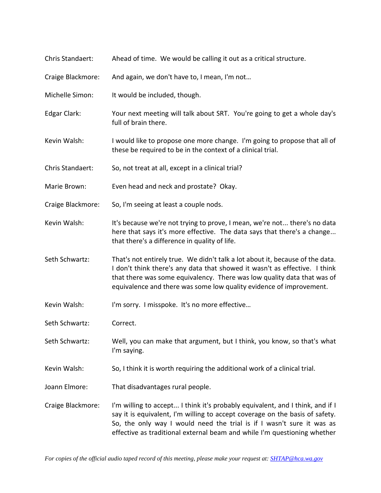- Chris Standaert: Ahead of time. We would be calling it out as a critical structure.
- Craige Blackmore: And again, we don't have to, I mean, I'm not…
- Michelle Simon: It would be included, though.
- Edgar Clark: Your next meeting will talk about SRT. You're going to get a whole day's full of brain there.
- Kevin Walsh: I would like to propose one more change. I'm going to propose that all of these be required to be in the context of a clinical trial.
- Chris Standaert: So, not treat at all, except in a clinical trial?
- Marie Brown: Even head and neck and prostate? Okay.
- Craige Blackmore: So, I'm seeing at least a couple nods.
- Kevin Walsh: It's because we're not trying to prove, I mean, we're not... there's no data here that says it's more effective. The data says that there's a change... that there's a difference in quality of life.
- Seth Schwartz: That's not entirely true. We didn't talk a lot about it, because of the data. I don't think there's any data that showed it wasn't as effective. I think that there was some equivalency. There was low quality data that was of equivalence and there was some low quality evidence of improvement.
- Kevin Walsh: I'm sorry. I misspoke. It's no more effective...
- Seth Schwartz: Correct.
- Seth Schwartz: Well, you can make that argument, but I think, you know, so that's what I'm saying.
- Kevin Walsh: So, I think it is worth requiring the additional work of a clinical trial.
- Joann Elmore: That disadvantages rural people.
- Craige Blackmore: I'm willing to accept... I think it's probably equivalent, and I think, and if I say it is equivalent, I'm willing to accept coverage on the basis of safety. So, the only way I would need the trial is if I wasn't sure it was as effective as traditional external beam and while I'm questioning whether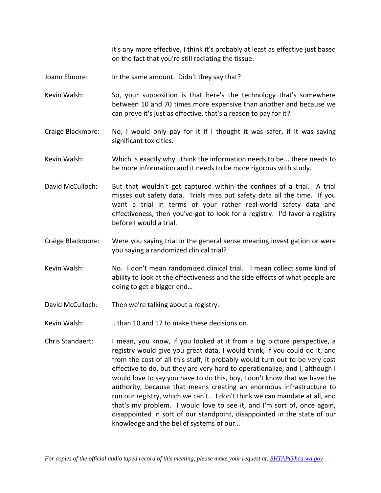it's any more effective, I think it's probably at least as effective just based on the fact that you're still radiating the tissue.

- Joann Elmore: In the same amount. Didn't they say that?
- Kevin Walsh: So, your supposition is that here's the technology that's somewhere between 10 and 70 times more expensive than another and because we can prove it's just as effective, that's a reason to pay for it?
- Craige Blackmore: No, I would only pay for it if I thought it was safer, if it was saving significant toxicities.
- Kevin Walsh: Which is exactly why I think the information needs to be... there needs to be more information and it needs to be more rigorous with study.
- David McCulloch: But that wouldn't get captured within the confines of a trial. A trial misses out safety data. Trials miss out safety data all the time. If you want a trial in terms of your rather real-world safety data and effectiveness, then you've got to look for a registry. I'd favor a registry before I would a trial.
- Craige Blackmore: Were you saying trial in the general sense meaning investigation or were you saying a randomized clinical trial?
- Kevin Walsh: No. I don't mean randomized clinical trial. I mean collect some kind of ability to look at the effectiveness and the side effects of what people are doing to get a bigger end…
- David McCulloch: Then we're talking about a registry.
- Kevin Walsh: …than 10 and 17 to make these decisions on.
- Chris Standaert: I mean, you know, if you looked at it from a big picture perspective, a registry would give you great data, I would think, if you could do it, and from the cost of all this stuff, it probably would turn out to be very cost effective to do, but they are very hard to operationalize, and I, although I would love to say you have to do this, boy, I don't know that we have the authority, because that means creating an enormous infrastructure to run our registry, which we can't... I don't think we can mandate at all, and that's my problem. I would love to see it, and I'm sort of, once again, disappointed in sort of our standpoint, disappointed in the state of our knowledge and the belief systems of our…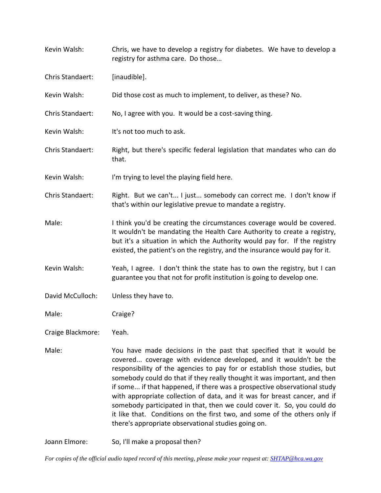| Kevin Walsh:      | Chris, we have to develop a registry for diabetes. We have to develop a<br>registry for asthma care. Do those                                                                                                                                                                                                                                                                                                                                                                                                                                                                                                                                                            |
|-------------------|--------------------------------------------------------------------------------------------------------------------------------------------------------------------------------------------------------------------------------------------------------------------------------------------------------------------------------------------------------------------------------------------------------------------------------------------------------------------------------------------------------------------------------------------------------------------------------------------------------------------------------------------------------------------------|
| Chris Standaert:  | [inaudible].                                                                                                                                                                                                                                                                                                                                                                                                                                                                                                                                                                                                                                                             |
| Kevin Walsh:      | Did those cost as much to implement, to deliver, as these? No.                                                                                                                                                                                                                                                                                                                                                                                                                                                                                                                                                                                                           |
| Chris Standaert:  | No, I agree with you. It would be a cost-saving thing.                                                                                                                                                                                                                                                                                                                                                                                                                                                                                                                                                                                                                   |
| Kevin Walsh:      | It's not too much to ask.                                                                                                                                                                                                                                                                                                                                                                                                                                                                                                                                                                                                                                                |
| Chris Standaert:  | Right, but there's specific federal legislation that mandates who can do<br>that.                                                                                                                                                                                                                                                                                                                                                                                                                                                                                                                                                                                        |
| Kevin Walsh:      | I'm trying to level the playing field here.                                                                                                                                                                                                                                                                                                                                                                                                                                                                                                                                                                                                                              |
| Chris Standaert:  | Right. But we can't I just somebody can correct me. I don't know if<br>that's within our legislative prevue to mandate a registry.                                                                                                                                                                                                                                                                                                                                                                                                                                                                                                                                       |
| Male:             | I think you'd be creating the circumstances coverage would be covered.<br>It wouldn't be mandating the Health Care Authority to create a registry,<br>but it's a situation in which the Authority would pay for. If the registry<br>existed, the patient's on the registry, and the insurance would pay for it.                                                                                                                                                                                                                                                                                                                                                          |
| Kevin Walsh:      | Yeah, I agree. I don't think the state has to own the registry, but I can<br>guarantee you that not for profit institution is going to develop one.                                                                                                                                                                                                                                                                                                                                                                                                                                                                                                                      |
| David McCulloch:  | Unless they have to.                                                                                                                                                                                                                                                                                                                                                                                                                                                                                                                                                                                                                                                     |
| Male:             | Craige?                                                                                                                                                                                                                                                                                                                                                                                                                                                                                                                                                                                                                                                                  |
| Craige Blackmore: | Yeah.                                                                                                                                                                                                                                                                                                                                                                                                                                                                                                                                                                                                                                                                    |
| Male:             | You have made decisions in the past that specified that it would be<br>covered coverage with evidence developed, and it wouldn't be the<br>responsibility of the agencies to pay for or establish those studies, but<br>somebody could do that if they really thought it was important, and then<br>if some if that happened, if there was a prospective observational study<br>with appropriate collection of data, and it was for breast cancer, and if<br>somebody participated in that, then we could cover it. So, you could do<br>it like that. Conditions on the first two, and some of the others only if<br>there's appropriate observational studies going on. |

Joann Elmore: So, I'll make a proposal then?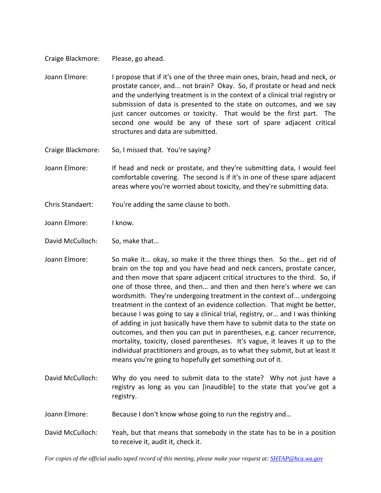Craige Blackmore: Please, go ahead.

- Joann Elmore: I propose that if it's one of the three main ones, brain, head and neck, or prostate cancer, and... not brain? Okay. So, if prostate or head and neck and the underlying treatment is in the context of a clinical trial registry or submission of data is presented to the state on outcomes, and we say just cancer outcomes or toxicity. That would be the first part. The second one would be any of these sort of spare adjacent critical structures and data are submitted.
- Craige Blackmore: So, I missed that. You're saying?
- Joann Elmore: If head and neck or prostate, and they're submitting data, I would feel comfortable covering. The second is if it's in one of these spare adjacent areas where you're worried about toxicity, and they're submitting data.
- Chris Standaert: You're adding the same clause to both.
- Joann Elmore: I know.
- David McCulloch: So, make that...
- Joann Elmore: So make it... okay, so make it the three things then. So the… get rid of brain on the top and you have head and neck cancers, prostate cancer, and then move that spare adjacent critical structures to the third. So, if one of those three, and then… and then and then here's where we can wordsmith. They're undergoing treatment in the context of... undergoing treatment in the context of an evidence collection. That might be better, because I was going to say a clinical trial, registry, or… and I was thinking of adding in just basically have them have to submit data to the state on outcomes, and then you can put in parentheses, e.g. cancer recurrence, mortality, toxicity, closed parentheses. It's vague, it leaves it up to the individual practitioners and groups, as to what they submit, but at least it means you're going to hopefully get something out of it.
- David McCulloch: Why do you need to submit data to the state? Why not just have a registry as long as you can [inaudible] to the state that you've got a registry.
- Joann Elmore: Because I don't know whose going to run the registry and...
- David McCulloch: Yeah, but that means that somebody in the state has to be in a position to receive it, audit it, check it.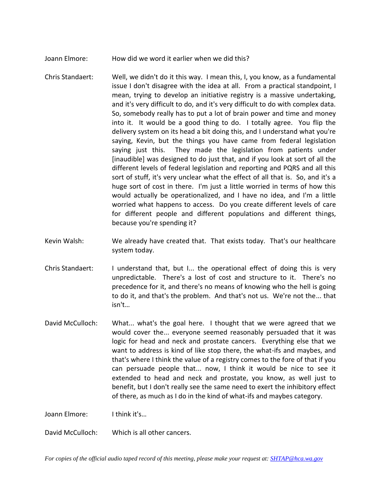- Joann Elmore: How did we word it earlier when we did this?
- Chris Standaert: Well, we didn't do it this way. I mean this, I, you know, as a fundamental issue I don't disagree with the idea at all. From a practical standpoint, I mean, trying to develop an initiative registry is a massive undertaking, and it's very difficult to do, and it's very difficult to do with complex data. So, somebody really has to put a lot of brain power and time and money into it. It would be a good thing to do. I totally agree. You flip the delivery system on its head a bit doing this, and I understand what you're saying, Kevin, but the things you have came from federal legislation saying just this. They made the legislation from patients under [inaudible] was designed to do just that, and if you look at sort of all the different levels of federal legislation and reporting and PQRS and all this sort of stuff, it's very unclear what the effect of all that is. So, and it's a huge sort of cost in there. I'm just a little worried in terms of how this would actually be operationalized, and I have no idea, and I'm a little worried what happens to access. Do you create different levels of care for different people and different populations and different things, because you're spending it?
- Kevin Walsh: We already have created that. That exists today. That's our healthcare system today.
- Chris Standaert: I understand that, but I... the operational effect of doing this is very unpredictable. There's a lost of cost and structure to it. There's no precedence for it, and there's no means of knowing who the hell is going to do it, and that's the problem. And that's not us. We're not the... that isn't…
- David McCulloch: What... what's the goal here. I thought that we were agreed that we would cover the... everyone seemed reasonably persuaded that it was logic for head and neck and prostate cancers. Everything else that we want to address is kind of like stop there, the what-ifs and maybes, and that's where I think the value of a registry comes to the fore of that if you can persuade people that... now, I think it would be nice to see it extended to head and neck and prostate, you know, as well just to benefit, but I don't really see the same need to exert the inhibitory effect of there, as much as I do in the kind of what-ifs and maybes category.

Joann Elmore: I think it's…

David McCulloch: Which is all other cancers.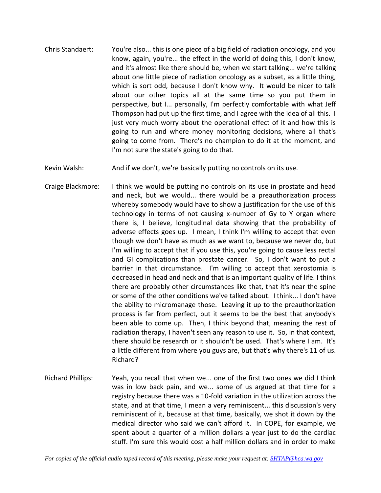- Chris Standaert: You're also... this is one piece of a big field of radiation oncology, and you know, again, you're... the effect in the world of doing this, I don't know, and it's almost like there should be, when we start talking... we're talking about one little piece of radiation oncology as a subset, as a little thing, which is sort odd, because I don't know why. It would be nicer to talk about our other topics all at the same time so you put them in perspective, but I... personally, I'm perfectly comfortable with what Jeff Thompson had put up the first time, and I agree with the idea of all this. I just very much worry about the operational effect of it and how this is going to run and where money monitoring decisions, where all that's going to come from. There's no champion to do it at the moment, and I'm not sure the state's going to do that.
- Kevin Walsh: And if we don't, we're basically putting no controls on its use.
- Craige Blackmore: I think we would be putting no controls on its use in prostate and head and neck, but we would... there would be a preauthorization process whereby somebody would have to show a justification for the use of this technology in terms of not causing x-number of Gy to Y organ where there is, I believe, longitudinal data showing that the probability of adverse effects goes up. I mean, I think I'm willing to accept that even though we don't have as much as we want to, because we never do, but I'm willing to accept that if you use this, you're going to cause less rectal and GI complications than prostate cancer. So, I don't want to put a barrier in that circumstance. I'm willing to accept that xerostomia is decreased in head and neck and that is an important quality of life. I think there are probably other circumstances like that, that it's near the spine or some of the other conditions we've talked about. I think... I don't have the ability to micromanage those. Leaving it up to the preauthorization process is far from perfect, but it seems to be the best that anybody's been able to come up. Then, I think beyond that, meaning the rest of radiation therapy, I haven't seen any reason to use it. So, in that context, there should be research or it shouldn't be used. That's where I am. It's a little different from where you guys are, but that's why there's 11 of us. Richard?
- Richard Phillips: Yeah, you recall that when we... one of the first two ones we did I think was in low back pain, and we... some of us argued at that time for a registry because there was a 10-fold variation in the utilization across the state, and at that time, I mean a very reminiscent... this discussion's very reminiscent of it, because at that time, basically, we shot it down by the medical director who said we can't afford it. In COPE, for example, we spent about a quarter of a million dollars a year just to do the cardiac stuff. I'm sure this would cost a half million dollars and in order to make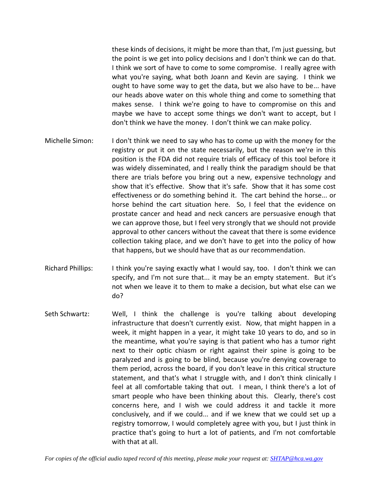these kinds of decisions, it might be more than that, I'm just guessing, but the point is we get into policy decisions and I don't think we can do that. I think we sort of have to come to some compromise. I really agree with what you're saying, what both Joann and Kevin are saying. I think we ought to have some way to get the data, but we also have to be... have our heads above water on this whole thing and come to something that makes sense. I think we're going to have to compromise on this and maybe we have to accept some things we don't want to accept, but I don't think we have the money. I don't think we can make policy.

- Michelle Simon: I don't think we need to say who has to come up with the money for the registry or put it on the state necessarily, but the reason we're in this position is the FDA did not require trials of efficacy of this tool before it was widely disseminated, and I really think the paradigm should be that there are trials before you bring out a new, expensive technology and show that it's effective. Show that it's safe. Show that it has some cost effectiveness or do something behind it. The cart behind the horse... or horse behind the cart situation here. So, I feel that the evidence on prostate cancer and head and neck cancers are persuasive enough that we can approve those, but I feel very strongly that we should not provide approval to other cancers without the caveat that there is some evidence collection taking place, and we don't have to get into the policy of how that happens, but we should have that as our recommendation.
- Richard Phillips: I think you're saying exactly what I would say, too. I don't think we can specify, and I'm not sure that... it may be an empty statement. But it's not when we leave it to them to make a decision, but what else can we do?
- Seth Schwartz: Well, I think the challenge is you're talking about developing infrastructure that doesn't currently exist. Now, that might happen in a week, it might happen in a year, it might take 10 years to do, and so in the meantime, what you're saying is that patient who has a tumor right next to their optic chiasm or right against their spine is going to be paralyzed and is going to be blind, because you're denying coverage to them period, across the board, if you don't leave in this critical structure statement, and that's what I struggle with, and I don't think clinically I feel at all comfortable taking that out. I mean, I think there's a lot of smart people who have been thinking about this. Clearly, there's cost concerns here, and I wish we could address it and tackle it more conclusively, and if we could... and if we knew that we could set up a registry tomorrow, I would completely agree with you, but I just think in practice that's going to hurt a lot of patients, and I'm not comfortable with that at all.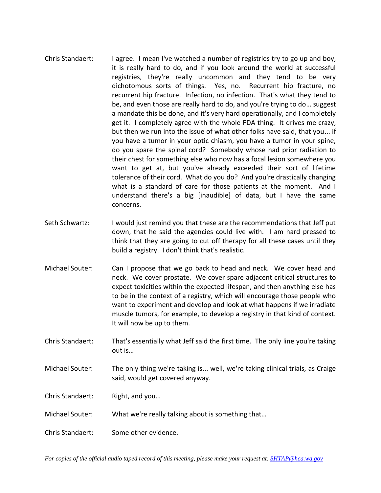- Chris Standaert: I agree. I mean I've watched a number of registries try to go up and boy, it is really hard to do, and if you look around the world at successful registries, they're really uncommon and they tend to be very dichotomous sorts of things. Yes, no. Recurrent hip fracture, no recurrent hip fracture. Infection, no infection. That's what they tend to be, and even those are really hard to do, and you're trying to do… suggest a mandate this be done, and it's very hard operationally, and I completely get it. I completely agree with the whole FDA thing. It drives me crazy, but then we run into the issue of what other folks have said, that you... if you have a tumor in your optic chiasm, you have a tumor in your spine, do you spare the spinal cord? Somebody whose had prior radiation to their chest for something else who now has a focal lesion somewhere you want to get at, but you've already exceeded their sort of lifetime tolerance of their cord. What do you do? And you're drastically changing what is a standard of care for those patients at the moment. And I understand there's a big [inaudible] of data, but I have the same concerns.
- Seth Schwartz: I would just remind you that these are the recommendations that Jeff put down, that he said the agencies could live with. I am hard pressed to think that they are going to cut off therapy for all these cases until they build a registry. I don't think that's realistic.
- Michael Souter: Can I propose that we go back to head and neck. We cover head and neck. We cover prostate. We cover spare adjacent critical structures to expect toxicities within the expected lifespan, and then anything else has to be in the context of a registry, which will encourage those people who want to experiment and develop and look at what happens if we irradiate muscle tumors, for example, to develop a registry in that kind of context. It will now be up to them.
- Chris Standaert: That's essentially what Jeff said the first time. The only line you're taking out is…
- Michael Souter: The only thing we're taking is... well, we're taking clinical trials, as Craige said, would get covered anyway.
- Chris Standaert: Right, and you…
- Michael Souter: What we're really talking about is something that…
- Chris Standaert: Some other evidence.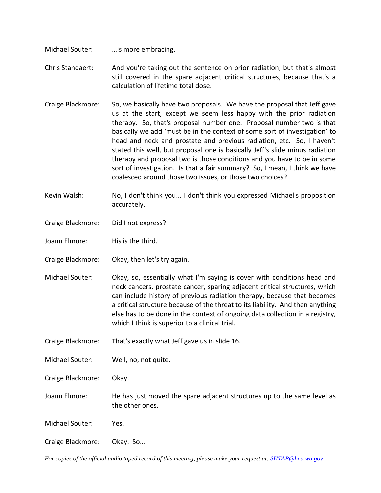- Michael Souter: …is more embracing.
- Chris Standaert: And you're taking out the sentence on prior radiation, but that's almost still covered in the spare adjacent critical structures, because that's a calculation of lifetime total dose.
- Craige Blackmore: So, we basically have two proposals. We have the proposal that Jeff gave us at the start, except we seem less happy with the prior radiation therapy. So, that's proposal number one. Proposal number two is that basically we add 'must be in the context of some sort of investigation' to head and neck and prostate and previous radiation, etc. So, I haven't stated this well, but proposal one is basically Jeff's slide minus radiation therapy and proposal two is those conditions and you have to be in some sort of investigation. Is that a fair summary? So, I mean, I think we have coalesced around those two issues, or those two choices?
- Kevin Walsh: No, I don't think you... I don't think you expressed Michael's proposition accurately.
- Craige Blackmore: Did I not express?
- Joann Elmore: His is the third.
- Craige Blackmore: Okay, then let's try again.
- Michael Souter: Okay, so, essentially what I'm saying is cover with conditions head and neck cancers, prostate cancer, sparing adjacent critical structures, which can include history of previous radiation therapy, because that becomes a critical structure because of the threat to its liability. And then anything else has to be done in the context of ongoing data collection in a registry, which I think is superior to a clinical trial.
- Craige Blackmore: That's exactly what Jeff gave us in slide 16.
- Michael Souter: Well, no, not quite.
- Craige Blackmore: Okay.
- Joann Elmore: He has just moved the spare adjacent structures up to the same level as the other ones.
- Michael Souter: Yes.
- Craige Blackmore: Okay. So…
- *For copies of the official audio taped record of this meeting, please make your request at[: SHTAP@hca.wa.gov](mailto:SHTAP@hca.wa.gov)*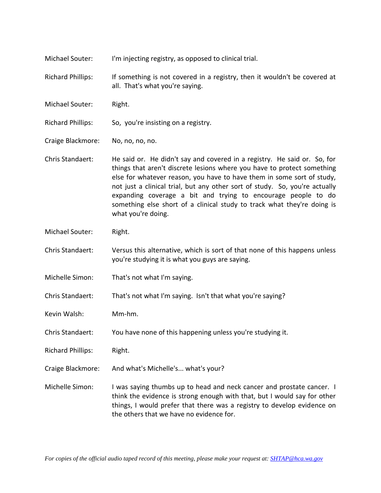| Michael Souter:          | I'm injecting registry, as opposed to clinical trial.                                                                                                                                                                                                                                                                                                                                                                                                                          |
|--------------------------|--------------------------------------------------------------------------------------------------------------------------------------------------------------------------------------------------------------------------------------------------------------------------------------------------------------------------------------------------------------------------------------------------------------------------------------------------------------------------------|
| <b>Richard Phillips:</b> | If something is not covered in a registry, then it wouldn't be covered at<br>all. That's what you're saying.                                                                                                                                                                                                                                                                                                                                                                   |
| Michael Souter:          | Right.                                                                                                                                                                                                                                                                                                                                                                                                                                                                         |
| <b>Richard Phillips:</b> | So, you're insisting on a registry.                                                                                                                                                                                                                                                                                                                                                                                                                                            |
| Craige Blackmore:        | No, no, no, no.                                                                                                                                                                                                                                                                                                                                                                                                                                                                |
| Chris Standaert:         | He said or. He didn't say and covered in a registry. He said or. So, for<br>things that aren't discrete lesions where you have to protect something<br>else for whatever reason, you have to have them in some sort of study,<br>not just a clinical trial, but any other sort of study. So, you're actually<br>expanding coverage a bit and trying to encourage people to do<br>something else short of a clinical study to track what they're doing is<br>what you're doing. |
| Michael Souter:          | Right.                                                                                                                                                                                                                                                                                                                                                                                                                                                                         |
| Chris Standaert:         | Versus this alternative, which is sort of that none of this happens unless<br>you're studying it is what you guys are saying.                                                                                                                                                                                                                                                                                                                                                  |
| Michelle Simon:          | That's not what I'm saying.                                                                                                                                                                                                                                                                                                                                                                                                                                                    |
| Chris Standaert:         | That's not what I'm saying. Isn't that what you're saying?                                                                                                                                                                                                                                                                                                                                                                                                                     |
| Kevin Walsh:             | Mm-hm.                                                                                                                                                                                                                                                                                                                                                                                                                                                                         |
| Chris Standaert:         | You have none of this happening unless you're studying it.                                                                                                                                                                                                                                                                                                                                                                                                                     |
| <b>Richard Phillips:</b> | Right.                                                                                                                                                                                                                                                                                                                                                                                                                                                                         |
| Craige Blackmore:        | And what's Michelle's what's your?                                                                                                                                                                                                                                                                                                                                                                                                                                             |
| Michelle Simon:          | I was saying thumbs up to head and neck cancer and prostate cancer. I<br>think the evidence is strong enough with that, but I would say for other<br>things, I would prefer that there was a registry to develop evidence on<br>the others that we have no evidence for.                                                                                                                                                                                                       |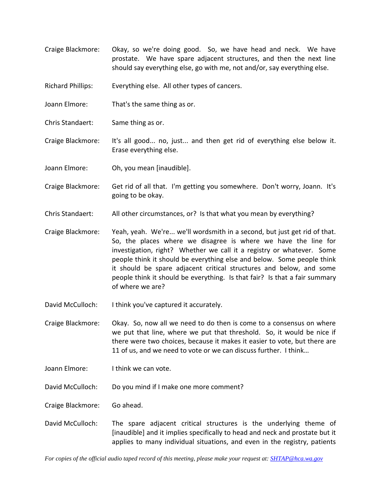Craige Blackmore: Okay, so we're doing good. So, we have head and neck. We have prostate. We have spare adjacent structures, and then the next line should say everything else, go with me, not and/or, say everything else.

Richard Phillips: Everything else. All other types of cancers.

- Joann Elmore: That's the same thing as or.
- Chris Standaert: Same thing as or.
- Craige Blackmore: It's all good... no, just... and then get rid of everything else below it. Erase everything else.
- Joann Elmore: Oh, you mean [inaudible].
- Craige Blackmore: Get rid of all that. I'm getting you somewhere. Don't worry, Joann. It's going to be okay.
- Chris Standaert: All other circumstances, or? Is that what you mean by everything?
- Craige Blackmore: Yeah, yeah. We're... we'll wordsmith in a second, but just get rid of that. So, the places where we disagree is where we have the line for investigation, right? Whether we call it a registry or whatever. Some people think it should be everything else and below. Some people think it should be spare adjacent critical structures and below, and some people think it should be everything. Is that fair? Is that a fair summary of where we are?
- David McCulloch: I think you've captured it accurately.
- Craige Blackmore: Okay. So, now all we need to do then is come to a consensus on where we put that line, where we put that threshold. So, it would be nice if there were two choices, because it makes it easier to vote, but there are 11 of us, and we need to vote or we can discuss further. I think…
- Joann Elmore: I think we can vote.
- David McCulloch: Do you mind if I make one more comment?

Craige Blackmore: Go ahead.

David McCulloch: The spare adjacent critical structures is the underlying theme of [inaudible] and it implies specifically to head and neck and prostate but it applies to many individual situations, and even in the registry, patients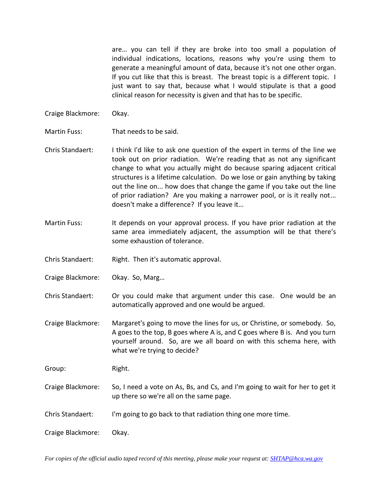are… you can tell if they are broke into too small a population of individual indications, locations, reasons why you're using them to generate a meaningful amount of data, because it's not one other organ. If you cut like that this is breast. The breast topic is a different topic. I just want to say that, because what I would stipulate is that a good clinical reason for necessity is given and that has to be specific.

- Craige Blackmore: Okay.
- Martin Fuss: That needs to be said.
- Chris Standaert: I think I'd like to ask one question of the expert in terms of the line we took out on prior radiation. We're reading that as not any significant change to what you actually might do because sparing adjacent critical structures is a lifetime calculation. Do we lose or gain anything by taking out the line on... how does that change the game if you take out the line of prior radiation? Are you making a narrower pool, or is it really not... doesn't make a difference? If you leave it…
- Martin Fuss: It depends on your approval process. If you have prior radiation at the same area immediately adjacent, the assumption will be that there's some exhaustion of tolerance.
- Chris Standaert: Right. Then it's automatic approval.
- Craige Blackmore: Okay. So, Marg…
- Chris Standaert: Or you could make that argument under this case. One would be an automatically approved and one would be argued.
- Craige Blackmore: Margaret's going to move the lines for us, or Christine, or somebody. So, A goes to the top, B goes where A is, and C goes where B is. And you turn yourself around. So, are we all board on with this schema here, with what we're trying to decide?

Group: Right.

- Craige Blackmore: So, I need a vote on As, Bs, and Cs, and I'm going to wait for her to get it up there so we're all on the same page.
- Chris Standaert: I'm going to go back to that radiation thing one more time.
- Craige Blackmore: Okay.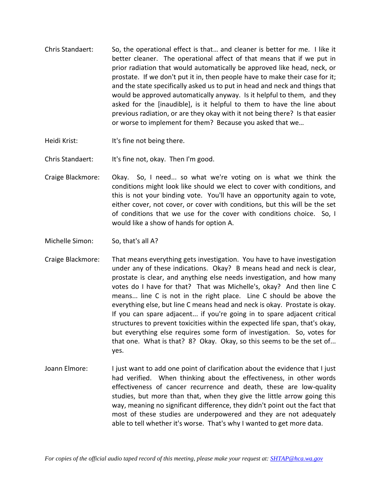- Chris Standaert: So, the operational effect is that… and cleaner is better for me. I like it better cleaner. The operational affect of that means that if we put in prior radiation that would automatically be approved like head, neck, or prostate. If we don't put it in, then people have to make their case for it; and the state specifically asked us to put in head and neck and things that would be approved automatically anyway. Is it helpful to them, and they asked for the [inaudible], is it helpful to them to have the line about previous radiation, or are they okay with it not being there? Is that easier or worse to implement for them? Because you asked that we…
- Heidi Krist: It's fine not being there.

Chris Standaert: It's fine not, okay. Then I'm good.

Craige Blackmore: Okay. So, I need... so what we're voting on is what we think the conditions might look like should we elect to cover with conditions, and this is not your binding vote. You'll have an opportunity again to vote, either cover, not cover, or cover with conditions, but this will be the set of conditions that we use for the cover with conditions choice. So, I would like a show of hands for option A.

Michelle Simon: So, that's all A?

- Craige Blackmore: That means everything gets investigation. You have to have investigation under any of these indications. Okay? B means head and neck is clear, prostate is clear, and anything else needs investigation, and how many votes do I have for that? That was Michelle's, okay? And then line C means... line C is not in the right place. Line C should be above the everything else, but line C means head and neck is okay. Prostate is okay. If you can spare adjacent... if you're going in to spare adjacent critical structures to prevent toxicities within the expected life span, that's okay, but everything else requires some form of investigation. So, votes for that one. What is that? 8? Okay. Okay, so this seems to be the set of... yes.
- Joann Elmore: I just want to add one point of clarification about the evidence that I just had verified. When thinking about the effectiveness, in other words effectiveness of cancer recurrence and death, these are low-quality studies, but more than that, when they give the little arrow going this way, meaning no significant difference, they didn't point out the fact that most of these studies are underpowered and they are not adequately able to tell whether it's worse. That's why I wanted to get more data.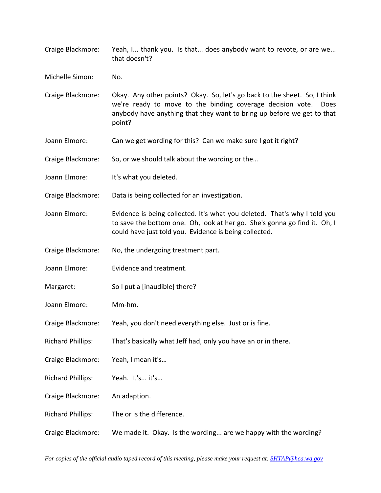Craige Blackmore: Yeah, I... thank you. Is that... does anybody want to revote, or are we... that doesn't?

Michelle Simon: No.

Craige Blackmore: Okay. Any other points? Okay. So, let's go back to the sheet. So, I think we're ready to move to the binding coverage decision vote. Does anybody have anything that they want to bring up before we get to that point?

Joann Elmore: Can we get wording for this? Can we make sure I got it right?

Craige Blackmore: So, or we should talk about the wording or the…

Joann Elmore: It's what you deleted.

Craige Blackmore: Data is being collected for an investigation.

Joann Elmore: Evidence is being collected. It's what you deleted. That's why I told you to save the bottom one. Oh, look at her go. She's gonna go find it. Oh, I could have just told you. Evidence is being collected.

Craige Blackmore: No, the undergoing treatment part.

Joann Elmore: Evidence and treatment.

Margaret: So I put a [inaudible] there?

Joann Elmore: Mm-hm.

Craige Blackmore: Yeah, you don't need everything else. Just or is fine.

Richard Phillips: That's basically what Jeff had, only you have an or in there.

Craige Blackmore: Yeah, I mean it's…

Richard Phillips: Yeah. It's... it's…

Craige Blackmore: An adaption.

Richard Phillips: The or is the difference.

Craige Blackmore: We made it. Okay. Is the wording... are we happy with the wording?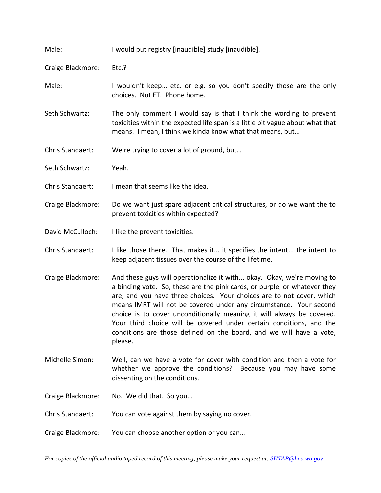| Male:             | I would put registry [inaudible] study [inaudible].                                                                                                                                                                                                                                                                                                                                                                                                                                                                                  |
|-------------------|--------------------------------------------------------------------------------------------------------------------------------------------------------------------------------------------------------------------------------------------------------------------------------------------------------------------------------------------------------------------------------------------------------------------------------------------------------------------------------------------------------------------------------------|
| Craige Blackmore: | Etc.?                                                                                                                                                                                                                                                                                                                                                                                                                                                                                                                                |
| Male:             | I wouldn't keep etc. or e.g. so you don't specify those are the only<br>choices. Not ET. Phone home.                                                                                                                                                                                                                                                                                                                                                                                                                                 |
| Seth Schwartz:    | The only comment I would say is that I think the wording to prevent<br>toxicities within the expected life span is a little bit vague about what that<br>means. I mean, I think we kinda know what that means, but                                                                                                                                                                                                                                                                                                                   |
| Chris Standaert:  | We're trying to cover a lot of ground, but                                                                                                                                                                                                                                                                                                                                                                                                                                                                                           |
| Seth Schwartz:    | Yeah.                                                                                                                                                                                                                                                                                                                                                                                                                                                                                                                                |
| Chris Standaert:  | I mean that seems like the idea.                                                                                                                                                                                                                                                                                                                                                                                                                                                                                                     |
| Craige Blackmore: | Do we want just spare adjacent critical structures, or do we want the to<br>prevent toxicities within expected?                                                                                                                                                                                                                                                                                                                                                                                                                      |
| David McCulloch:  | I like the prevent toxicities.                                                                                                                                                                                                                                                                                                                                                                                                                                                                                                       |
| Chris Standaert:  | I like those there. That makes it it specifies the intent the intent to<br>keep adjacent tissues over the course of the lifetime.                                                                                                                                                                                                                                                                                                                                                                                                    |
| Craige Blackmore: | And these guys will operationalize it with okay. Okay, we're moving to<br>a binding vote. So, these are the pink cards, or purple, or whatever they<br>are, and you have three choices. Your choices are to not cover, which<br>means IMRT will not be covered under any circumstance. Your second<br>choice is to cover unconditionally meaning it will always be covered.<br>Your third choice will be covered under certain conditions, and the<br>conditions are those defined on the board, and we will have a vote,<br>please. |
| Michelle Simon:   | Well, can we have a vote for cover with condition and then a vote for<br>whether we approve the conditions? Because you may have some<br>dissenting on the conditions.                                                                                                                                                                                                                                                                                                                                                               |
| Craige Blackmore: | No. We did that. So you                                                                                                                                                                                                                                                                                                                                                                                                                                                                                                              |
| Chris Standaert:  | You can vote against them by saying no cover.                                                                                                                                                                                                                                                                                                                                                                                                                                                                                        |
| Craige Blackmore: | You can choose another option or you can                                                                                                                                                                                                                                                                                                                                                                                                                                                                                             |